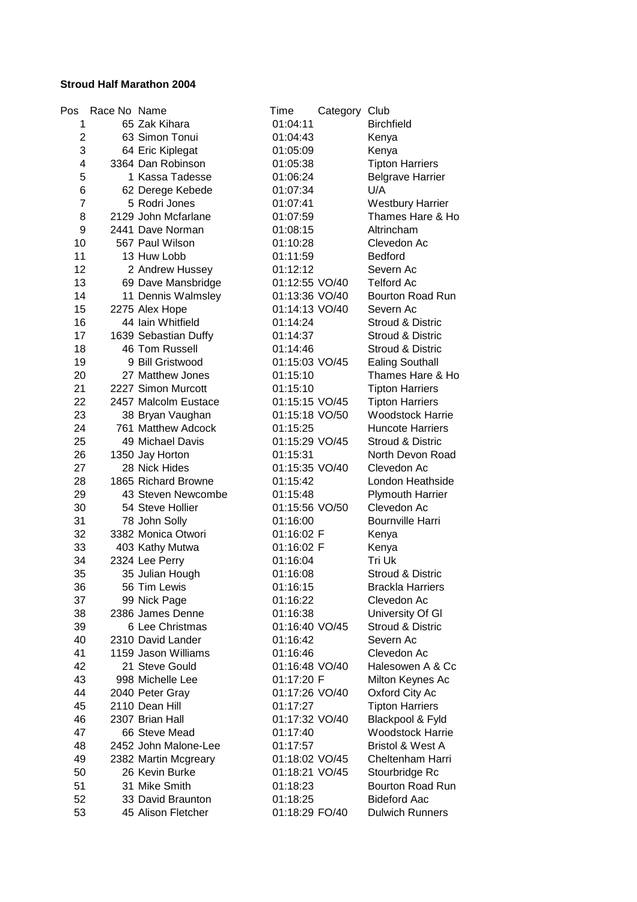## **Stroud Half Marathon 2004**

| Pos                     | Race No Name |                      | Time           | Category Club |                             |
|-------------------------|--------------|----------------------|----------------|---------------|-----------------------------|
| 1                       |              | 65 Zak Kihara        | 01:04:11       |               | <b>Birchfield</b>           |
| $\overline{\mathbf{c}}$ |              | 63 Simon Tonui       | 01:04:43       |               | Kenya                       |
| 3                       |              | 64 Eric Kiplegat     | 01:05:09       |               | Kenya                       |
| 4                       |              | 3364 Dan Robinson    | 01:05:38       |               | <b>Tipton Harriers</b>      |
| 5                       |              | 1 Kassa Tadesse      | 01:06:24       |               | <b>Belgrave Harrier</b>     |
| 6                       |              | 62 Derege Kebede     | 01:07:34       |               | U/A                         |
| 7                       |              | 5 Rodri Jones        | 01:07:41       |               | <b>Westbury Harrier</b>     |
| 8                       |              | 2129 John Mcfarlane  | 01:07:59       |               | Thames Hare & Ho            |
| 9                       |              | 2441 Dave Norman     | 01:08:15       |               | Altrincham                  |
| 10                      |              | 567 Paul Wilson      | 01:10:28       |               | Clevedon Ac                 |
| 11                      |              | 13 Huw Lobb          | 01:11:59       |               | <b>Bedford</b>              |
| 12                      |              | 2 Andrew Hussey      | 01:12:12       |               | Severn Ac                   |
| 13                      |              | 69 Dave Mansbridge   | 01:12:55 VO/40 |               | <b>Telford Ac</b>           |
| 14                      |              | 11 Dennis Walmsley   | 01:13:36 VO/40 |               | Bourton Road Run            |
| 15                      |              | 2275 Alex Hope       | 01:14:13 VO/40 |               | Severn Ac                   |
| 16                      |              | 44 Iain Whitfield    | 01:14:24       |               | Stroud & Distric            |
| 17                      |              | 1639 Sebastian Duffy | 01:14:37       |               | <b>Stroud &amp; Distric</b> |
| 18                      |              | 46 Tom Russell       | 01:14:46       |               | <b>Stroud &amp; Distric</b> |
| 19                      |              | 9 Bill Gristwood     | 01:15:03 VO/45 |               | <b>Ealing Southall</b>      |
| 20                      |              | 27 Matthew Jones     | 01:15:10       |               | Thames Hare & Ho            |
| 21                      |              | 2227 Simon Murcott   | 01:15:10       |               | <b>Tipton Harriers</b>      |
| 22                      |              | 2457 Malcolm Eustace | 01:15:15 VO/45 |               | <b>Tipton Harriers</b>      |
| 23                      |              | 38 Bryan Vaughan     | 01:15:18 VO/50 |               | <b>Woodstock Harrie</b>     |
| 24                      |              | 761 Matthew Adcock   | 01:15:25       |               | <b>Huncote Harriers</b>     |
| 25                      |              | 49 Michael Davis     | 01:15:29 VO/45 |               | Stroud & Distric            |
| 26                      |              | 1350 Jay Horton      | 01:15:31       |               | North Devon Road            |
| 27                      |              | 28 Nick Hides        | 01:15:35 VO/40 |               | Clevedon Ac                 |
| 28                      |              | 1865 Richard Browne  | 01:15:42       |               | London Heathside            |
| 29                      |              | 43 Steven Newcombe   | 01:15:48       |               | <b>Plymouth Harrier</b>     |
| 30                      |              | 54 Steve Hollier     | 01:15:56 VO/50 |               | Clevedon Ac                 |
| 31                      |              | 78 John Solly        | 01:16:00       |               | <b>Bournville Harri</b>     |
| 32                      |              | 3382 Monica Otwori   | 01:16:02 F     |               | Kenya                       |
| 33                      |              | 403 Kathy Mutwa      | 01:16:02 F     |               | Kenya                       |
| 34                      |              | 2324 Lee Perry       | 01:16:04       |               | Tri Uk                      |
| 35                      |              | 35 Julian Hough      | 01:16:08       |               | <b>Stroud &amp; Distric</b> |
| 36                      |              | 56 Tim Lewis         | 01:16:15       |               | <b>Brackla Harriers</b>     |
| 37                      |              | 99 Nick Page         | 01:16:22       |               | Clevedon Ac                 |
| 38                      |              | 2386 James Denne     | 01:16:38       |               | University Of GI            |
| 39                      |              | 6 Lee Christmas      | 01:16:40 VO/45 |               | <b>Stroud &amp; Distric</b> |
| 40                      |              | 2310 David Lander    | 01:16:42       |               | Severn Ac                   |
| 41                      |              | 1159 Jason Williams  | 01:16:46       |               | Clevedon Ac                 |
| 42                      |              | 21 Steve Gould       | 01:16:48 VO/40 |               | Halesowen A & Cc            |
| 43                      |              | 998 Michelle Lee     | 01:17:20 F     |               | Milton Keynes Ac            |
| 44                      |              | 2040 Peter Gray      | 01:17:26 VO/40 |               | Oxford City Ac              |
| 45                      |              | 2110 Dean Hill       | 01:17:27       |               | <b>Tipton Harriers</b>      |
| 46                      |              | 2307 Brian Hall      | 01:17:32 VO/40 |               | Blackpool & Fyld            |
| 47                      |              | 66 Steve Mead        | 01:17:40       |               | <b>Woodstock Harrie</b>     |
| 48                      |              | 2452 John Malone-Lee | 01:17:57       |               | Bristol & West A            |
| 49                      |              | 2382 Martin Mcgreary | 01:18:02 VO/45 |               | Cheltenham Harri            |
| 50                      |              | 26 Kevin Burke       | 01:18:21 VO/45 |               | Stourbridge Rc              |
| 51                      |              | 31 Mike Smith        | 01:18:23       |               | <b>Bourton Road Run</b>     |
| 52                      |              | 33 David Braunton    | 01:18:25       |               | <b>Bideford Aac</b>         |
| 53                      |              | 45 Alison Fletcher   | 01:18:29 FO/40 |               | <b>Dulwich Runners</b>      |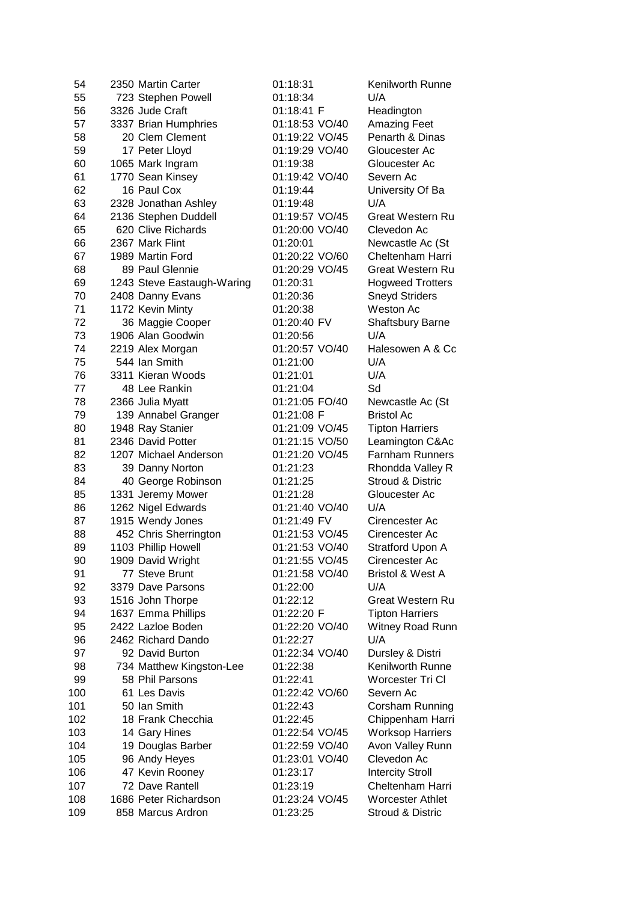| 54  | 2350 Martin Carter         | 01:18:31       | Kenilworth Runne            |
|-----|----------------------------|----------------|-----------------------------|
| 55  | 723 Stephen Powell         | 01:18:34       | U/A                         |
| 56  | 3326 Jude Craft            | 01:18:41 F     | Headington                  |
| 57  | 3337 Brian Humphries       | 01:18:53 VO/40 | <b>Amazing Feet</b>         |
| 58  | 20 Clem Clement            | 01:19:22 VO/45 | Penarth & Dinas             |
| 59  | 17 Peter Lloyd             | 01:19:29 VO/40 | Gloucester Ac               |
| 60  | 1065 Mark Ingram           | 01:19:38       | Gloucester Ac               |
| 61  | 1770 Sean Kinsey           | 01:19:42 VO/40 | Severn Ac                   |
| 62  | 16 Paul Cox                | 01:19:44       | University Of Ba            |
| 63  | 2328 Jonathan Ashley       | 01:19:48       | U/A                         |
| 64  | 2136 Stephen Duddell       | 01:19:57 VO/45 | Great Western Ru            |
| 65  | 620 Clive Richards         | 01:20:00 VO/40 | Clevedon Ac                 |
| 66  | 2367 Mark Flint            | 01:20:01       | Newcastle Ac (St            |
| 67  | 1989 Martin Ford           | 01:20:22 VO/60 | Cheltenham Harri            |
| 68  | 89 Paul Glennie            | 01:20:29 VO/45 | <b>Great Western Ru</b>     |
| 69  | 1243 Steve Eastaugh-Waring | 01:20:31       | <b>Hogweed Trotters</b>     |
| 70  | 2408 Danny Evans           | 01:20:36       | <b>Sneyd Striders</b>       |
| 71  | 1172 Kevin Minty           | 01:20:38       | <b>Weston Ac</b>            |
| 72  | 36 Maggie Cooper           | 01:20:40 FV    | <b>Shaftsbury Barne</b>     |
| 73  | 1906 Alan Goodwin          | 01:20:56       | U/A                         |
| 74  | 2219 Alex Morgan           | 01:20:57 VO/40 | Halesowen A & Cc            |
| 75  | 544 Ian Smith              | 01:21:00       | U/A                         |
| 76  | 3311 Kieran Woods          | 01:21:01       | U/A                         |
| 77  | 48 Lee Rankin              | 01:21:04       | Sd                          |
| 78  | 2366 Julia Myatt           | 01:21:05 FO/40 | Newcastle Ac (St            |
| 79  | 139 Annabel Granger        | 01:21:08 F     | <b>Bristol Ac</b>           |
| 80  | 1948 Ray Stanier           | 01:21:09 VO/45 | <b>Tipton Harriers</b>      |
| 81  | 2346 David Potter          | 01:21:15 VO/50 | Leamington C&Ac             |
| 82  | 1207 Michael Anderson      | 01:21:20 VO/45 | <b>Farnham Runners</b>      |
| 83  | 39 Danny Norton            | 01:21:23       | Rhondda Valley R            |
| 84  | 40 George Robinson         | 01:21:25       | <b>Stroud &amp; Distric</b> |
| 85  | 1331 Jeremy Mower          | 01:21:28       | Gloucester Ac               |
| 86  | 1262 Nigel Edwards         | 01:21:40 VO/40 | U/A                         |
| 87  | 1915 Wendy Jones           | 01:21:49 FV    | Cirencester Ac              |
| 88  | 452 Chris Sherrington      | 01:21:53 VO/45 | Cirencester Ac              |
| 89  | 1103 Phillip Howell        | 01:21:53 VO/40 | Stratford Upon A            |
| 90  | 1909 David Wright          | 01:21:55 VO/45 | Cirencester Ac              |
| 91  | 77 Steve Brunt             | 01:21:58 VO/40 | <b>Bristol &amp; West A</b> |
| 92  | 3379 Dave Parsons          | 01:22:00       | U/A                         |
| 93  | 1516 John Thorpe           | 01:22:12       | Great Western Ru            |
| 94  | 1637 Emma Phillips         | 01:22:20 F     | <b>Tipton Harriers</b>      |
| 95  | 2422 Lazloe Boden          | 01:22:20 VO/40 | <b>Witney Road Runn</b>     |
| 96  | 2462 Richard Dando         | 01:22:27       | U/A                         |
| 97  | 92 David Burton            | 01:22:34 VO/40 | Dursley & Distri            |
| 98  | 734 Matthew Kingston-Lee   | 01:22:38       | Kenilworth Runne            |
| 99  | 58 Phil Parsons            | 01:22:41       | Worcester Tri Cl            |
| 100 | 61 Les Davis               | 01:22:42 VO/60 | Severn Ac                   |
| 101 | 50 Ian Smith               | 01:22:43       | Corsham Running             |
| 102 | 18 Frank Checchia          | 01:22:45       | Chippenham Harri            |
| 103 | 14 Gary Hines              | 01:22:54 VO/45 | <b>Worksop Harriers</b>     |
| 104 | 19 Douglas Barber          | 01:22:59 VO/40 | Avon Valley Runn            |
| 105 | 96 Andy Heyes              | 01:23:01 VO/40 | Clevedon Ac                 |
| 106 | 47 Kevin Rooney            | 01:23:17       | <b>Intercity Stroll</b>     |
| 107 | 72 Dave Rantell            | 01:23:19       | Cheltenham Harri            |
| 108 | 1686 Peter Richardson      | 01:23:24 VO/45 | <b>Worcester Athlet</b>     |
| 109 | 858 Marcus Ardron          | 01:23:25       | Stroud & Distric            |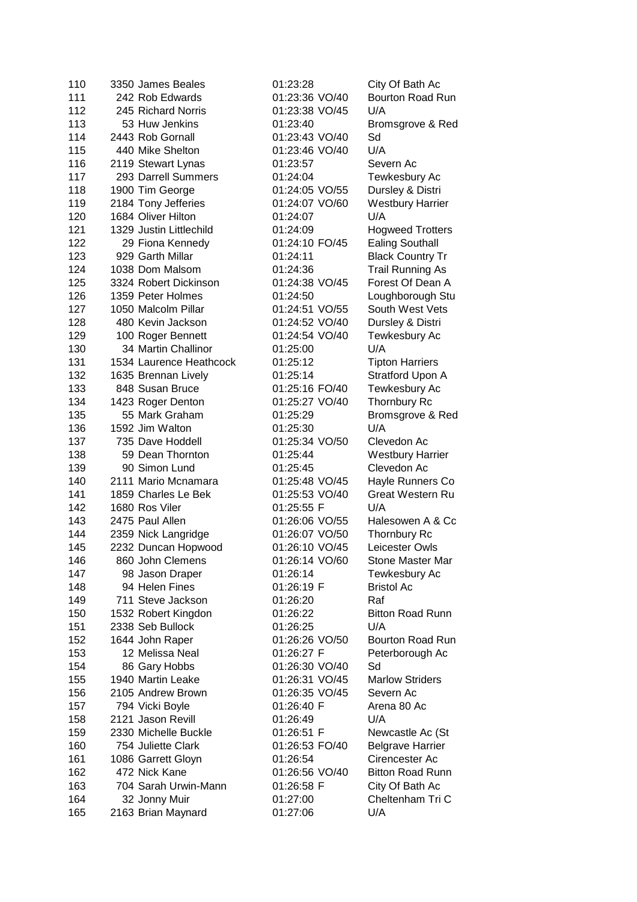| 110 | 3350 James Beales       | 01:23:28       | City Of Bath Ac         |
|-----|-------------------------|----------------|-------------------------|
| 111 | 242 Rob Edwards         | 01:23:36 VO/40 | Bourton Road Run        |
| 112 | 245 Richard Norris      | 01:23:38 VO/45 | U/A                     |
| 113 | 53 Huw Jenkins          | 01:23:40       | Bromsgrove & Red        |
| 114 | 2443 Rob Gornall        | 01:23:43 VO/40 | Sd                      |
| 115 | 440 Mike Shelton        | 01:23:46 VO/40 | U/A                     |
| 116 | 2119 Stewart Lynas      | 01:23:57       | Severn Ac               |
| 117 | 293 Darrell Summers     | 01:24:04       | Tewkesbury Ac           |
| 118 | 1900 Tim George         | 01:24:05 VO/55 | Dursley & Distri        |
| 119 | 2184 Tony Jefferies     | 01:24:07 VO/60 | <b>Westbury Harrier</b> |
| 120 | 1684 Oliver Hilton      | 01:24:07       | U/A                     |
| 121 | 1329 Justin Littlechild | 01:24:09       | <b>Hogweed Trotters</b> |
| 122 | 29 Fiona Kennedy        | 01:24:10 FO/45 | <b>Ealing Southall</b>  |
| 123 | 929 Garth Millar        | 01:24:11       | <b>Black Country Tr</b> |
| 124 | 1038 Dom Malsom         | 01:24:36       | <b>Trail Running As</b> |
| 125 | 3324 Robert Dickinson   | 01:24:38 VO/45 | Forest Of Dean A        |
| 126 | 1359 Peter Holmes       | 01:24:50       | Loughborough Stu        |
| 127 | 1050 Malcolm Pillar     | 01:24:51 VO/55 | South West Vets         |
| 128 | 480 Kevin Jackson       | 01:24:52 VO/40 | Dursley & Distri        |
| 129 | 100 Roger Bennett       | 01:24:54 VO/40 | Tewkesbury Ac           |
| 130 | 34 Martin Challinor     | 01:25:00       | U/A                     |
| 131 | 1534 Laurence Heathcock | 01:25:12       | <b>Tipton Harriers</b>  |
| 132 | 1635 Brennan Lively     | 01:25:14       | Stratford Upon A        |
| 133 | 848 Susan Bruce         | 01:25:16 FO/40 | Tewkesbury Ac           |
| 134 | 1423 Roger Denton       | 01:25:27 VO/40 | <b>Thornbury Rc</b>     |
| 135 | 55 Mark Graham          | 01:25:29       | Bromsgrove & Red        |
| 136 | 1592 Jim Walton         | 01:25:30       | U/A                     |
| 137 | 735 Dave Hoddell        | 01:25:34 VO/50 | Clevedon Ac             |
| 138 | 59 Dean Thornton        | 01:25:44       | <b>Westbury Harrier</b> |
| 139 | 90 Simon Lund           | 01:25:45       | Clevedon Ac             |
| 140 | 2111 Mario Mcnamara     | 01:25:48 VO/45 | Hayle Runners Co        |
| 141 | 1859 Charles Le Bek     | 01:25:53 VO/40 | <b>Great Western Ru</b> |
| 142 | 1680 Ros Viler          | 01:25:55 F     | U/A                     |
| 143 | 2475 Paul Allen         | 01:26:06 VO/55 | Halesowen A & Cc        |
| 144 | 2359 Nick Langridge     | 01:26:07 VO/50 | Thornbury Rc            |
| 145 | 2232 Duncan Hopwood     | 01:26:10 VO/45 | Leicester Owls          |
| 146 | 860 John Clemens        | 01:26:14 VO/60 | Stone Master Mar        |
| 147 | 98 Jason Draper         | 01:26:14       | Tewkesbury Ac           |
| 148 | 94 Helen Fines          | 01:26:19 F     | <b>Bristol Ac</b>       |
| 149 | 711 Steve Jackson       | 01:26:20       | Raf                     |
| 150 | 1532 Robert Kingdon     | 01:26:22       | <b>Bitton Road Runn</b> |
| 151 | 2338 Seb Bullock        | 01:26:25       | U/A                     |
| 152 | 1644 John Raper         | 01:26:26 VO/50 | Bourton Road Run        |
| 153 | 12 Melissa Neal         | 01:26:27 F     | Peterborough Ac         |
| 154 | 86 Gary Hobbs           | 01:26:30 VO/40 | Sd                      |
| 155 | 1940 Martin Leake       | 01:26:31 VO/45 | <b>Marlow Striders</b>  |
| 156 | 2105 Andrew Brown       | 01:26:35 VO/45 | Severn Ac               |
| 157 | 794 Vicki Boyle         | 01:26:40 F     | Arena 80 Ac             |
| 158 | 2121 Jason Revill       | 01:26:49       | U/A                     |
| 159 | 2330 Michelle Buckle    | 01:26:51 F     | Newcastle Ac (St        |
| 160 | 754 Juliette Clark      | 01:26:53 FO/40 | <b>Belgrave Harrier</b> |
| 161 | 1086 Garrett Gloyn      | 01:26:54       | Cirencester Ac          |
| 162 | 472 Nick Kane           | 01:26:56 VO/40 | <b>Bitton Road Runn</b> |
| 163 | 704 Sarah Urwin-Mann    | 01:26:58 F     | City Of Bath Ac         |
| 164 | 32 Jonny Muir           | 01:27:00       | Cheltenham Tri C        |
| 165 | 2163 Brian Maynard      | 01:27:06       | U/A                     |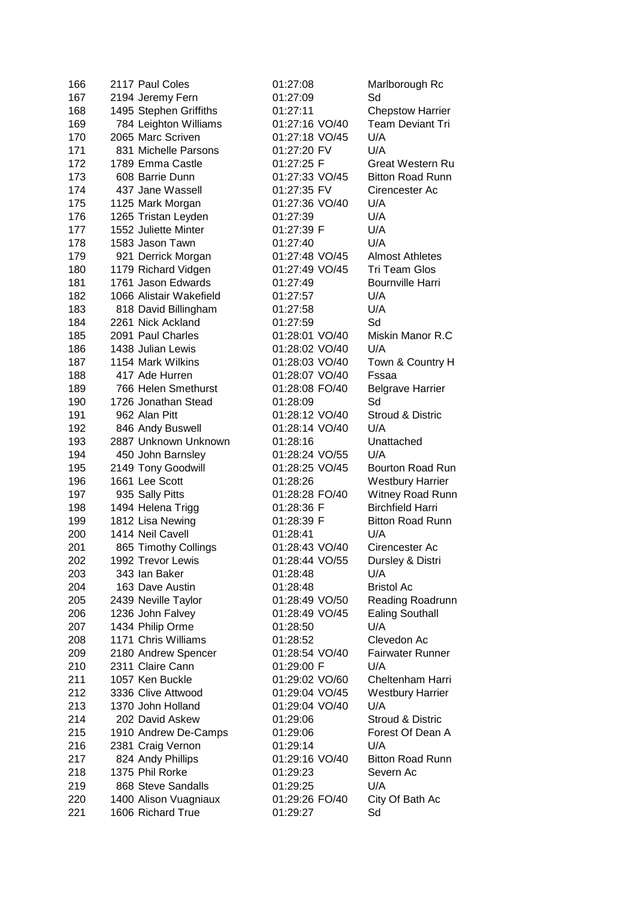| 166 | 2117 Paul Coles         | 01:27:08       | Marlborough Rc          |
|-----|-------------------------|----------------|-------------------------|
| 167 | 2194 Jeremy Fern        | 01:27:09       | Sd                      |
| 168 | 1495 Stephen Griffiths  | 01:27:11       | <b>Chepstow Harrier</b> |
| 169 | 784 Leighton Williams   | 01:27:16 VO/40 | <b>Team Deviant Tri</b> |
| 170 | 2065 Marc Scriven       | 01:27:18 VO/45 | U/A                     |
| 171 | 831 Michelle Parsons    | 01:27:20 FV    | U/A                     |
| 172 | 1789 Emma Castle        | 01:27:25 F     | <b>Great Western Ru</b> |
| 173 | 608 Barrie Dunn         | 01:27:33 VO/45 | <b>Bitton Road Runn</b> |
| 174 | 437 Jane Wassell        | 01:27:35 FV    | Cirencester Ac          |
| 175 | 1125 Mark Morgan        | 01:27:36 VO/40 | U/A                     |
| 176 | 1265 Tristan Leyden     | 01:27:39       | U/A                     |
| 177 | 1552 Juliette Minter    | 01:27:39 F     | U/A                     |
| 178 | 1583 Jason Tawn         | 01:27:40       | U/A                     |
| 179 | 921 Derrick Morgan      | 01:27:48 VO/45 | <b>Almost Athletes</b>  |
| 180 | 1179 Richard Vidgen     | 01:27:49 VO/45 | Tri Team Glos           |
| 181 | 1761 Jason Edwards      | 01:27:49       | <b>Bournville Harri</b> |
| 182 | 1066 Alistair Wakefield | 01:27:57       | U/A                     |
| 183 | 818 David Billingham    | 01:27:58       | U/A                     |
| 184 | 2261 Nick Ackland       | 01:27:59       | Sd                      |
| 185 | 2091 Paul Charles       | 01:28:01 VO/40 | Miskin Manor R.C        |
| 186 | 1438 Julian Lewis       | 01:28:02 VO/40 | U/A                     |
| 187 | 1154 Mark Wilkins       | 01:28:03 VO/40 | Town & Country H        |
| 188 | 417 Ade Hurren          | 01:28:07 VO/40 | Fssaa                   |
| 189 | 766 Helen Smethurst     | 01:28:08 FO/40 | <b>Belgrave Harrier</b> |
| 190 | 1726 Jonathan Stead     | 01:28:09       | Sd                      |
| 191 | 962 Alan Pitt           | 01:28:12 VO/40 | Stroud & Distric        |
| 192 | 846 Andy Buswell        | 01:28:14 VO/40 | U/A                     |
| 193 | 2887 Unknown Unknown    | 01:28:16       | Unattached              |
| 194 | 450 John Barnsley       | 01:28:24 VO/55 | U/A                     |
| 195 | 2149 Tony Goodwill      | 01:28:25 VO/45 | Bourton Road Run        |
| 196 | 1661 Lee Scott          | 01:28:26       | <b>Westbury Harrier</b> |
| 197 | 935 Sally Pitts         | 01:28:28 FO/40 | Witney Road Runn        |
| 198 | 1494 Helena Trigg       | 01:28:36 F     | <b>Birchfield Harri</b> |
| 199 | 1812 Lisa Newing        | 01:28:39 F     | <b>Bitton Road Runn</b> |
| 200 | 1414 Neil Cavell        | 01:28:41       | U/A                     |
| 201 | 865 Timothy Collings    | 01:28:43 VO/40 | Cirencester Ac          |
| 202 | 1992 Trevor Lewis       | 01:28:44 VO/55 | Dursley & Distri        |
| 203 | 343 Ian Baker           | 01:28:48       | U/A                     |
| 204 | 163 Dave Austin         | 01:28:48       | <b>Bristol Ac</b>       |
| 205 | 2439 Neville Taylor     | 01:28:49 VO/50 | Reading Roadrunn        |
| 206 | 1236 John Falvey        | 01:28:49 VO/45 | <b>Ealing Southall</b>  |
| 207 | 1434 Philip Orme        | 01:28:50       | U/A                     |
| 208 | 1171 Chris Williams     | 01:28:52       | Clevedon Ac             |
| 209 | 2180 Andrew Spencer     | 01:28:54 VO/40 | <b>Fairwater Runner</b> |
| 210 | 2311 Claire Cann        | 01:29:00 F     | U/A                     |
| 211 | 1057 Ken Buckle         | 01:29:02 VO/60 | Cheltenham Harri        |
| 212 | 3336 Clive Attwood      | 01:29:04 VO/45 | <b>Westbury Harrier</b> |
| 213 | 1370 John Holland       | 01:29:04 VO/40 | U/A                     |
| 214 | 202 David Askew         | 01:29:06       | Stroud & Distric        |
| 215 | 1910 Andrew De-Camps    | 01:29:06       | Forest Of Dean A        |
| 216 | 2381 Craig Vernon       | 01:29:14       | U/A                     |
| 217 | 824 Andy Phillips       | 01:29:16 VO/40 | <b>Bitton Road Runn</b> |
| 218 | 1375 Phil Rorke         | 01:29:23       | Severn Ac               |
| 219 | 868 Steve Sandalls      | 01:29:25       | U/A                     |
| 220 | 1400 Alison Vuagniaux   | 01:29:26 FO/40 | City Of Bath Ac         |
| 221 | 1606 Richard True       | 01:29:27       | Sd                      |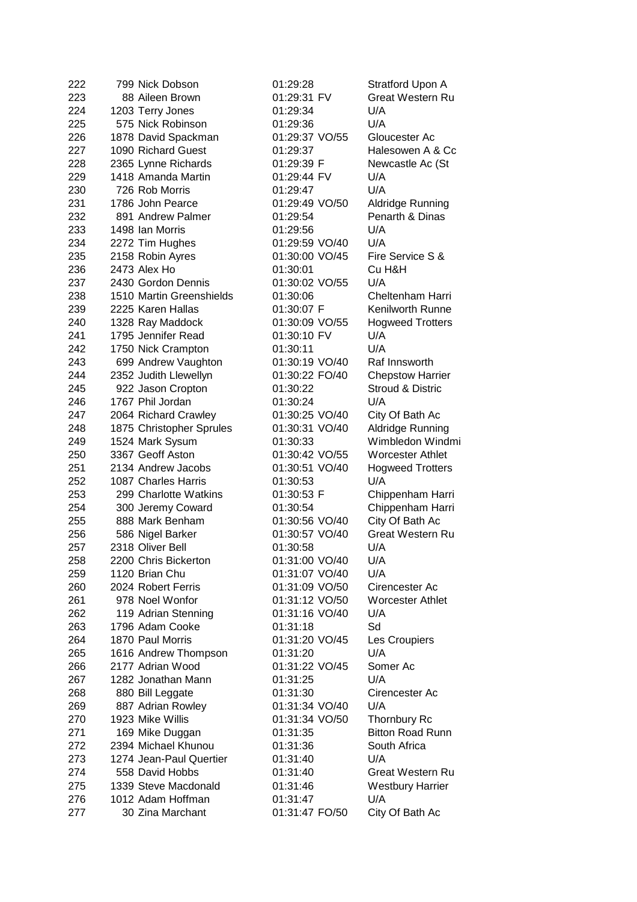| 222 | 799 Nick Dobson          | 01:29:28       | <b>Stratford Upon A</b> |
|-----|--------------------------|----------------|-------------------------|
| 223 | 88 Aileen Brown          | 01:29:31 FV    | <b>Great Western Ru</b> |
| 224 | 1203 Terry Jones         | 01:29:34       | U/A                     |
| 225 | 575 Nick Robinson        | 01:29:36       | U/A                     |
| 226 | 1878 David Spackman      | 01:29:37 VO/55 | Gloucester Ac           |
| 227 | 1090 Richard Guest       | 01:29:37       | Halesowen A & Cc        |
| 228 | 2365 Lynne Richards      | 01:29:39 F     | Newcastle Ac (St        |
| 229 | 1418 Amanda Martin       | 01:29:44 FV    | U/A                     |
| 230 | 726 Rob Morris           | 01:29:47       | U/A                     |
| 231 | 1786 John Pearce         | 01:29:49 VO/50 | Aldridge Running        |
| 232 | 891 Andrew Palmer        | 01:29:54       | Penarth & Dinas         |
| 233 | 1498 Ian Morris          | 01:29:56       | U/A                     |
| 234 | 2272 Tim Hughes          | 01:29:59 VO/40 | U/A                     |
| 235 | 2158 Robin Ayres         | 01:30:00 VO/45 | Fire Service S &        |
| 236 | 2473 Alex Ho             | 01:30:01       | Cu H&H                  |
| 237 | 2430 Gordon Dennis       | 01:30:02 VO/55 | U/A                     |
| 238 | 1510 Martin Greenshields | 01:30:06       | Cheltenham Harri        |
| 239 | 2225 Karen Hallas        | 01:30:07 F     | <b>Kenilworth Runne</b> |
| 240 | 1328 Ray Maddock         | 01:30:09 VO/55 | <b>Hogweed Trotters</b> |
| 241 | 1795 Jennifer Read       | 01:30:10 FV    | U/A                     |
| 242 | 1750 Nick Crampton       | 01:30:11       | U/A                     |
| 243 | 699 Andrew Vaughton      | 01:30:19 VO/40 | Raf Innsworth           |
| 244 | 2352 Judith Llewellyn    | 01:30:22 FO/40 | <b>Chepstow Harrier</b> |
| 245 | 922 Jason Cropton        | 01:30:22       | Stroud & Distric        |
| 246 | 1767 Phil Jordan         | 01:30:24       | U/A                     |
| 247 | 2064 Richard Crawley     | 01:30:25 VO/40 | City Of Bath Ac         |
| 248 | 1875 Christopher Sprules | 01:30:31 VO/40 | <b>Aldridge Running</b> |
| 249 | 1524 Mark Sysum          | 01:30:33       | Wimbledon Windmi        |
| 250 | 3367 Geoff Aston         | 01:30:42 VO/55 | <b>Worcester Athlet</b> |
| 251 | 2134 Andrew Jacobs       | 01:30:51 VO/40 | <b>Hogweed Trotters</b> |
| 252 | 1087 Charles Harris      | 01:30:53       | U/A                     |
| 253 | 299 Charlotte Watkins    | 01:30:53 F     | Chippenham Harri        |
| 254 | 300 Jeremy Coward        | 01:30:54       | Chippenham Harri        |
| 255 | 888 Mark Benham          | 01:30:56 VO/40 | City Of Bath Ac         |
| 256 | 586 Nigel Barker         | 01:30:57 VO/40 | <b>Great Western Ru</b> |
| 257 | 2318 Oliver Bell         | 01:30:58       | U/A                     |
| 258 | 2200 Chris Bickerton     | 01:31:00 VO/40 | U/A                     |
| 259 | 1120 Brian Chu           | 01:31:07 VO/40 | U/A                     |
| 260 | 2024 Robert Ferris       | 01:31:09 VO/50 | Cirencester Ac          |
| 261 | 978 Noel Wonfor          | 01:31:12 VO/50 | <b>Worcester Athlet</b> |
| 262 | 119 Adrian Stenning      | 01:31:16 VO/40 | U/A                     |
| 263 | 1796 Adam Cooke          | 01:31:18       | Sd                      |
| 264 | 1870 Paul Morris         | 01:31:20 VO/45 | Les Croupiers           |
| 265 | 1616 Andrew Thompson     | 01:31:20       | U/A                     |
| 266 | 2177 Adrian Wood         | 01:31:22 VO/45 | Somer Ac                |
| 267 | 1282 Jonathan Mann       | 01:31:25       | U/A                     |
| 268 | 880 Bill Leggate         | 01:31:30       | Cirencester Ac          |
| 269 | 887 Adrian Rowley        | 01:31:34 VO/40 | U/A                     |
| 270 | 1923 Mike Willis         | 01:31:34 VO/50 | Thornbury Rc            |
| 271 | 169 Mike Duggan          | 01:31:35       | <b>Bitton Road Runn</b> |
| 272 | 2394 Michael Khunou      | 01:31:36       | South Africa            |
| 273 | 1274 Jean-Paul Quertier  | 01:31:40       | U/A                     |
| 274 | 558 David Hobbs          | 01:31:40       | Great Western Ru        |
| 275 | 1339 Steve Macdonald     | 01:31:46       | <b>Westbury Harrier</b> |
| 276 | 1012 Adam Hoffman        | 01:31:47       | U/A                     |
| 277 | 30 Zina Marchant         | 01:31:47 FO/50 | City Of Bath Ac         |
|     |                          |                |                         |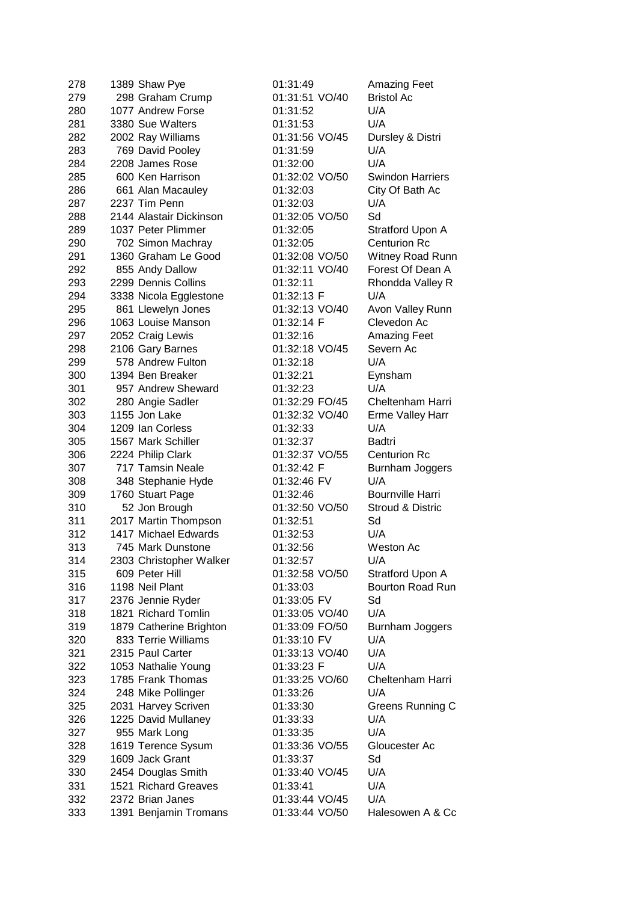| 278 | 1389 Shaw Pye           | 01:31:49       | <b>Amazing Feet</b>     |
|-----|-------------------------|----------------|-------------------------|
| 279 | 298 Graham Crump        | 01:31:51 VO/40 | <b>Bristol Ac</b>       |
| 280 | 1077 Andrew Forse       | 01:31:52       | U/A                     |
| 281 | 3380 Sue Walters        | 01:31:53       | U/A                     |
| 282 | 2002 Ray Williams       | 01:31:56 VO/45 | Dursley & Distri        |
| 283 | 769 David Pooley        | 01:31:59       | U/A                     |
| 284 | 2208 James Rose         | 01:32:00       | U/A                     |
| 285 | 600 Ken Harrison        | 01:32:02 VO/50 | <b>Swindon Harriers</b> |
| 286 | 661 Alan Macauley       | 01:32:03       | City Of Bath Ac         |
| 287 | 2237 Tim Penn           | 01:32:03       | U/A                     |
| 288 | 2144 Alastair Dickinson | 01:32:05 VO/50 | Sd                      |
| 289 | 1037 Peter Plimmer      | 01:32:05       | Stratford Upon A        |
| 290 | 702 Simon Machray       | 01:32:05       | <b>Centurion Rc</b>     |
| 291 | 1360 Graham Le Good     | 01:32:08 VO/50 | Witney Road Runn        |
| 292 | 855 Andy Dallow         | 01:32:11 VO/40 | Forest Of Dean A        |
| 293 | 2299 Dennis Collins     | 01:32:11       | Rhondda Valley R        |
| 294 | 3338 Nicola Egglestone  | 01:32:13 F     | U/A                     |
| 295 | 861 Llewelyn Jones      | 01:32:13 VO/40 | Avon Valley Runn        |
| 296 | 1063 Louise Manson      | 01:32:14 F     | Clevedon Ac             |
| 297 | 2052 Craig Lewis        | 01:32:16       | <b>Amazing Feet</b>     |
| 298 | 2106 Gary Barnes        | 01:32:18 VO/45 | Severn Ac               |
| 299 | 578 Andrew Fulton       | 01:32:18       | U/A                     |
| 300 | 1394 Ben Breaker        | 01:32:21       | Eynsham                 |
| 301 | 957 Andrew Sheward      | 01:32:23       | U/A                     |
| 302 | 280 Angie Sadler        | 01:32:29 FO/45 | Cheltenham Harri        |
| 303 | 1155 Jon Lake           | 01:32:32 VO/40 | <b>Erme Valley Harr</b> |
| 304 | 1209 Ian Corless        | 01:32:33       | U/A                     |
| 305 | 1567 Mark Schiller      | 01:32:37       | Badtri                  |
| 306 | 2224 Philip Clark       | 01:32:37 VO/55 | <b>Centurion Rc</b>     |
| 307 | 717 Tamsin Neale        | 01:32:42 F     | Burnham Joggers         |
| 308 | 348 Stephanie Hyde      | 01:32:46 FV    | U/A                     |
| 309 | 1760 Stuart Page        | 01:32:46       | <b>Bournville Harri</b> |
| 310 | 52 Jon Brough           | 01:32:50 VO/50 | Stroud & Distric        |
| 311 | 2017 Martin Thompson    | 01:32:51       | Sd                      |
| 312 | 1417 Michael Edwards    | 01:32:53       | U/A                     |
| 313 | 745 Mark Dunstone       | 01:32:56       | Weston Ac               |
| 314 | 2303 Christopher Walker | 01:32:57       | U/A                     |
| 315 | 609 Peter Hill          | 01:32:58 VO/50 | Stratford Upon A        |
| 316 | 1198 Neil Plant         | 01:33:03       | <b>Bourton Road Run</b> |
| 317 | 2376 Jennie Ryder       | 01:33:05 FV    | Sd                      |
| 318 | 1821 Richard Tomlin     | 01:33:05 VO/40 | U/A                     |
| 319 | 1879 Catherine Brighton | 01:33:09 FO/50 | Burnham Joggers         |
| 320 | 833 Terrie Williams     | 01:33:10 FV    | U/A                     |
| 321 | 2315 Paul Carter        | 01:33:13 VO/40 | U/A                     |
| 322 | 1053 Nathalie Young     | 01:33:23 F     | U/A                     |
| 323 | 1785 Frank Thomas       | 01:33:25 VO/60 | Cheltenham Harri        |
| 324 | 248 Mike Pollinger      | 01:33:26       | U/A                     |
| 325 | 2031 Harvey Scriven     | 01:33:30       | Greens Running C        |
| 326 | 1225 David Mullaney     | 01:33:33       | U/A                     |
| 327 | 955 Mark Long           | 01:33:35       | U/A                     |
| 328 | 1619 Terence Sysum      | 01:33:36 VO/55 | Gloucester Ac           |
| 329 | 1609 Jack Grant         | 01:33:37       | Sd                      |
| 330 | 2454 Douglas Smith      | 01:33:40 VO/45 | U/A                     |
| 331 | 1521 Richard Greaves    | 01:33:41       | U/A                     |
| 332 | 2372 Brian Janes        | 01:33:44 VO/45 | U/A                     |
| 333 | 1391 Benjamin Tromans   | 01:33:44 VO/50 | Halesowen A & Cc        |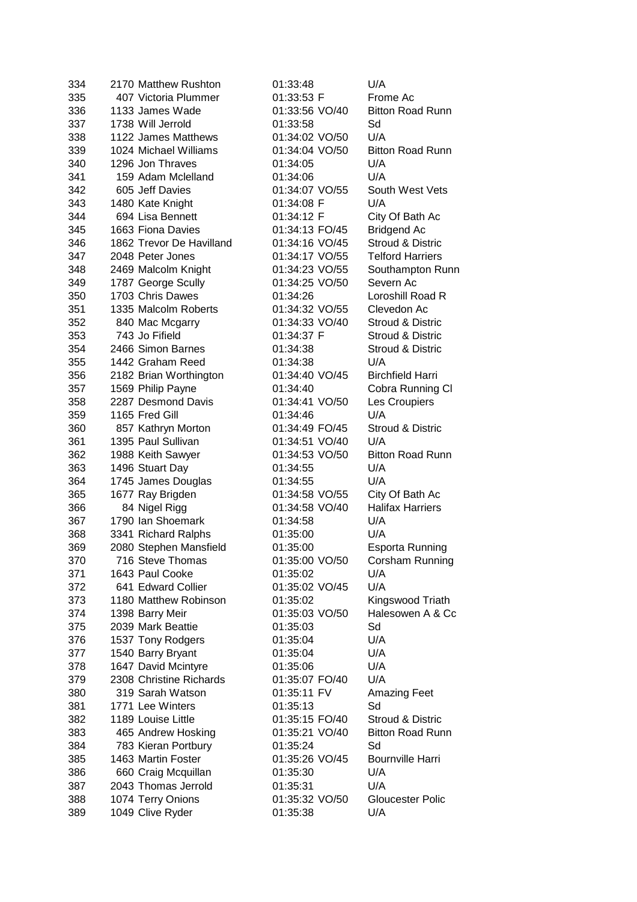| 334 | 2170 Matthew Rushton     | 01:33:48       | U/A                     |
|-----|--------------------------|----------------|-------------------------|
| 335 | 407 Victoria Plummer     | 01:33:53 F     | Frome Ac                |
| 336 | 1133 James Wade          | 01:33:56 VO/40 | <b>Bitton Road Runn</b> |
| 337 | 1738 Will Jerrold        | 01:33:58       | Sd                      |
| 338 | 1122 James Matthews      | 01:34:02 VO/50 | U/A                     |
| 339 | 1024 Michael Williams    | 01:34:04 VO/50 | <b>Bitton Road Runn</b> |
| 340 | 1296 Jon Thraves         | 01:34:05       | U/A                     |
| 341 | 159 Adam Mclelland       | 01:34:06       | U/A                     |
| 342 | 605 Jeff Davies          | 01:34:07 VO/55 | South West Vets         |
| 343 | 1480 Kate Knight         | 01:34:08 F     | U/A                     |
| 344 | 694 Lisa Bennett         | 01:34:12 F     | City Of Bath Ac         |
| 345 | 1663 Fiona Davies        | 01:34:13 FO/45 | <b>Bridgend Ac</b>      |
| 346 | 1862 Trevor De Havilland | 01:34:16 VO/45 | Stroud & Distric        |
| 347 | 2048 Peter Jones         | 01:34:17 VO/55 | <b>Telford Harriers</b> |
| 348 |                          | 01:34:23 VO/55 |                         |
| 349 | 2469 Malcolm Knight      | 01:34:25 VO/50 | Southampton Runn        |
|     | 1787 George Scully       |                | Severn Ac               |
| 350 | 1703 Chris Dawes         | 01:34:26       | Loroshill Road R        |
| 351 | 1335 Malcolm Roberts     | 01:34:32 VO/55 | Clevedon Ac             |
| 352 | 840 Mac Mcgarry          | 01:34:33 VO/40 | Stroud & Distric        |
| 353 | 743 Jo Fifield           | 01:34:37 F     | Stroud & Distric        |
| 354 | 2466 Simon Barnes        | 01:34:38       | Stroud & Distric        |
| 355 | 1442 Graham Reed         | 01:34:38       | U/A                     |
| 356 | 2182 Brian Worthington   | 01:34:40 VO/45 | <b>Birchfield Harri</b> |
| 357 | 1569 Philip Payne        | 01:34:40       | Cobra Running CI        |
| 358 | 2287 Desmond Davis       | 01:34:41 VO/50 | Les Croupiers           |
| 359 | 1165 Fred Gill           | 01:34:46       | U/A                     |
| 360 | 857 Kathryn Morton       | 01:34:49 FO/45 | Stroud & Distric        |
| 361 | 1395 Paul Sullivan       | 01:34:51 VO/40 | U/A                     |
| 362 | 1988 Keith Sawyer        | 01:34:53 VO/50 | <b>Bitton Road Runn</b> |
| 363 | 1496 Stuart Day          | 01:34:55       | U/A                     |
| 364 | 1745 James Douglas       | 01:34:55       | U/A                     |
| 365 | 1677 Ray Brigden         | 01:34:58 VO/55 | City Of Bath Ac         |
| 366 | 84 Nigel Rigg            | 01:34:58 VO/40 | <b>Halifax Harriers</b> |
| 367 | 1790 Ian Shoemark        | 01:34:58       | U/A                     |
| 368 | 3341 Richard Ralphs      | 01:35:00       | U/A                     |
| 369 | 2080 Stephen Mansfield   | 01:35:00       | <b>Esporta Running</b>  |
| 370 | 716 Steve Thomas         | 01:35:00 VO/50 | Corsham Running         |
| 371 | 1643 Paul Cooke          | 01:35:02       | U/A                     |
| 372 | 641 Edward Collier       | 01:35:02 VO/45 | U/A                     |
| 373 | 1180 Matthew Robinson    | 01:35:02       | Kingswood Triath        |
| 374 | 1398 Barry Meir          | 01:35:03 VO/50 | Halesowen A & Cc        |
| 375 | 2039 Mark Beattie        | 01:35:03       | Sd                      |
| 376 | 1537 Tony Rodgers        | 01:35:04       | U/A                     |
| 377 | 1540 Barry Bryant        | 01:35:04       | U/A                     |
| 378 | 1647 David Mcintyre      | 01:35:06       | U/A                     |
|     |                          |                | U/A                     |
| 379 | 2308 Christine Richards  | 01:35:07 FO/40 |                         |
| 380 | 319 Sarah Watson         | 01:35:11 FV    | <b>Amazing Feet</b>     |
| 381 | 1771 Lee Winters         | 01:35:13       | Sd                      |
| 382 | 1189 Louise Little       | 01:35:15 FO/40 | Stroud & Distric        |
| 383 | 465 Andrew Hosking       | 01:35:21 VO/40 | <b>Bitton Road Runn</b> |
| 384 | 783 Kieran Portbury      | 01:35:24       | Sd                      |
| 385 | 1463 Martin Foster       | 01:35:26 VO/45 | <b>Bournville Harri</b> |
| 386 | 660 Craig Mcquillan      | 01:35:30       | U/A                     |
| 387 | 2043 Thomas Jerrold      | 01:35:31       | U/A                     |
| 388 | 1074 Terry Onions        | 01:35:32 VO/50 | <b>Gloucester Polic</b> |
| 389 | 1049 Clive Ryder         | 01:35:38       | U/A                     |
|     |                          |                |                         |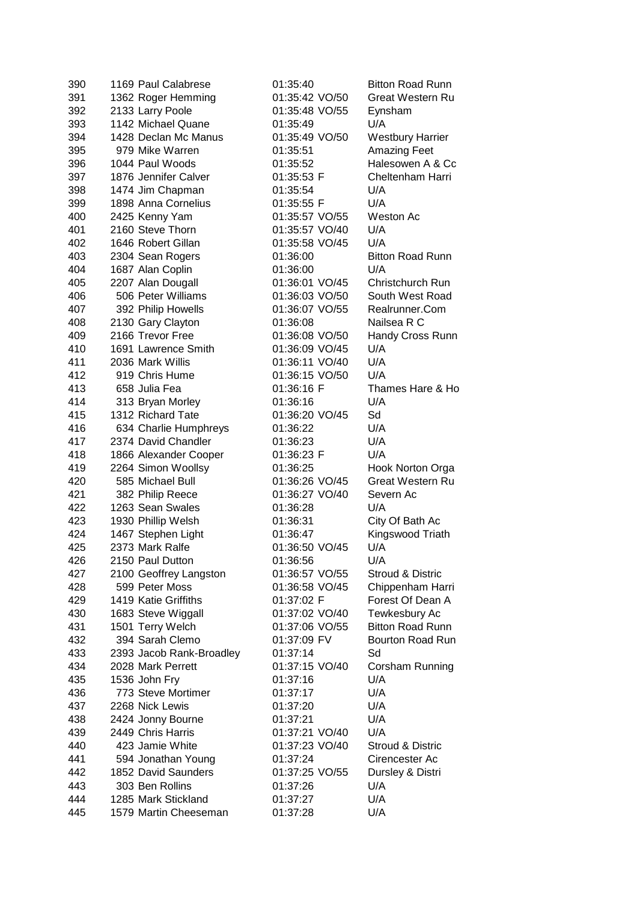| 390 | 1169 Paul Calabrese      | 01:35:40       | <b>Bitton Road Runn</b>     |
|-----|--------------------------|----------------|-----------------------------|
| 391 | 1362 Roger Hemming       | 01:35:42 VO/50 | Great Western Ru            |
| 392 | 2133 Larry Poole         | 01:35:48 VO/55 | Eynsham                     |
| 393 | 1142 Michael Quane       | 01:35:49       | U/A                         |
| 394 | 1428 Declan Mc Manus     | 01:35:49 VO/50 | <b>Westbury Harrier</b>     |
| 395 | 979 Mike Warren          | 01:35:51       | <b>Amazing Feet</b>         |
| 396 | 1044 Paul Woods          | 01:35:52       | Halesowen A & Cc            |
| 397 | 1876 Jennifer Calver     | 01:35:53 F     | Cheltenham Harri            |
| 398 | 1474 Jim Chapman         | 01:35:54       | U/A                         |
| 399 | 1898 Anna Cornelius      | 01:35:55 F     | U/A                         |
| 400 | 2425 Kenny Yam           | 01:35:57 VO/55 | <b>Weston Ac</b>            |
| 401 | 2160 Steve Thorn         | 01:35:57 VO/40 | U/A                         |
| 402 | 1646 Robert Gillan       | 01:35:58 VO/45 | U/A                         |
| 403 | 2304 Sean Rogers         | 01:36:00       | <b>Bitton Road Runn</b>     |
| 404 | 1687 Alan Coplin         | 01:36:00       | U/A                         |
| 405 | 2207 Alan Dougall        | 01:36:01 VO/45 | Christchurch Run            |
| 406 | 506 Peter Williams       | 01:36:03 VO/50 | South West Road             |
| 407 | 392 Philip Howells       | 01:36:07 VO/55 | Realrunner.Com              |
| 408 | 2130 Gary Clayton        | 01:36:08       | Nailsea R C                 |
| 409 | 2166 Trevor Free         | 01:36:08 VO/50 | Handy Cross Runn            |
| 410 | 1691 Lawrence Smith      | 01:36:09 VO/45 | U/A                         |
| 411 | 2036 Mark Willis         | 01:36:11 VO/40 | U/A                         |
| 412 | 919 Chris Hume           | 01:36:15 VO/50 | U/A                         |
| 413 | 658 Julia Fea            | 01:36:16 F     | Thames Hare & Ho            |
| 414 | 313 Bryan Morley         | 01:36:16       | U/A                         |
| 415 | 1312 Richard Tate        | 01:36:20 VO/45 | Sd                          |
| 416 | 634 Charlie Humphreys    | 01:36:22       | U/A                         |
| 417 | 2374 David Chandler      | 01:36:23       | U/A                         |
| 418 | 1866 Alexander Cooper    | 01:36:23 F     | U/A                         |
| 419 | 2264 Simon Woollsy       | 01:36:25       | Hook Norton Orga            |
| 420 | 585 Michael Bull         | 01:36:26 VO/45 | <b>Great Western Ru</b>     |
| 421 | 382 Philip Reece         | 01:36:27 VO/40 | Severn Ac                   |
| 422 | 1263 Sean Swales         | 01:36:28       | U/A                         |
| 423 | 1930 Phillip Welsh       | 01:36:31       | City Of Bath Ac             |
| 424 | 1467 Stephen Light       | 01:36:47       | Kingswood Triath            |
| 425 | 2373 Mark Ralfe          | 01:36:50 VO/45 | U/A                         |
| 426 | 2150 Paul Dutton         | 01:36:56       | U/A                         |
| 427 | 2100 Geoffrey Langston   | 01:36:57 VO/55 | <b>Stroud &amp; Distric</b> |
| 428 | 599 Peter Moss           | 01:36:58 VO/45 | Chippenham Harri            |
| 429 | 1419 Katie Griffiths     | 01:37:02 F     | Forest Of Dean A            |
| 430 | 1683 Steve Wiggall       | 01:37:02 VO/40 | Tewkesbury Ac               |
| 431 | 1501 Terry Welch         | 01:37:06 VO/55 | <b>Bitton Road Runn</b>     |
| 432 | 394 Sarah Clemo          | 01:37:09 FV    | <b>Bourton Road Run</b>     |
| 433 | 2393 Jacob Rank-Broadley | 01:37:14       | Sd                          |
| 434 | 2028 Mark Perrett        | 01:37:15 VO/40 | Corsham Running             |
| 435 | 1536 John Fry            | 01:37:16       | U/A                         |
| 436 | 773 Steve Mortimer       | 01:37:17       | U/A                         |
| 437 | 2268 Nick Lewis          | 01:37:20       | U/A                         |
| 438 | 2424 Jonny Bourne        | 01:37:21       | U/A                         |
| 439 | 2449 Chris Harris        | 01:37:21 VO/40 | U/A                         |
| 440 | 423 Jamie White          | 01:37:23 VO/40 | Stroud & Distric            |
| 441 | 594 Jonathan Young       | 01:37:24       | Cirencester Ac              |
| 442 | 1852 David Saunders      | 01:37:25 VO/55 | Dursley & Distri            |
| 443 | 303 Ben Rollins          | 01:37:26       | U/A                         |
| 444 | 1285 Mark Stickland      | 01:37:27       | U/A                         |
| 445 | 1579 Martin Cheeseman    | 01:37:28       | U/A                         |
|     |                          |                |                             |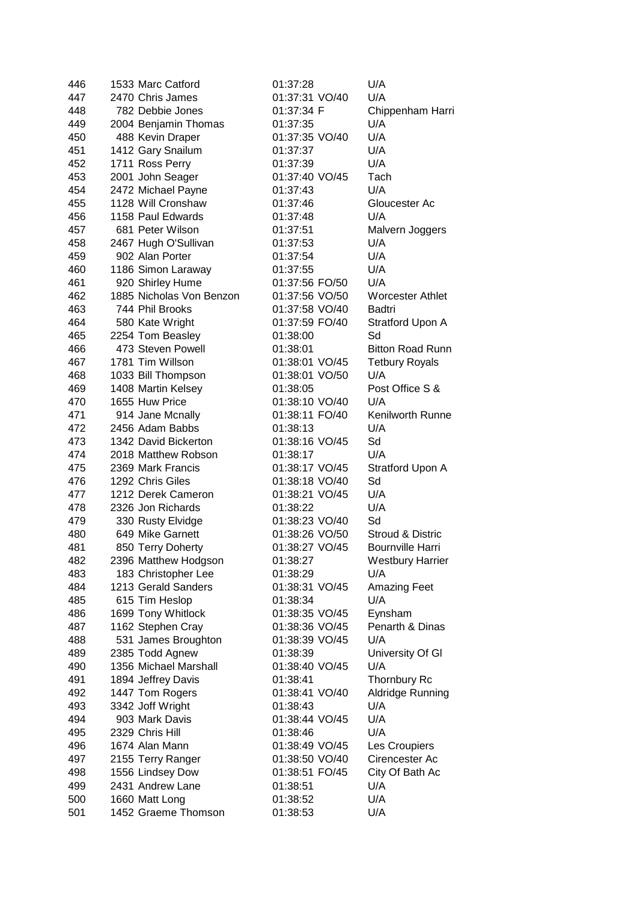| 446 | 1533 Marc Catford        | 01:37:28       | U/A                     |
|-----|--------------------------|----------------|-------------------------|
| 447 | 2470 Chris James         | 01:37:31 VO/40 | U/A                     |
| 448 | 782 Debbie Jones         | 01:37:34 F     | Chippenham Harri        |
| 449 | 2004 Benjamin Thomas     | 01:37:35       | U/A                     |
| 450 | 488 Kevin Draper         | 01:37:35 VO/40 | U/A                     |
| 451 | 1412 Gary Snailum        | 01:37:37       | U/A                     |
| 452 | 1711 Ross Perry          | 01:37:39       | U/A                     |
| 453 | 2001 John Seager         | 01:37:40 VO/45 | Tach                    |
| 454 | 2472 Michael Payne       | 01:37:43       | U/A                     |
| 455 | 1128 Will Cronshaw       | 01:37:46       | Gloucester Ac           |
| 456 | 1158 Paul Edwards        | 01:37:48       | U/A                     |
| 457 | 681 Peter Wilson         | 01:37:51       | Malvern Joggers         |
| 458 | 2467 Hugh O'Sullivan     | 01:37:53       | U/A                     |
| 459 | 902 Alan Porter          | 01:37:54       | U/A                     |
| 460 | 1186 Simon Laraway       | 01:37:55       | U/A                     |
| 461 | 920 Shirley Hume         | 01:37:56 FO/50 | U/A                     |
| 462 | 1885 Nicholas Von Benzon | 01:37:56 VO/50 | <b>Worcester Athlet</b> |
| 463 | 744 Phil Brooks          | 01:37:58 VO/40 | Badtri                  |
| 464 | 580 Kate Wright          | 01:37:59 FO/40 | Stratford Upon A        |
| 465 | 2254 Tom Beasley         | 01:38:00       | Sd                      |
| 466 | 473 Steven Powell        | 01:38:01       | <b>Bitton Road Runn</b> |
| 467 | 1781 Tim Willson         | 01:38:01 VO/45 | <b>Tetbury Royals</b>   |
| 468 | 1033 Bill Thompson       | 01:38:01 VO/50 | U/A                     |
| 469 | 1408 Martin Kelsey       | 01:38:05       | Post Office S &         |
| 470 | 1655 Huw Price           | 01:38:10 VO/40 | U/A                     |
| 471 | 914 Jane Mcnally         | 01:38:11 FO/40 | Kenilworth Runne        |
| 472 | 2456 Adam Babbs          | 01:38:13       | U/A                     |
| 473 | 1342 David Bickerton     | 01:38:16 VO/45 | Sd                      |
| 474 | 2018 Matthew Robson      | 01:38:17       | U/A                     |
| 475 | 2369 Mark Francis        | 01:38:17 VO/45 | Stratford Upon A        |
| 476 | 1292 Chris Giles         | 01:38:18 VO/40 | Sd                      |
| 477 | 1212 Derek Cameron       | 01:38:21 VO/45 | U/A                     |
| 478 | 2326 Jon Richards        | 01:38:22       | U/A                     |
| 479 | 330 Rusty Elvidge        | 01:38:23 VO/40 | Sd                      |
| 480 | 649 Mike Garnett         | 01:38:26 VO/50 | Stroud & Distric        |
| 481 | 850 Terry Doherty        | 01:38:27 VO/45 | <b>Bournville Harri</b> |
| 482 | 2396 Matthew Hodgson     | 01:38:27       | <b>Westbury Harrier</b> |
| 483 | 183 Christopher Lee      | 01:38:29       | U/A                     |
| 484 | 1213 Gerald Sanders      | 01:38:31 VO/45 | <b>Amazing Feet</b>     |
| 485 | 615 Tim Heslop           | 01:38:34       | U/A                     |
| 486 | 1699 Tony Whitlock       | 01:38:35 VO/45 | Eynsham                 |
| 487 | 1162 Stephen Cray        | 01:38:36 VO/45 | Penarth & Dinas         |
| 488 | 531 James Broughton      | 01:38:39 VO/45 | U/A                     |
| 489 | 2385 Todd Agnew          | 01:38:39       | University Of GI        |
| 490 | 1356 Michael Marshall    | 01:38:40 VO/45 | U/A                     |
| 491 | 1894 Jeffrey Davis       | 01:38:41       | Thornbury Rc            |
| 492 | 1447 Tom Rogers          | 01:38:41 VO/40 | Aldridge Running        |
| 493 | 3342 Joff Wright         | 01:38:43       | U/A                     |
| 494 | 903 Mark Davis           | 01:38:44 VO/45 | U/A                     |
| 495 | 2329 Chris Hill          | 01:38:46       | U/A                     |
| 496 | 1674 Alan Mann           | 01:38:49 VO/45 | Les Croupiers           |
| 497 | 2155 Terry Ranger        | 01:38:50 VO/40 | Cirencester Ac          |
| 498 | 1556 Lindsey Dow         | 01:38:51 FO/45 | City Of Bath Ac         |
| 499 | 2431 Andrew Lane         | 01:38:51       | U/A                     |
| 500 | 1660 Matt Long           | 01:38:52       | U/A                     |
| 501 | 1452 Graeme Thomson      | 01:38:53       | U/A                     |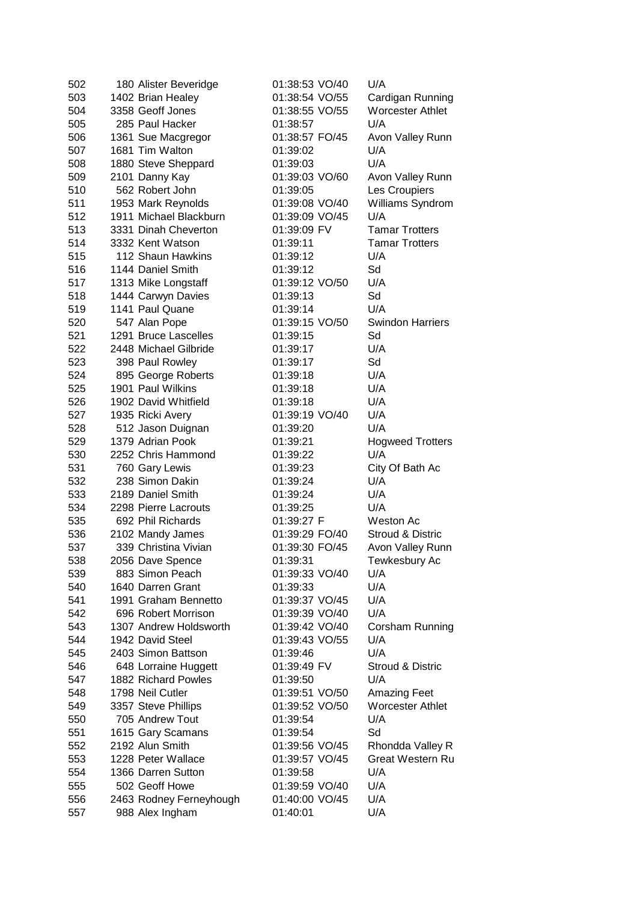| 502 | 180 Alister Beveridge   | 01:38:53 VO/40 | U/A                         |
|-----|-------------------------|----------------|-----------------------------|
| 503 | 1402 Brian Healey       | 01:38:54 VO/55 | Cardigan Running            |
| 504 | 3358 Geoff Jones        | 01:38:55 VO/55 | <b>Worcester Athlet</b>     |
| 505 | 285 Paul Hacker         | 01:38:57       | U/A                         |
| 506 | 1361 Sue Macgregor      | 01:38:57 FO/45 | Avon Valley Runn            |
| 507 | 1681 Tim Walton         | 01:39:02       | U/A                         |
| 508 | 1880 Steve Sheppard     | 01:39:03       | U/A                         |
| 509 | 2101 Danny Kay          | 01:39:03 VO/60 | Avon Valley Runn            |
| 510 | 562 Robert John         | 01:39:05       | Les Croupiers               |
| 511 | 1953 Mark Reynolds      | 01:39:08 VO/40 | Williams Syndrom            |
| 512 | 1911 Michael Blackburn  | 01:39:09 VO/45 | U/A                         |
| 513 | 3331 Dinah Cheverton    | 01:39:09 FV    | <b>Tamar Trotters</b>       |
| 514 | 3332 Kent Watson        | 01:39:11       | <b>Tamar Trotters</b>       |
| 515 | 112 Shaun Hawkins       | 01:39:12       | U/A                         |
| 516 | 1144 Daniel Smith       | 01:39:12       | Sd                          |
| 517 | 1313 Mike Longstaff     | 01:39:12 VO/50 | U/A                         |
| 518 | 1444 Carwyn Davies      | 01:39:13       | Sd                          |
| 519 | 1141 Paul Quane         | 01:39:14       | U/A                         |
| 520 | 547 Alan Pope           | 01:39:15 VO/50 | <b>Swindon Harriers</b>     |
| 521 | 1291 Bruce Lascelles    | 01:39:15       | Sd                          |
| 522 | 2448 Michael Gilbride   | 01:39:17       | U/A                         |
| 523 | 398 Paul Rowley         | 01:39:17       | Sd                          |
| 524 | 895 George Roberts      | 01:39:18       | U/A                         |
| 525 | 1901 Paul Wilkins       | 01:39:18       | U/A                         |
| 526 | 1902 David Whitfield    | 01:39:18       | U/A                         |
| 527 | 1935 Ricki Avery        | 01:39:19 VO/40 | U/A                         |
| 528 | 512 Jason Duignan       | 01:39:20       | U/A                         |
| 529 | 1379 Adrian Pook        | 01:39:21       | <b>Hogweed Trotters</b>     |
| 530 | 2252 Chris Hammond      | 01:39:22       | U/A                         |
| 531 | 760 Gary Lewis          | 01:39:23       | City Of Bath Ac             |
| 532 | 238 Simon Dakin         | 01:39:24       | U/A                         |
| 533 | 2189 Daniel Smith       | 01:39:24       | U/A                         |
| 534 | 2298 Pierre Lacrouts    | 01:39:25       | U/A                         |
| 535 | 692 Phil Richards       | 01:39:27 F     | Weston Ac                   |
| 536 | 2102 Mandy James        | 01:39:29 FO/40 | <b>Stroud &amp; Distric</b> |
| 537 | 339 Christina Vivian    | 01:39:30 FO/45 | Avon Valley Runn            |
| 538 | 2056 Dave Spence        | 01:39:31       | Tewkesbury Ac               |
| 539 | 883 Simon Peach         | 01:39:33 VO/40 | U/A                         |
| 540 | 1640 Darren Grant       | 01:39:33       | U/A                         |
| 541 | 1991 Graham Bennetto    | 01:39:37 VO/45 | U/A                         |
| 542 | 696 Robert Morrison     | 01:39:39 VO/40 | U/A                         |
| 543 | 1307 Andrew Holdsworth  | 01:39:42 VO/40 | Corsham Running             |
| 544 | 1942 David Steel        | 01:39:43 VO/55 | U/A                         |
| 545 | 2403 Simon Battson      | 01:39:46       | U/A                         |
| 546 | 648 Lorraine Huggett    | 01:39:49 FV    | Stroud & Distric            |
| 547 | 1882 Richard Powles     | 01:39:50       | U/A                         |
| 548 | 1798 Neil Cutler        | 01:39:51 VO/50 | Amazing Feet                |
| 549 | 3357 Steve Phillips     | 01:39:52 VO/50 | <b>Worcester Athlet</b>     |
| 550 | 705 Andrew Tout         | 01:39:54       | U/A                         |
| 551 | 1615 Gary Scamans       | 01:39:54       | Sd                          |
| 552 | 2192 Alun Smith         | 01:39:56 VO/45 | Rhondda Valley R            |
| 553 | 1228 Peter Wallace      | 01:39:57 VO/45 | <b>Great Western Ru</b>     |
| 554 | 1366 Darren Sutton      | 01:39:58       | U/A                         |
| 555 | 502 Geoff Howe          | 01:39:59 VO/40 | U/A                         |
| 556 | 2463 Rodney Ferneyhough | 01:40:00 VO/45 | U/A                         |
| 557 | 988 Alex Ingham         | 01:40:01       | U/A                         |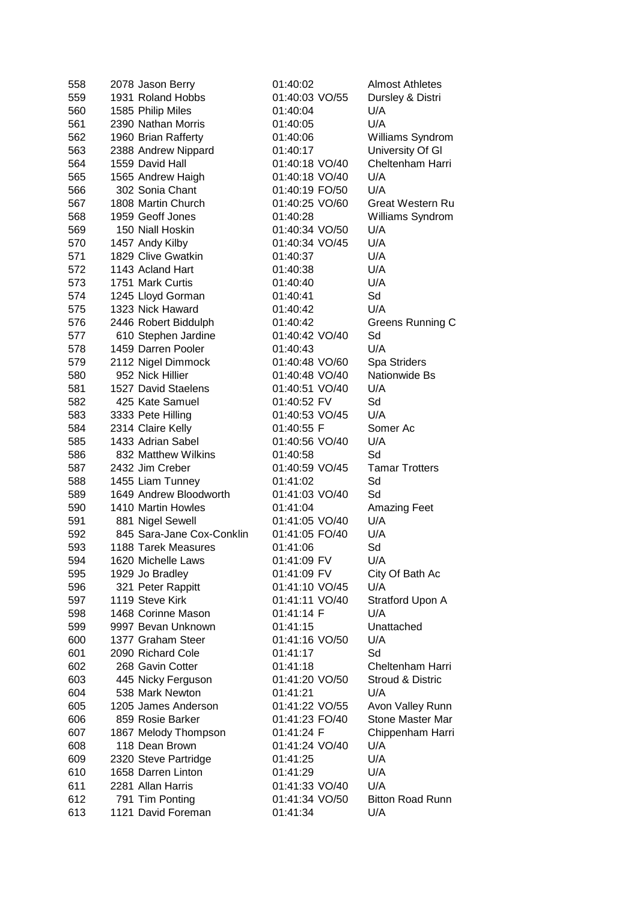| 558 | 2078 Jason Berry          | 01:40:02       | <b>Almost Athletes</b>      |
|-----|---------------------------|----------------|-----------------------------|
| 559 | 1931 Roland Hobbs         | 01:40:03 VO/55 | Dursley & Distri            |
| 560 | 1585 Philip Miles         | 01:40:04       | U/A                         |
| 561 | 2390 Nathan Morris        | 01:40:05       | U/A                         |
| 562 | 1960 Brian Rafferty       | 01:40:06       | Williams Syndrom            |
| 563 | 2388 Andrew Nippard       | 01:40:17       | University Of GI            |
| 564 | 1559 David Hall           | 01:40:18 VO/40 | Cheltenham Harri            |
| 565 | 1565 Andrew Haigh         | 01:40:18 VO/40 | U/A                         |
| 566 | 302 Sonia Chant           | 01:40:19 FO/50 | U/A                         |
| 567 | 1808 Martin Church        | 01:40:25 VO/60 | <b>Great Western Ru</b>     |
| 568 | 1959 Geoff Jones          | 01:40:28       | Williams Syndrom            |
| 569 | 150 Niall Hoskin          | 01:40:34 VO/50 | U/A                         |
| 570 | 1457 Andy Kilby           | 01:40:34 VO/45 | U/A                         |
| 571 | 1829 Clive Gwatkin        | 01:40:37       | U/A                         |
| 572 | 1143 Acland Hart          | 01:40:38       | U/A                         |
| 573 | 1751 Mark Curtis          | 01:40:40       | U/A                         |
| 574 | 1245 Lloyd Gorman         | 01:40:41       | Sd                          |
| 575 | 1323 Nick Haward          | 01:40:42       | U/A                         |
| 576 | 2446 Robert Biddulph      | 01:40:42       | Greens Running C            |
| 577 | 610 Stephen Jardine       | 01:40:42 VO/40 | Sd                          |
| 578 | 1459 Darren Pooler        | 01:40:43       | U/A                         |
| 579 | 2112 Nigel Dimmock        | 01:40:48 VO/60 | Spa Striders                |
| 580 | 952 Nick Hillier          | 01:40:48 VO/40 | Nationwide Bs               |
| 581 | 1527 David Staelens       | 01:40:51 VO/40 | U/A                         |
| 582 | 425 Kate Samuel           | 01:40:52 FV    | Sd                          |
| 583 | 3333 Pete Hilling         | 01:40:53 VO/45 | U/A                         |
| 584 | 2314 Claire Kelly         | 01:40:55 F     | Somer Ac                    |
| 585 | 1433 Adrian Sabel         | 01:40:56 VO/40 | U/A                         |
| 586 | 832 Matthew Wilkins       | 01:40:58       | Sd                          |
| 587 | 2432 Jim Creber           | 01:40:59 VO/45 | <b>Tamar Trotters</b>       |
| 588 | 1455 Liam Tunney          | 01:41:02       | Sd                          |
| 589 | 1649 Andrew Bloodworth    | 01:41:03 VO/40 | Sd                          |
| 590 | 1410 Martin Howles        | 01:41:04       | Amazing Feet                |
| 591 | 881 Nigel Sewell          | 01:41:05 VO/40 | U/A                         |
| 592 | 845 Sara-Jane Cox-Conklin | 01:41:05 FO/40 | U/A                         |
| 593 | 1188 Tarek Measures       | 01:41:06       | Sd                          |
| 594 | 1620 Michelle Laws        | 01:41:09 FV    | U/A                         |
| 595 | 1929 Jo Bradley           | 01:41:09 FV    | City Of Bath Ac             |
| 596 | 321 Peter Rappitt         | 01:41:10 VO/45 | U/A                         |
| 597 | 1119 Steve Kirk           | 01:41:11 VO/40 | Stratford Upon A            |
| 598 | 1468 Corinne Mason        | 01:41:14 F     | U/A                         |
| 599 | 9997 Bevan Unknown        | 01:41:15       | Unattached                  |
| 600 | 1377 Graham Steer         | 01:41:16 VO/50 | U/A                         |
| 601 | 2090 Richard Cole         | 01:41:17       | Sd                          |
| 602 | 268 Gavin Cotter          | 01:41:18       | Cheltenham Harri            |
| 603 | 445 Nicky Ferguson        | 01:41:20 VO/50 | <b>Stroud &amp; Distric</b> |
| 604 | 538 Mark Newton           | 01:41:21       | U/A                         |
| 605 | 1205 James Anderson       | 01:41:22 VO/55 | Avon Valley Runn            |
| 606 | 859 Rosie Barker          | 01:41:23 FO/40 | Stone Master Mar            |
| 607 | 1867 Melody Thompson      | 01:41:24 F     | Chippenham Harri            |
| 608 | 118 Dean Brown            | 01:41:24 VO/40 | U/A                         |
| 609 | 2320 Steve Partridge      | 01:41:25       | U/A                         |
| 610 | 1658 Darren Linton        | 01:41:29       | U/A                         |
| 611 | 2281 Allan Harris         | 01:41:33 VO/40 | U/A                         |
| 612 | 791 Tim Ponting           | 01:41:34 VO/50 | <b>Bitton Road Runn</b>     |
| 613 | 1121 David Foreman        | 01:41:34       | U/A                         |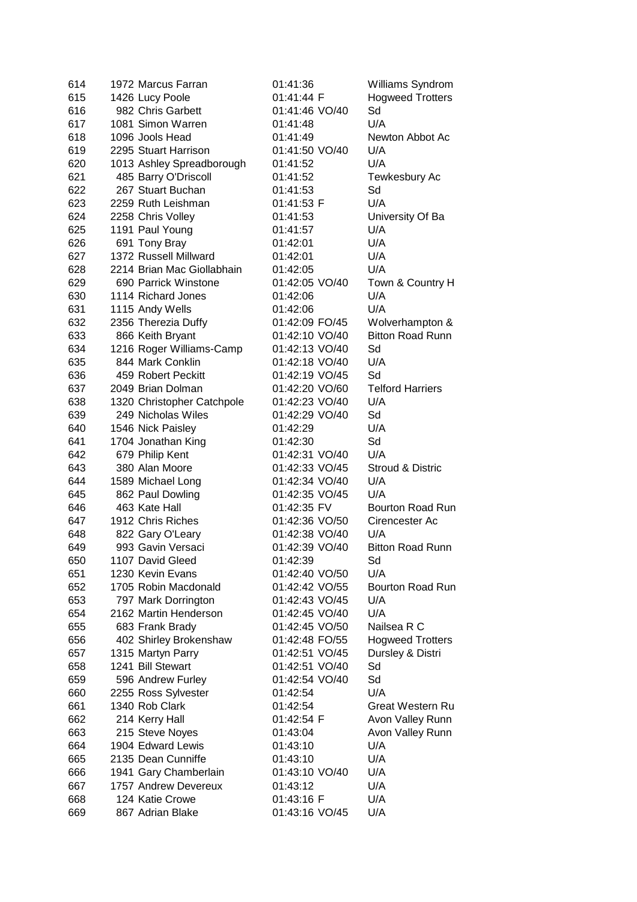| 614 | 1972 Marcus Farran         | 01:41:36       | Williams Syndrom        |
|-----|----------------------------|----------------|-------------------------|
| 615 | 1426 Lucy Poole            | 01:41:44 F     | <b>Hogweed Trotters</b> |
| 616 | 982 Chris Garbett          | 01:41:46 VO/40 | Sd                      |
| 617 | 1081 Simon Warren          | 01:41:48       | U/A                     |
| 618 | 1096 Jools Head            | 01:41:49       | Newton Abbot Ac         |
| 619 | 2295 Stuart Harrison       | 01:41:50 VO/40 | U/A                     |
| 620 | 1013 Ashley Spreadborough  | 01:41:52       | U/A                     |
| 621 | 485 Barry O'Driscoll       | 01:41:52       | Tewkesbury Ac           |
| 622 | 267 Stuart Buchan          | 01:41:53       | Sd                      |
| 623 | 2259 Ruth Leishman         | 01:41:53 F     | U/A                     |
| 624 | 2258 Chris Volley          | 01:41:53       | University Of Ba        |
| 625 | 1191 Paul Young            | 01:41:57       | U/A                     |
| 626 | 691 Tony Bray              | 01:42:01       | U/A                     |
| 627 | 1372 Russell Millward      | 01:42:01       | U/A                     |
| 628 | 2214 Brian Mac Giollabhain | 01:42:05       | U/A                     |
| 629 | 690 Parrick Winstone       | 01:42:05 VO/40 | Town & Country H        |
| 630 | 1114 Richard Jones         | 01:42:06       | U/A                     |
| 631 | 1115 Andy Wells            | 01:42:06       | U/A                     |
| 632 | 2356 Therezia Duffy        | 01:42:09 FO/45 | Wolverhampton &         |
| 633 | 866 Keith Bryant           | 01:42:10 VO/40 | <b>Bitton Road Runn</b> |
| 634 | 1216 Roger Williams-Camp   | 01:42:13 VO/40 | Sd                      |
| 635 | 844 Mark Conklin           | 01:42:18 VO/40 | U/A                     |
| 636 | 459 Robert Peckitt         | 01:42:19 VO/45 | Sd                      |
| 637 | 2049 Brian Dolman          | 01:42:20 VO/60 | <b>Telford Harriers</b> |
| 638 | 1320 Christopher Catchpole | 01:42:23 VO/40 | U/A                     |
| 639 | 249 Nicholas Wiles         | 01:42:29 VO/40 | Sd                      |
| 640 | 1546 Nick Paisley          | 01:42:29       | U/A                     |
| 641 | 1704 Jonathan King         | 01:42:30       | Sd                      |
| 642 | 679 Philip Kent            | 01:42:31 VO/40 | U/A                     |
| 643 | 380 Alan Moore             | 01:42:33 VO/45 | Stroud & Distric        |
| 644 | 1589 Michael Long          | 01:42:34 VO/40 | U/A                     |
| 645 | 862 Paul Dowling           | 01:42:35 VO/45 | U/A                     |
| 646 | 463 Kate Hall              | 01:42:35 FV    | Bourton Road Run        |
| 647 | 1912 Chris Riches          | 01:42:36 VO/50 | Cirencester Ac          |
| 648 | 822 Gary O'Leary           | 01:42:38 VO/40 | U/A                     |
| 649 | 993 Gavin Versaci          | 01:42:39 VO/40 | <b>Bitton Road Runn</b> |
| 650 | 1107 David Gleed           | 01:42:39       | Sd                      |
| 651 | 1230 Kevin Evans           | 01:42:40 VO/50 | U/A                     |
| 652 | 1705 Robin Macdonald       | 01:42:42 VO/55 | <b>Bourton Road Run</b> |
| 653 | 797 Mark Dorrington        | 01:42:43 VO/45 | U/A                     |
| 654 | 2162 Martin Henderson      | 01:42:45 VO/40 | U/A                     |
| 655 | 683 Frank Brady            | 01:42:45 VO/50 | Nailsea R C             |
| 656 | 402 Shirley Brokenshaw     | 01:42:48 FO/55 | <b>Hogweed Trotters</b> |
| 657 | 1315 Martyn Parry          | 01:42:51 VO/45 | Dursley & Distri        |
| 658 | 1241 Bill Stewart          | 01:42:51 VO/40 | Sd                      |
| 659 | 596 Andrew Furley          | 01:42:54 VO/40 | Sd                      |
| 660 | 2255 Ross Sylvester        | 01:42:54       | U/A                     |
| 661 | 1340 Rob Clark             | 01:42:54       | <b>Great Western Ru</b> |
| 662 | 214 Kerry Hall             | 01:42:54 F     | Avon Valley Runn        |
| 663 | 215 Steve Noyes            | 01:43:04       | Avon Valley Runn        |
| 664 | 1904 Edward Lewis          | 01:43:10       | U/A                     |
| 665 | 2135 Dean Cunniffe         | 01:43:10       | U/A                     |
| 666 | 1941 Gary Chamberlain      | 01:43:10 VO/40 | U/A                     |
| 667 | 1757 Andrew Devereux       | 01:43:12       | U/A                     |
| 668 | 124 Katie Crowe            | 01:43:16 F     | U/A                     |
| 669 | 867 Adrian Blake           | 01:43:16 VO/45 | U/A                     |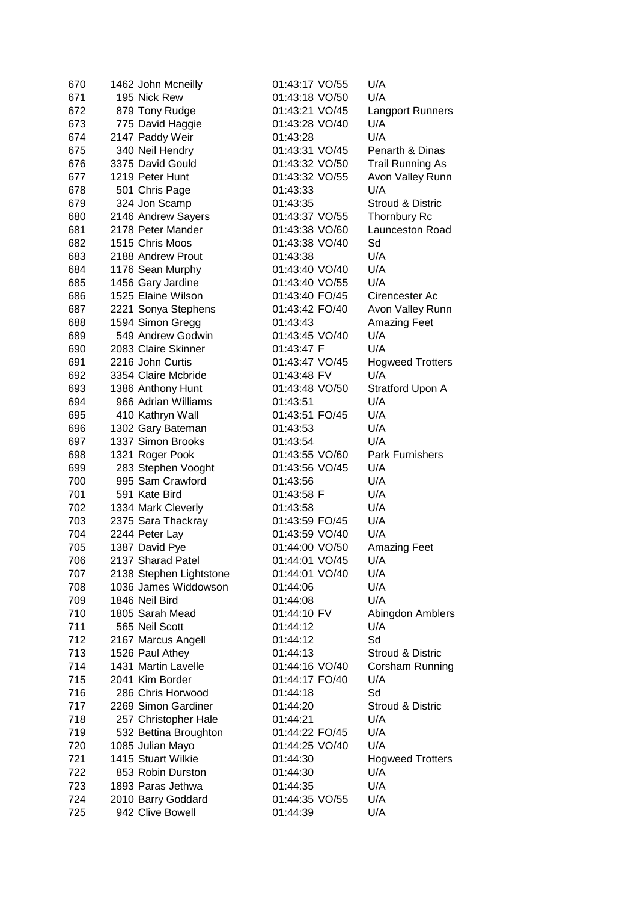| 670        | 1462 John Mcneilly                              | 01:43:17 VO/55          | U/A                     |
|------------|-------------------------------------------------|-------------------------|-------------------------|
| 671        | 195 Nick Rew                                    | 01:43:18 VO/50          | U/A                     |
| 672        | 879 Tony Rudge                                  | 01:43:21 VO/45          | <b>Langport Runners</b> |
| 673        | 775 David Haggie                                | 01:43:28 VO/40          | U/A                     |
| 674        | 2147 Paddy Weir                                 | 01:43:28                | U/A                     |
| 675        | 340 Neil Hendry                                 | 01:43:31 VO/45          | Penarth & Dinas         |
| 676        | 3375 David Gould                                | 01:43:32 VO/50          | <b>Trail Running As</b> |
| 677        | 1219 Peter Hunt                                 | 01:43:32 VO/55          | Avon Valley Runn        |
| 678        | 501 Chris Page                                  | 01:43:33                | U/A                     |
| 679        | 324 Jon Scamp                                   | 01:43:35                | Stroud & Distric        |
| 680        | 2146 Andrew Sayers                              | 01:43:37 VO/55          | <b>Thornbury Rc</b>     |
| 681        | 2178 Peter Mander                               | 01:43:38 VO/60          | Launceston Road         |
| 682        | 1515 Chris Moos                                 | 01:43:38 VO/40          | Sd                      |
| 683        | 2188 Andrew Prout                               | 01:43:38                | U/A                     |
| 684        | 1176 Sean Murphy                                | 01:43:40 VO/40          | U/A                     |
| 685        | 1456 Gary Jardine                               | 01:43:40 VO/55          | U/A                     |
| 686        | 1525 Elaine Wilson                              | 01:43:40 FO/45          | Cirencester Ac          |
| 687        | 2221 Sonya Stephens                             | 01:43:42 FO/40          | Avon Valley Runn        |
| 688        | 1594 Simon Gregg                                | 01:43:43                | <b>Amazing Feet</b>     |
| 689        | 549 Andrew Godwin                               | 01:43:45 VO/40          | U/A                     |
| 690        | 2083 Claire Skinner                             | 01:43:47 F              | U/A                     |
| 691        | 2216 John Curtis                                | 01:43:47 VO/45          | <b>Hogweed Trotters</b> |
| 692        | 3354 Claire Mcbride                             | 01:43:48 FV             | U/A                     |
| 693        | 1386 Anthony Hunt                               | 01:43:48 VO/50          | Stratford Upon A        |
| 694        | 966 Adrian Williams                             | 01:43:51                | U/A                     |
| 695        | 410 Kathryn Wall                                | 01:43:51 FO/45          | U/A                     |
| 696        | 1302 Gary Bateman                               | 01:43:53                | U/A                     |
| 697        | 1337 Simon Brooks                               | 01:43:54                | U/A                     |
| 698        | 1321 Roger Pook                                 | 01:43:55 VO/60          | Park Furnishers         |
| 699        | 283 Stephen Vooght                              | 01:43:56 VO/45          | U/A                     |
| 700        | 995 Sam Crawford                                | 01:43:56                | U/A                     |
| 701        | 591 Kate Bird                                   | 01:43:58 F              | U/A                     |
| 702        |                                                 | 01:43:58                | U/A                     |
| 703        | 1334 Mark Cleverly<br>2375 Sara Thackray        | 01:43:59 FO/45          | U/A                     |
| 704        |                                                 | 01:43:59 VO/40          | U/A                     |
| 705        | 2244 Peter Lay                                  | 01:44:00 VO/50          |                         |
|            | 1387 David Pye<br>2137 Sharad Patel             | 01:44:01 VO/45          | <b>Amazing Feet</b>     |
| 706        |                                                 |                         | U/A                     |
| 707        | 2138 Stephen Lightstone<br>1036 James Widdowson | 01:44:01 VO/40          | U/A<br>U/A              |
| 708        | 1846 Neil Bird                                  | 01:44:06                | U/A                     |
| 709        | 1805 Sarah Mead                                 | 01:44:08<br>01:44:10 FV |                         |
| 710<br>711 |                                                 |                         | Abingdon Amblers        |
|            | 565 Neil Scott                                  | 01:44:12                | U/A                     |
| 712        | 2167 Marcus Angell                              | 01:44:12                | Sd                      |
| 713        | 1526 Paul Athey                                 | 01:44:13                | Stroud & Distric        |
| 714        | 1431 Martin Lavelle                             | 01:44:16 VO/40          | Corsham Running         |
| 715        | 2041 Kim Border                                 | 01:44:17 FO/40          | U/A                     |
| 716        | 286 Chris Horwood                               | 01:44:18                | Sd                      |
| 717        | 2269 Simon Gardiner                             | 01:44:20                | Stroud & Distric        |
| 718        | 257 Christopher Hale                            | 01:44:21                | U/A                     |
| 719        | 532 Bettina Broughton                           | 01:44:22 FO/45          | U/A                     |
| 720        | 1085 Julian Mayo                                | 01:44:25 VO/40          | U/A                     |
| 721        | 1415 Stuart Wilkie                              | 01:44:30                | <b>Hogweed Trotters</b> |
| 722        | 853 Robin Durston                               | 01:44:30                | U/A                     |
| 723        | 1893 Paras Jethwa                               | 01:44:35                | U/A                     |
| 724        | 2010 Barry Goddard                              | 01:44:35 VO/55          | U/A                     |
| 725        | 942 Clive Bowell                                | 01:44:39                | U/A                     |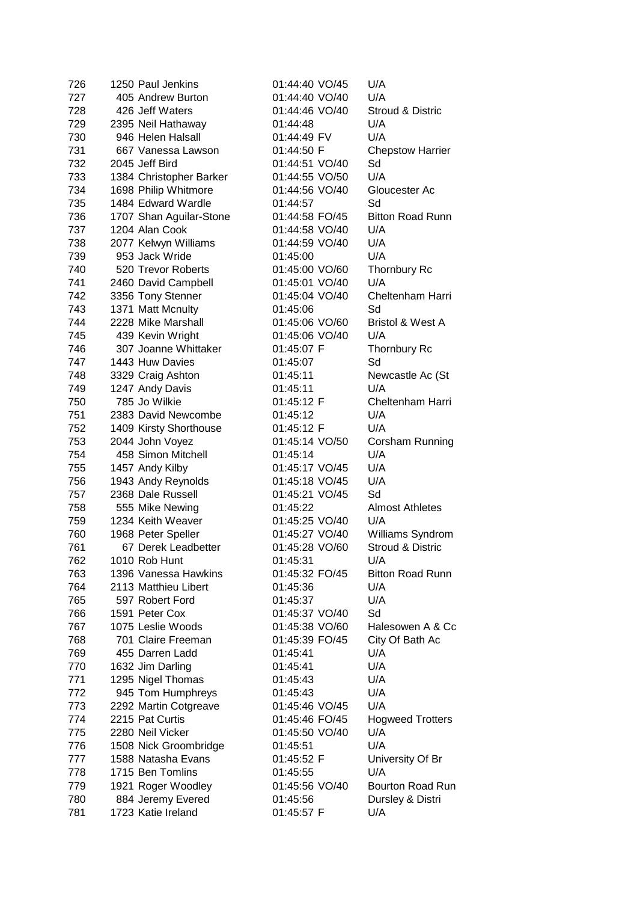| 726 | 1250 Paul Jenkins       | 01:44:40 VO/45       | U/A                         |
|-----|-------------------------|----------------------|-----------------------------|
| 727 | 405 Andrew Burton       | 01:44:40 VO/40       | U/A                         |
| 728 | 426 Jeff Waters         | 01:44:46 VO/40       | Stroud & Distric            |
| 729 | 2395 Neil Hathaway      | 01:44:48             | U/A                         |
| 730 | 946 Helen Halsall       | 01:44:49 FV          | U/A                         |
| 731 | 667 Vanessa Lawson      | 01:44:50 F           | <b>Chepstow Harrier</b>     |
| 732 | 2045 Jeff Bird          | 01:44:51 VO/40       | Sd                          |
| 733 | 1384 Christopher Barker | 01:44:55 VO/50       | U/A                         |
| 734 | 1698 Philip Whitmore    | 01:44:56 VO/40       | Gloucester Ac               |
| 735 | 1484 Edward Wardle      | 01:44:57             | Sd                          |
| 736 | 1707 Shan Aguilar-Stone | 01:44:58 FO/45       | <b>Bitton Road Runn</b>     |
| 737 | 1204 Alan Cook          | 01:44:58 VO/40       | U/A                         |
| 738 | 2077 Kelwyn Williams    | 01:44:59 VO/40       | U/A                         |
| 739 | 953 Jack Wride          | 01:45:00             | U/A                         |
| 740 | 520 Trevor Roberts      | 01:45:00 VO/60       | Thornbury Rc                |
| 741 | 2460 David Campbell     | 01:45:01 VO/40       | U/A                         |
| 742 | 3356 Tony Stenner       | 01:45:04 VO/40       | Cheltenham Harri            |
| 743 | 1371 Matt Mcnulty       | 01:45:06             | Sd                          |
| 744 | 2228 Mike Marshall      | 01:45:06 VO/60       | Bristol & West A            |
| 745 | 439 Kevin Wright        | 01:45:06 VO/40       | U/A                         |
| 746 | 307 Joanne Whittaker    |                      | Thornbury Rc                |
|     |                         | 01:45:07 F           | Sd                          |
| 747 | 1443 Huw Davies         | 01:45:07             |                             |
| 748 | 3329 Craig Ashton       | 01:45:11<br>01:45:11 | Newcastle Ac (St            |
| 749 | 1247 Andy Davis         |                      | U/A                         |
| 750 | 785 Jo Wilkie           | 01:45:12 F           | Cheltenham Harri            |
| 751 | 2383 David Newcombe     | 01:45:12             | U/A                         |
| 752 | 1409 Kirsty Shorthouse  | 01:45:12 F           | U/A                         |
| 753 | 2044 John Voyez         | 01:45:14 VO/50       | Corsham Running             |
| 754 | 458 Simon Mitchell      | 01:45:14             | U/A                         |
| 755 | 1457 Andy Kilby         | 01:45:17 VO/45       | U/A                         |
| 756 | 1943 Andy Reynolds      | 01:45:18 VO/45       | U/A                         |
| 757 | 2368 Dale Russell       | 01:45:21 VO/45       | Sd                          |
| 758 | 555 Mike Newing         | 01:45:22             | <b>Almost Athletes</b>      |
| 759 | 1234 Keith Weaver       | 01:45:25 VO/40       | U/A                         |
| 760 | 1968 Peter Speller      | 01:45:27 VO/40       | Williams Syndrom            |
| 761 | 67 Derek Leadbetter     | 01:45:28 VO/60       | <b>Stroud &amp; Distric</b> |
| 762 | 1010 Rob Hunt           | 01:45:31             | U/A                         |
| 763 | 1396 Vanessa Hawkins    | 01:45:32 FO/45       | <b>Bitton Road Runn</b>     |
| 764 | 2113 Matthieu Libert    | 01:45:36             | U/A                         |
| 765 | 597 Robert Ford         | 01:45:37             | U/A                         |
| 766 | 1591 Peter Cox          | 01:45:37 VO/40       | Sd                          |
| 767 | 1075 Leslie Woods       | 01:45:38 VO/60       | Halesowen A & Cc            |
| 768 | 701 Claire Freeman      | 01:45:39 FO/45       | City Of Bath Ac             |
| 769 | 455 Darren Ladd         | 01:45:41             | U/A                         |
| 770 | 1632 Jim Darling        | 01:45:41             | U/A                         |
| 771 | 1295 Nigel Thomas       | 01:45:43             | U/A                         |
| 772 | 945 Tom Humphreys       | 01:45:43             | U/A                         |
| 773 | 2292 Martin Cotgreave   | 01:45:46 VO/45       | U/A                         |
| 774 | 2215 Pat Curtis         | 01:45:46 FO/45       | <b>Hogweed Trotters</b>     |
| 775 | 2280 Neil Vicker        | 01:45:50 VO/40       | U/A                         |
| 776 | 1508 Nick Groombridge   | 01:45:51             | U/A                         |
| 777 | 1588 Natasha Evans      | 01:45:52 F           | University Of Br            |
| 778 | 1715 Ben Tomlins        | 01:45:55             | U/A                         |
| 779 | 1921 Roger Woodley      | 01:45:56 VO/40       | Bourton Road Run            |
| 780 | 884 Jeremy Evered       | 01:45:56             | Dursley & Distri            |
| 781 | 1723 Katie Ireland      | 01:45:57 F           | U/A                         |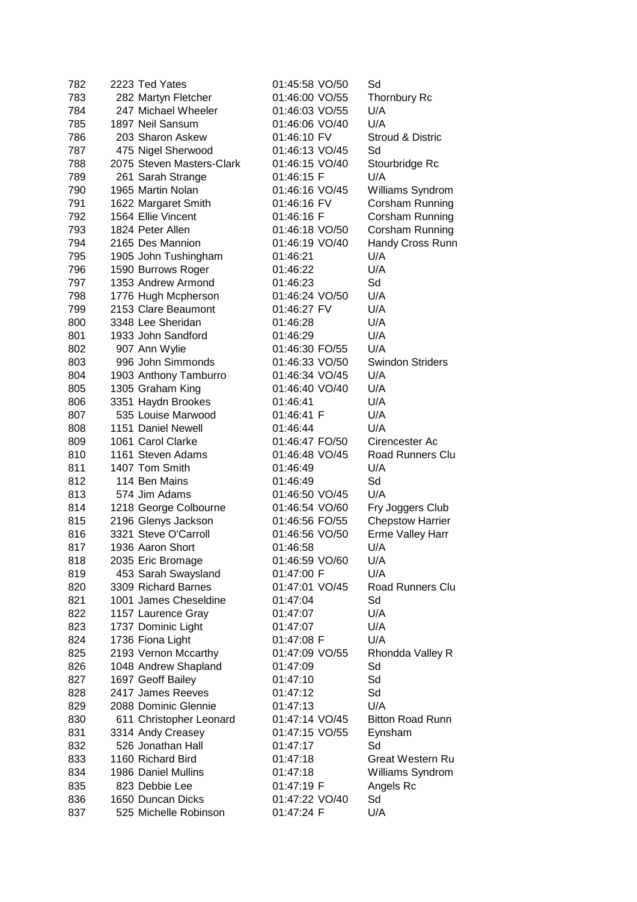| 782 | 2223 Ted Yates            | 01:45:58 VO/50 | Sd                      |
|-----|---------------------------|----------------|-------------------------|
| 783 | 282 Martyn Fletcher       | 01:46:00 VO/55 | Thornbury Rc            |
| 784 | 247 Michael Wheeler       | 01:46:03 VO/55 | U/A                     |
| 785 | 1897 Neil Sansum          | 01:46:06 VO/40 | U/A                     |
| 786 | 203 Sharon Askew          | 01:46:10 FV    | Stroud & Distric        |
| 787 | 475 Nigel Sherwood        | 01:46:13 VO/45 | Sd                      |
| 788 | 2075 Steven Masters-Clark | 01:46:15 VO/40 | Stourbridge Rc          |
| 789 | 261 Sarah Strange         | 01:46:15 F     | U/A                     |
| 790 | 1965 Martin Nolan         | 01:46:16 VO/45 | Williams Syndrom        |
| 791 | 1622 Margaret Smith       | 01:46:16 FV    | Corsham Running         |
| 792 | 1564 Ellie Vincent        | 01:46:16 F     | Corsham Running         |
| 793 | 1824 Peter Allen          | 01:46:18 VO/50 | Corsham Running         |
| 794 | 2165 Des Mannion          | 01:46:19 VO/40 | Handy Cross Runn        |
| 795 | 1905 John Tushingham      | 01:46:21       | U/A                     |
| 796 | 1590 Burrows Roger        | 01:46:22       | U/A                     |
| 797 | 1353 Andrew Armond        | 01:46:23       | Sd                      |
| 798 | 1776 Hugh Mcpherson       | 01:46:24 VO/50 | U/A                     |
| 799 | 2153 Clare Beaumont       | 01:46:27 FV    | U/A                     |
| 800 | 3348 Lee Sheridan         | 01:46:28       | U/A                     |
| 801 | 1933 John Sandford        | 01:46:29       | U/A                     |
| 802 | 907 Ann Wylie             | 01:46:30 FO/55 | U/A                     |
| 803 | 996 John Simmonds         | 01:46:33 VO/50 | <b>Swindon Striders</b> |
| 804 | 1903 Anthony Tamburro     | 01:46:34 VO/45 | U/A                     |
| 805 | 1305 Graham King          | 01:46:40 VO/40 | U/A                     |
| 806 | 3351 Haydn Brookes        | 01:46:41       | U/A                     |
| 807 | 535 Louise Marwood        | 01:46:41 F     | U/A                     |
| 808 | 1151 Daniel Newell        | 01:46:44       | U/A                     |
| 809 | 1061 Carol Clarke         | 01:46:47 FO/50 | Cirencester Ac          |
| 810 | 1161 Steven Adams         | 01:46:48 VO/45 | <b>Road Runners Clu</b> |
| 811 | 1407 Tom Smith            | 01:46:49       | U/A                     |
| 812 | 114 Ben Mains             | 01:46:49       | Sd                      |
| 813 | 574 Jim Adams             | 01:46:50 VO/45 | U/A                     |
| 814 | 1218 George Colbourne     | 01:46:54 VO/60 | Fry Joggers Club        |
| 815 | 2196 Glenys Jackson       | 01:46:56 FO/55 | <b>Chepstow Harrier</b> |
| 816 | 3321 Steve O'Carroll      | 01:46:56 VO/50 | <b>Erme Valley Harr</b> |
| 817 | 1936 Aaron Short          | 01:46:58       | U/A                     |
| 818 | 2035 Eric Bromage         | 01:46:59 VO/60 | U/A                     |
| 819 | 453 Sarah Swaysland       | 01:47:00 F     | U/A                     |
| 820 | 3309 Richard Barnes       | 01:47:01 VO/45 | Road Runners Clu        |
| 821 | 1001 James Cheseldine     | 01:47:04       | Sd                      |
| 822 | 1157 Laurence Gray        | 01:47:07       | U/A                     |
| 823 | 1737 Dominic Light        | 01:47:07       | U/A                     |
| 824 | 1736 Fiona Light          | 01:47:08 F     | U/A                     |
| 825 | 2193 Vernon Mccarthy      | 01:47:09 VO/55 | Rhondda Valley R        |
| 826 | 1048 Andrew Shapland      | 01:47:09       | Sd                      |
| 827 | 1697 Geoff Bailey         | 01:47:10       | Sd                      |
| 828 | 2417 James Reeves         | 01:47:12       | Sd                      |
| 829 | 2088 Dominic Glennie      | 01:47:13       | U/A                     |
| 830 | 611 Christopher Leonard   | 01:47:14 VO/45 | <b>Bitton Road Runn</b> |
| 831 | 3314 Andy Creasey         | 01:47:15 VO/55 | Eynsham                 |
| 832 | 526 Jonathan Hall         | 01:47:17       | Sd                      |
| 833 | 1160 Richard Bird         | 01:47:18       | <b>Great Western Ru</b> |
| 834 | 1986 Daniel Mullins       | 01:47:18       | Williams Syndrom        |
| 835 | 823 Debbie Lee            | 01:47:19 F     | Angels Rc               |
| 836 | 1650 Duncan Dicks         | 01:47:22 VO/40 | Sd                      |
| 837 | 525 Michelle Robinson     | 01:47:24 F     | U/A                     |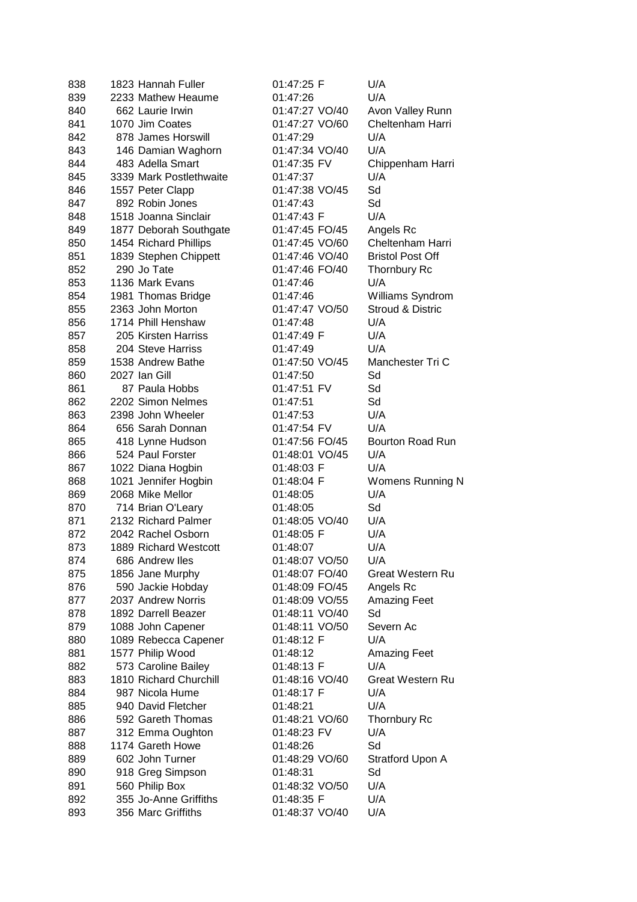| 838 | 1823 Hannah Fuller      | 01:47:25 F     | U/A                     |
|-----|-------------------------|----------------|-------------------------|
| 839 | 2233 Mathew Heaume      | 01:47:26       | U/A                     |
| 840 | 662 Laurie Irwin        | 01:47:27 VO/40 | Avon Valley Runn        |
| 841 | 1070 Jim Coates         | 01:47:27 VO/60 | Cheltenham Harri        |
| 842 | 878 James Horswill      | 01:47:29       | U/A                     |
| 843 | 146 Damian Waghorn      | 01:47:34 VO/40 | U/A                     |
| 844 | 483 Adella Smart        | 01:47:35 FV    | Chippenham Harri        |
| 845 | 3339 Mark Postlethwaite | 01:47:37       | U/A                     |
| 846 | 1557 Peter Clapp        | 01:47:38 VO/45 | Sd                      |
| 847 | 892 Robin Jones         | 01:47:43       | Sd                      |
| 848 | 1518 Joanna Sinclair    | 01:47:43 F     | U/A                     |
| 849 | 1877 Deborah Southgate  | 01:47:45 FO/45 | Angels Rc               |
| 850 | 1454 Richard Phillips   | 01:47:45 VO/60 | Cheltenham Harri        |
| 851 | 1839 Stephen Chippett   | 01:47:46 VO/40 | <b>Bristol Post Off</b> |
| 852 | 290 Jo Tate             | 01:47:46 FO/40 | <b>Thornbury Rc</b>     |
| 853 | 1136 Mark Evans         | 01:47:46       | U/A                     |
| 854 | 1981 Thomas Bridge      | 01:47:46       | Williams Syndrom        |
| 855 | 2363 John Morton        | 01:47:47 VO/50 | Stroud & Distric        |
| 856 | 1714 Phill Henshaw      | 01:47:48       | U/A                     |
| 857 | 205 Kirsten Harriss     | 01:47:49 F     | U/A                     |
| 858 | 204 Steve Harriss       | 01:47:49       | U/A                     |
| 859 | 1538 Andrew Bathe       | 01:47:50 VO/45 | Manchester Tri C        |
| 860 | 2027 Ian Gill           | 01:47:50       | Sd                      |
| 861 | 87 Paula Hobbs          | 01:47:51 FV    | Sd                      |
| 862 | 2202 Simon Nelmes       | 01:47:51       | Sd                      |
| 863 | 2398 John Wheeler       | 01:47:53       | U/A                     |
| 864 | 656 Sarah Donnan        | 01:47:54 FV    | U/A                     |
| 865 | 418 Lynne Hudson        | 01:47:56 FO/45 | <b>Bourton Road Run</b> |
| 866 | 524 Paul Forster        | 01:48:01 VO/45 | U/A                     |
| 867 | 1022 Diana Hogbin       | 01:48:03 F     | U/A                     |
| 868 | 1021 Jennifer Hogbin    | 01:48:04 F     | Womens Running N        |
| 869 | 2068 Mike Mellor        | 01:48:05       | U/A                     |
| 870 | 714 Brian O'Leary       | 01:48:05       | Sd                      |
| 871 | 2132 Richard Palmer     | 01:48:05 VO/40 | U/A                     |
| 872 | 2042 Rachel Osborn      | 01:48:05 F     | U/A                     |
| 873 | 1889 Richard Westcott   | 01:48:07       | U/A                     |
| 874 | 686 Andrew Iles         | 01:48:07 VO/50 | U/A                     |
| 875 | 1856 Jane Murphy        | 01:48:07 FO/40 | Great Western Ru        |
| 876 | 590 Jackie Hobday       | 01:48:09 FO/45 | Angels Rc               |
| 877 | 2037 Andrew Norris      | 01:48:09 VO/55 | <b>Amazing Feet</b>     |
| 878 | 1892 Darrell Beazer     | 01:48:11 VO/40 | Sd                      |
| 879 | 1088 John Capener       | 01:48:11 VO/50 | Severn Ac               |
| 880 | 1089 Rebecca Capener    | 01:48:12 F     | U/A                     |
| 881 | 1577 Philip Wood        | 01:48:12       | <b>Amazing Feet</b>     |
| 882 | 573 Caroline Bailey     | 01:48:13 F     | U/A                     |
| 883 | 1810 Richard Churchill  | 01:48:16 VO/40 | <b>Great Western Ru</b> |
| 884 | 987 Nicola Hume         | 01:48:17 F     | U/A                     |
| 885 | 940 David Fletcher      | 01:48:21       | U/A                     |
| 886 | 592 Gareth Thomas       | 01:48:21 VO/60 | Thornbury Rc            |
| 887 | 312 Emma Oughton        | 01:48:23 FV    | U/A                     |
| 888 | 1174 Gareth Howe        | 01:48:26       | Sd                      |
| 889 | 602 John Turner         | 01:48:29 VO/60 | Stratford Upon A        |
| 890 | 918 Greg Simpson        | 01:48:31       | Sd                      |
| 891 | 560 Philip Box          | 01:48:32 VO/50 | U/A                     |
| 892 | 355 Jo-Anne Griffiths   | 01:48:35 F     | U/A                     |
| 893 | 356 Marc Griffiths      | 01:48:37 VO/40 | U/A                     |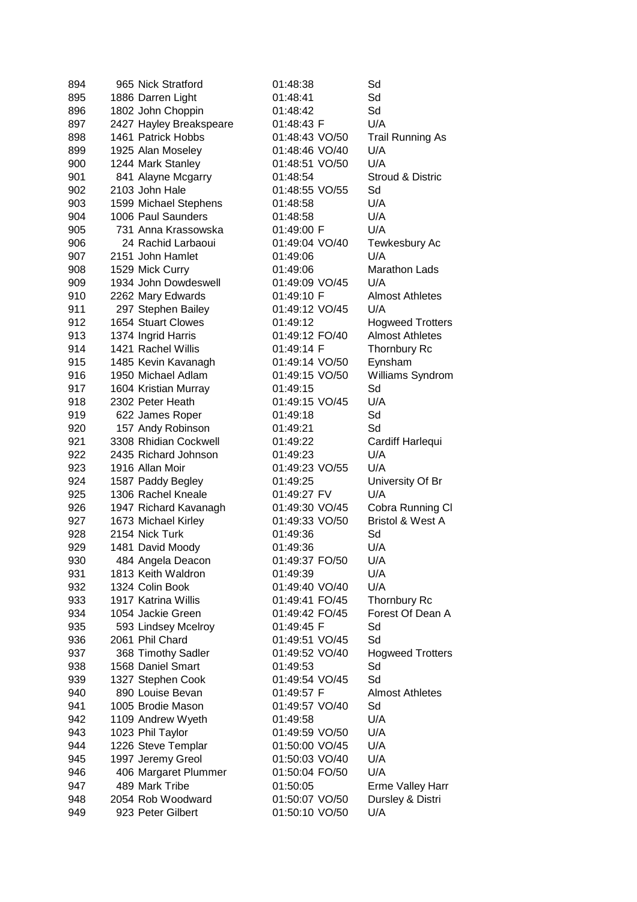| 894 | 965 Nick Stratford      | 01:48:38       | Sd                          |
|-----|-------------------------|----------------|-----------------------------|
| 895 | 1886 Darren Light       | 01:48:41       | Sd                          |
| 896 | 1802 John Choppin       | 01:48:42       | Sd                          |
| 897 | 2427 Hayley Breakspeare | 01:48:43 F     | U/A                         |
| 898 | 1461 Patrick Hobbs      | 01:48:43 VO/50 | <b>Trail Running As</b>     |
| 899 | 1925 Alan Moseley       | 01:48:46 VO/40 | U/A                         |
| 900 | 1244 Mark Stanley       | 01:48:51 VO/50 | U/A                         |
| 901 | 841 Alayne Mcgarry      | 01:48:54       | <b>Stroud &amp; Distric</b> |
| 902 | 2103 John Hale          | 01:48:55 VO/55 | Sd                          |
| 903 | 1599 Michael Stephens   | 01:48:58       | U/A                         |
| 904 | 1006 Paul Saunders      | 01:48:58       | U/A                         |
| 905 | 731 Anna Krassowska     | 01:49:00 F     | U/A                         |
| 906 | 24 Rachid Larbaoui      | 01:49:04 VO/40 | Tewkesbury Ac               |
| 907 | 2151 John Hamlet        | 01:49:06       | U/A                         |
| 908 | 1529 Mick Curry         | 01:49:06       | <b>Marathon Lads</b>        |
| 909 | 1934 John Dowdeswell    | 01:49:09 VO/45 | U/A                         |
| 910 | 2262 Mary Edwards       | 01:49:10 F     | <b>Almost Athletes</b>      |
| 911 | 297 Stephen Bailey      | 01:49:12 VO/45 | U/A                         |
| 912 | 1654 Stuart Clowes      | 01:49:12       | <b>Hogweed Trotters</b>     |
| 913 | 1374 Ingrid Harris      | 01:49:12 FO/40 | <b>Almost Athletes</b>      |
| 914 | 1421 Rachel Willis      | 01:49:14 F     | Thornbury Rc                |
| 915 | 1485 Kevin Kavanagh     | 01:49:14 VO/50 | Eynsham                     |
| 916 | 1950 Michael Adlam      | 01:49:15 VO/50 | Williams Syndrom            |
| 917 | 1604 Kristian Murray    | 01:49:15       | Sd                          |
| 918 | 2302 Peter Heath        | 01:49:15 VO/45 | U/A                         |
| 919 | 622 James Roper         | 01:49:18       | Sd                          |
| 920 | 157 Andy Robinson       | 01:49:21       | Sd                          |
| 921 | 3308 Rhidian Cockwell   | 01:49:22       | Cardiff Harlequi            |
| 922 | 2435 Richard Johnson    | 01:49:23       | U/A                         |
| 923 | 1916 Allan Moir         | 01:49:23 VO/55 | U/A                         |
| 924 | 1587 Paddy Begley       | 01:49:25       | University Of Br            |
| 925 | 1306 Rachel Kneale      | 01:49:27 FV    | U/A                         |
| 926 | 1947 Richard Kavanagh   | 01:49:30 VO/45 | Cobra Running CI            |
| 927 | 1673 Michael Kirley     | 01:49:33 VO/50 | Bristol & West A            |
| 928 | 2154 Nick Turk          | 01:49:36       | Sd                          |
| 929 | 1481 David Moody        | 01:49:36       | U/A                         |
| 930 | 484 Angela Deacon       | 01:49:37 FO/50 | U/A                         |
| 931 | 1813 Keith Waldron      | 01:49:39       | U/A                         |
| 932 | 1324 Colin Book         | 01:49:40 VO/40 | U/A                         |
| 933 | 1917 Katrina Willis     | 01:49:41 FO/45 | <b>Thornbury Rc</b>         |
| 934 | 1054 Jackie Green       | 01:49:42 FO/45 | Forest Of Dean A            |
| 935 | 593 Lindsey Mcelroy     | 01:49:45 F     | Sd                          |
| 936 | 2061 Phil Chard         | 01:49:51 VO/45 | Sd                          |
| 937 | 368 Timothy Sadler      | 01:49:52 VO/40 | <b>Hogweed Trotters</b>     |
| 938 | 1568 Daniel Smart       | 01:49:53       | Sd                          |
| 939 | 1327 Stephen Cook       | 01:49:54 VO/45 | Sd                          |
| 940 | 890 Louise Bevan        | 01:49:57 F     | <b>Almost Athletes</b>      |
| 941 | 1005 Brodie Mason       | 01:49:57 VO/40 | Sd                          |
| 942 | 1109 Andrew Wyeth       | 01:49:58       | U/A                         |
| 943 | 1023 Phil Taylor        | 01:49:59 VO/50 | U/A                         |
| 944 | 1226 Steve Templar      | 01:50:00 VO/45 | U/A                         |
| 945 | 1997 Jeremy Greol       | 01:50:03 VO/40 | U/A                         |
| 946 | 406 Margaret Plummer    | 01:50:04 FO/50 | U/A                         |
| 947 | 489 Mark Tribe          | 01:50:05       | <b>Erme Valley Harr</b>     |
| 948 | 2054 Rob Woodward       | 01:50:07 VO/50 | Dursley & Distri            |
| 949 | 923 Peter Gilbert       | 01:50:10 VO/50 | U/A                         |
|     |                         |                |                             |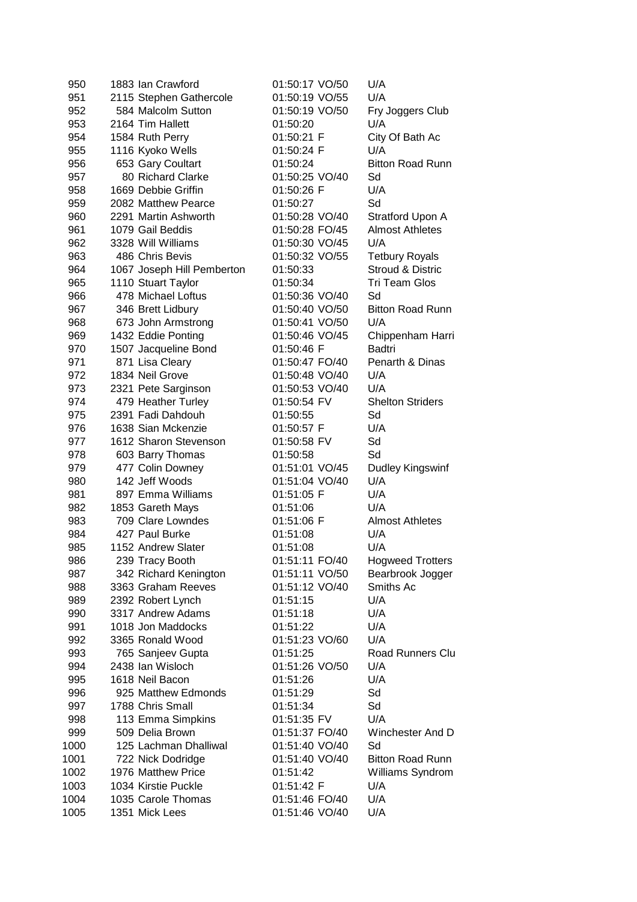| 950  | 1883 Ian Crawford          | 01:50:17 VO/50 | U/A                     |
|------|----------------------------|----------------|-------------------------|
| 951  | 2115 Stephen Gathercole    | 01:50:19 VO/55 | U/A                     |
| 952  | 584 Malcolm Sutton         | 01:50:19 VO/50 | Fry Joggers Club        |
| 953  | 2164 Tim Hallett           | 01:50:20       | U/A                     |
| 954  | 1584 Ruth Perry            | 01:50:21 F     | City Of Bath Ac         |
| 955  | 1116 Kyoko Wells           | 01:50:24 F     | U/A                     |
| 956  | 653 Gary Coultart          | 01:50:24       | <b>Bitton Road Runn</b> |
| 957  | 80 Richard Clarke          | 01:50:25 VO/40 | Sd                      |
| 958  | 1669 Debbie Griffin        | 01:50:26 F     | U/A                     |
| 959  | 2082 Matthew Pearce        | 01:50:27       | Sd                      |
| 960  | 2291 Martin Ashworth       | 01:50:28 VO/40 | Stratford Upon A        |
| 961  | 1079 Gail Beddis           | 01:50:28 FO/45 | <b>Almost Athletes</b>  |
| 962  | 3328 Will Williams         | 01:50:30 VO/45 | U/A                     |
| 963  | 486 Chris Bevis            | 01:50:32 VO/55 | <b>Tetbury Royals</b>   |
| 964  | 1067 Joseph Hill Pemberton | 01:50:33       | Stroud & Distric        |
| 965  | 1110 Stuart Taylor         | 01:50:34       | <b>Tri Team Glos</b>    |
| 966  | 478 Michael Loftus         | 01:50:36 VO/40 | Sd                      |
| 967  | 346 Brett Lidbury          | 01:50:40 VO/50 | <b>Bitton Road Runn</b> |
| 968  | 673 John Armstrong         | 01:50:41 VO/50 | U/A                     |
| 969  | 1432 Eddie Ponting         | 01:50:46 VO/45 | Chippenham Harri        |
| 970  | 1507 Jacqueline Bond       | 01:50:46 F     | <b>Badtri</b>           |
| 971  | 871 Lisa Cleary            | 01:50:47 FO/40 | Penarth & Dinas         |
| 972  | 1834 Neil Grove            | 01:50:48 VO/40 | U/A                     |
| 973  | 2321 Pete Sarginson        | 01:50:53 VO/40 | U/A                     |
| 974  | 479 Heather Turley         | 01:50:54 FV    | <b>Shelton Striders</b> |
| 975  | 2391 Fadi Dahdouh          | 01:50:55       | Sd                      |
| 976  | 1638 Sian Mckenzie         | 01:50:57 F     | U/A                     |
| 977  | 1612 Sharon Stevenson      | 01:50:58 FV    | Sd                      |
| 978  | 603 Barry Thomas           | 01:50:58       | Sd                      |
| 979  | 477 Colin Downey           | 01:51:01 VO/45 | Dudley Kingswinf        |
| 980  | 142 Jeff Woods             | 01:51:04 VO/40 | U/A                     |
| 981  | 897 Emma Williams          | 01:51:05 F     | U/A                     |
| 982  | 1853 Gareth Mays           | 01:51:06       | U/A                     |
| 983  | 709 Clare Lowndes          | 01:51:06 F     | <b>Almost Athletes</b>  |
| 984  | 427 Paul Burke             | 01:51:08       | U/A                     |
| 985  | 1152 Andrew Slater         | 01:51:08       | U/A                     |
| 986  | 239 Tracy Booth            | 01:51:11 FO/40 | <b>Hogweed Trotters</b> |
| 987  | 342 Richard Kenington      | 01:51:11 VO/50 | Bearbrook Jogger        |
| 988  | 3363 Graham Reeves         | 01:51:12 VO/40 | Smiths Ac               |
| 989  | 2392 Robert Lynch          | 01:51:15       | U/A                     |
| 990  | 3317 Andrew Adams          | 01:51:18       | U/A                     |
| 991  | 1018 Jon Maddocks          | 01:51:22       | U/A                     |
| 992  | 3365 Ronald Wood           | 01:51:23 VO/60 | U/A                     |
| 993  | 765 Sanjeev Gupta          | 01:51:25       | <b>Road Runners Clu</b> |
| 994  | 2438 Ian Wisloch           | 01:51:26 VO/50 | U/A                     |
| 995  | 1618 Neil Bacon            | 01:51:26       | U/A                     |
| 996  | 925 Matthew Edmonds        | 01:51:29       | Sd                      |
| 997  | 1788 Chris Small           | 01:51:34       | Sd                      |
| 998  | 113 Emma Simpkins          | 01:51:35 FV    | U/A                     |
| 999  | 509 Delia Brown            | 01:51:37 FO/40 | Winchester And D        |
| 1000 | 125 Lachman Dhalliwal      | 01:51:40 VO/40 | Sd                      |
| 1001 | 722 Nick Dodridge          | 01:51:40 VO/40 | <b>Bitton Road Runn</b> |
| 1002 | 1976 Matthew Price         | 01:51:42       | Williams Syndrom        |
| 1003 | 1034 Kirstie Puckle        | 01:51:42 F     | U/A                     |
| 1004 | 1035 Carole Thomas         | 01:51:46 FO/40 | U/A                     |
| 1005 | 1351 Mick Lees             | 01:51:46 VO/40 | U/A                     |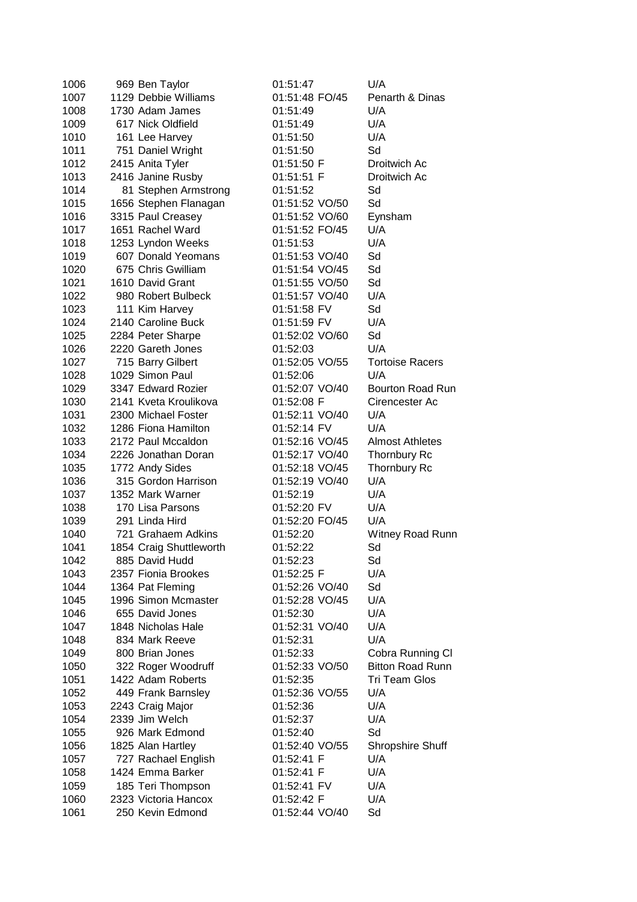| 1006 | 969 Ben Taylor          | 01:51:47       | U/A                     |
|------|-------------------------|----------------|-------------------------|
| 1007 | 1129 Debbie Williams    | 01:51:48 FO/45 | Penarth & Dinas         |
| 1008 | 1730 Adam James         | 01:51:49       | U/A                     |
| 1009 | 617 Nick Oldfield       | 01:51:49       | U/A                     |
| 1010 | 161 Lee Harvey          | 01:51:50       | U/A                     |
| 1011 | 751 Daniel Wright       | 01:51:50       | Sd                      |
| 1012 | 2415 Anita Tyler        | 01:51:50 F     | Droitwich Ac            |
| 1013 | 2416 Janine Rusby       | 01:51:51 F     | Droitwich Ac            |
| 1014 | 81 Stephen Armstrong    | 01:51:52       | Sd                      |
| 1015 | 1656 Stephen Flanagan   | 01:51:52 VO/50 | Sd                      |
| 1016 | 3315 Paul Creasey       | 01:51:52 VO/60 | Eynsham                 |
| 1017 | 1651 Rachel Ward        | 01:51:52 FO/45 | U/A                     |
| 1018 | 1253 Lyndon Weeks       | 01:51:53       | U/A                     |
| 1019 | 607 Donald Yeomans      | 01:51:53 VO/40 | Sd                      |
| 1020 | 675 Chris Gwilliam      | 01:51:54 VO/45 | Sd                      |
| 1021 | 1610 David Grant        | 01:51:55 VO/50 | Sd                      |
| 1022 | 980 Robert Bulbeck      | 01:51:57 VO/40 | U/A                     |
| 1023 | 111 Kim Harvey          | 01:51:58 FV    | Sd                      |
| 1024 | 2140 Caroline Buck      | 01:51:59 FV    | U/A                     |
| 1025 | 2284 Peter Sharpe       | 01:52:02 VO/60 | Sd                      |
| 1026 | 2220 Gareth Jones       | 01:52:03       | U/A                     |
| 1027 | 715 Barry Gilbert       | 01:52:05 VO/55 | <b>Tortoise Racers</b>  |
| 1028 | 1029 Simon Paul         | 01:52:06       | U/A                     |
| 1029 | 3347 Edward Rozier      | 01:52:07 VO/40 | Bourton Road Run        |
| 1030 | 2141 Kveta Kroulikova   | 01:52:08 F     | Cirencester Ac          |
| 1031 | 2300 Michael Foster     | 01:52:11 VO/40 | U/A                     |
| 1032 | 1286 Fiona Hamilton     | 01:52:14 FV    | U/A                     |
| 1033 | 2172 Paul Mccaldon      | 01:52:16 VO/45 | <b>Almost Athletes</b>  |
| 1034 | 2226 Jonathan Doran     | 01:52:17 VO/40 | <b>Thornbury Rc</b>     |
| 1035 | 1772 Andy Sides         | 01:52:18 VO/45 | Thornbury Rc            |
| 1036 | 315 Gordon Harrison     | 01:52:19 VO/40 | U/A                     |
| 1037 | 1352 Mark Warner        | 01:52:19       | U/A                     |
| 1038 | 170 Lisa Parsons        | 01:52:20 FV    | U/A                     |
| 1039 | 291 Linda Hird          | 01:52:20 FO/45 | U/A                     |
| 1040 | 721 Grahaem Adkins      | 01:52:20       | Witney Road Runn        |
| 1041 | 1854 Craig Shuttleworth | 01:52:22       | Sd                      |
| 1042 | 885 David Hudd          | 01:52:23       | Sd                      |
| 1043 | 2357 Fionia Brookes     | 01:52:25 F     | U/A                     |
| 1044 | 1364 Pat Fleming        | 01:52:26 VO/40 | Sd                      |
| 1045 | 1996 Simon Mcmaster     | 01:52:28 VO/45 | U/A                     |
| 1046 | 655 David Jones         | 01:52:30       | U/A                     |
| 1047 | 1848 Nicholas Hale      | 01:52:31 VO/40 | U/A                     |
| 1048 | 834 Mark Reeve          | 01:52:31       | U/A                     |
| 1049 | 800 Brian Jones         | 01:52:33       | Cobra Running CI        |
| 1050 | 322 Roger Woodruff      | 01:52:33 VO/50 | <b>Bitton Road Runn</b> |
| 1051 | 1422 Adam Roberts       | 01:52:35       | Tri Team Glos           |
| 1052 | 449 Frank Barnsley      | 01:52:36 VO/55 | U/A                     |
| 1053 | 2243 Craig Major        | 01:52:36       | U/A                     |
| 1054 | 2339 Jim Welch          | 01:52:37       | U/A                     |
| 1055 | 926 Mark Edmond         | 01:52:40       | Sd                      |
| 1056 | 1825 Alan Hartley       | 01:52:40 VO/55 | Shropshire Shuff        |
| 1057 | 727 Rachael English     | 01:52:41 F     | U/A                     |
| 1058 | 1424 Emma Barker        | 01:52:41 F     | U/A                     |
| 1059 | 185 Teri Thompson       | 01:52:41 FV    | U/A                     |
| 1060 | 2323 Victoria Hancox    | 01:52:42 F     | U/A                     |
| 1061 | 250 Kevin Edmond        | 01:52:44 VO/40 | Sd                      |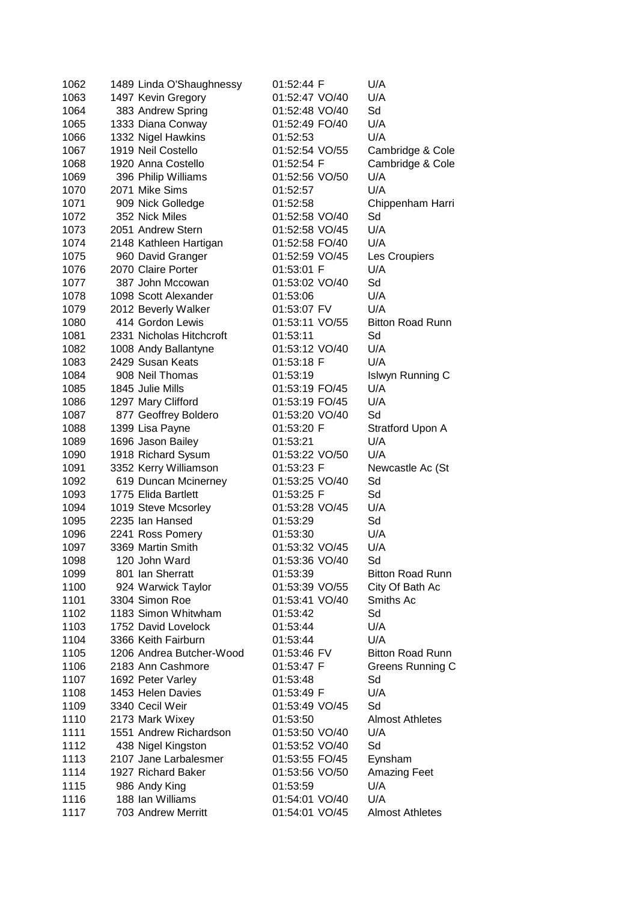| 1063<br>01:52:47 VO/40<br>U/A<br>1497 Kevin Gregory<br>383 Andrew Spring<br>01:52:48 VO/40<br>Sd<br>1064<br>1333 Diana Conway<br>01:52:49 FO/40<br>U/A<br>1065<br>1066<br>1332 Nigel Hawkins<br>01:52:53<br>U/A<br>1919 Neil Costello<br>01:52:54 VO/55<br>1067<br>1920 Anna Costello<br>01:52:54 F<br>1068<br>1069<br>396 Philip Williams<br>01:52:56 VO/50<br>U/A<br>1070<br>2071 Mike Sims<br>01:52:57<br>U/A<br>1071<br>909 Nick Golledge<br>01:52:58<br>1072<br>352 Nick Miles<br>01:52:58 VO/40<br>Sd<br>1073<br>U/A<br>2051 Andrew Stern<br>01:52:58 VO/45<br>1074<br>2148 Kathleen Hartigan<br>01:52:58 FO/40<br>U/A<br>1075<br>960 David Granger<br>01:52:59 VO/45<br>Les Croupiers<br>1076<br>2070 Claire Porter<br>01:53:01 F<br>U/A<br>Sd<br>387 John Mccowan<br>01:53:02 VO/40<br>1077<br>1098 Scott Alexander<br>01:53:06<br>U/A<br>1078<br>2012 Beverly Walker<br>01:53:07 FV<br>U/A<br>1079<br>414 Gordon Lewis<br>01:53:11 VO/55<br>1080<br>1081<br>2331 Nicholas Hitchcroft<br>01:53:11<br>Sd<br>1082<br>01:53:12 VO/40<br>U/A<br>1008 Andy Ballantyne<br>2429 Susan Keats<br>1083<br>01:53:18 F<br>U/A<br>1084<br>908 Neil Thomas<br>01:53:19<br>1085<br>01:53:19 FO/45<br>U/A<br>1845 Julie Mills<br>1086<br>01:53:19 FO/45<br>U/A<br>1297 Mary Clifford<br>1087<br>877 Geoffrey Boldero<br>01:53:20 VO/40<br>Sd<br>1088<br>1399 Lisa Payne<br>01:53:20 F<br>1089<br>1696 Jason Bailey<br>U/A<br>01:53:21<br>1090<br>1918 Richard Sysum<br>01:53:22 VO/50<br>U/A<br>1091<br>3352 Kerry Williamson<br>01:53:23 F<br>1092<br>619 Duncan Mcinerney<br>01:53:25 VO/40<br>Sd<br>01:53:25 F<br>1093<br>1775 Elida Bartlett<br>Sd<br>1094<br>01:53:28 VO/45<br>U/A<br>1019 Steve Mcsorley<br>1095<br>01:53:29<br>Sd<br>2235 Ian Hansed<br>2241 Ross Pomery<br>01:53:30<br>U/A<br>1096<br>3369 Martin Smith<br>01:53:32 VO/45<br>U/A<br>1097<br>Sd<br>1098<br>120 John Ward<br>01:53:36 VO/40<br>801 Ian Sherratt<br>01:53:39<br>1099<br>1100<br>924 Warwick Taylor<br>City Of Bath Ac<br>01:53:39 VO/55<br>3304 Simon Roe<br>Smiths Ac<br>1101<br>01:53:41 VO/40<br>1183 Simon Whitwham<br>1102<br>Sd<br>01:53:42<br>1103<br>1752 David Lovelock<br>01:53:44<br>U/A<br>1104<br>3366 Keith Fairburn<br>01:53:44<br>U/A | Cambridge & Cole<br>Cambridge & Cole<br>Chippenham Harri<br><b>Bitton Road Runn</b><br>Islwyn Running C<br>Stratford Upon A<br>Newcastle Ac (St<br><b>Bitton Road Runn</b><br>1206 Andrea Butcher-Wood<br><b>Bitton Road Runn</b><br>01:53:46 FV<br>2183 Ann Cashmore<br>01:53:47 F<br>Greens Running C<br>1692 Peter Varley<br>Sd<br>01:53:48<br>1453 Helen Davies<br>U/A<br>01:53:49 F<br>3340 Cecil Weir<br>Sd<br>01:53:49 VO/45<br>2173 Mark Wixey<br>01:53:50<br><b>Almost Athletes</b><br>1551 Andrew Richardson<br>01:53:50 VO/40<br>U/A<br>438 Nigel Kingston<br>01:53:52 VO/40<br>Sd<br>2107 Jane Larbalesmer<br>01:53:55 FO/45<br>Eynsham<br>1927 Richard Baker<br><b>Amazing Feet</b><br>01:53:56 VO/50<br>01:53:59<br>U/A<br>986 Andy King<br>188 Ian Williams<br>01:54:01 VO/40<br>U/A | 1062 | 1489 Linda O'Shaughnessy | 01:52:44 F | U/A |  |
|------------------------------------------------------------------------------------------------------------------------------------------------------------------------------------------------------------------------------------------------------------------------------------------------------------------------------------------------------------------------------------------------------------------------------------------------------------------------------------------------------------------------------------------------------------------------------------------------------------------------------------------------------------------------------------------------------------------------------------------------------------------------------------------------------------------------------------------------------------------------------------------------------------------------------------------------------------------------------------------------------------------------------------------------------------------------------------------------------------------------------------------------------------------------------------------------------------------------------------------------------------------------------------------------------------------------------------------------------------------------------------------------------------------------------------------------------------------------------------------------------------------------------------------------------------------------------------------------------------------------------------------------------------------------------------------------------------------------------------------------------------------------------------------------------------------------------------------------------------------------------------------------------------------------------------------------------------------------------------------------------------------------------------------------------------------------------------------------------------------------------------------------------------------------------------------------------------------------------------|-----------------------------------------------------------------------------------------------------------------------------------------------------------------------------------------------------------------------------------------------------------------------------------------------------------------------------------------------------------------------------------------------------------------------------------------------------------------------------------------------------------------------------------------------------------------------------------------------------------------------------------------------------------------------------------------------------------------------------------------------------------------------------------------------------|------|--------------------------|------------|-----|--|
|                                                                                                                                                                                                                                                                                                                                                                                                                                                                                                                                                                                                                                                                                                                                                                                                                                                                                                                                                                                                                                                                                                                                                                                                                                                                                                                                                                                                                                                                                                                                                                                                                                                                                                                                                                                                                                                                                                                                                                                                                                                                                                                                                                                                                                    |                                                                                                                                                                                                                                                                                                                                                                                                                                                                                                                                                                                                                                                                                                                                                                                                     |      |                          |            |     |  |
|                                                                                                                                                                                                                                                                                                                                                                                                                                                                                                                                                                                                                                                                                                                                                                                                                                                                                                                                                                                                                                                                                                                                                                                                                                                                                                                                                                                                                                                                                                                                                                                                                                                                                                                                                                                                                                                                                                                                                                                                                                                                                                                                                                                                                                    |                                                                                                                                                                                                                                                                                                                                                                                                                                                                                                                                                                                                                                                                                                                                                                                                     |      |                          |            |     |  |
|                                                                                                                                                                                                                                                                                                                                                                                                                                                                                                                                                                                                                                                                                                                                                                                                                                                                                                                                                                                                                                                                                                                                                                                                                                                                                                                                                                                                                                                                                                                                                                                                                                                                                                                                                                                                                                                                                                                                                                                                                                                                                                                                                                                                                                    |                                                                                                                                                                                                                                                                                                                                                                                                                                                                                                                                                                                                                                                                                                                                                                                                     |      |                          |            |     |  |
|                                                                                                                                                                                                                                                                                                                                                                                                                                                                                                                                                                                                                                                                                                                                                                                                                                                                                                                                                                                                                                                                                                                                                                                                                                                                                                                                                                                                                                                                                                                                                                                                                                                                                                                                                                                                                                                                                                                                                                                                                                                                                                                                                                                                                                    |                                                                                                                                                                                                                                                                                                                                                                                                                                                                                                                                                                                                                                                                                                                                                                                                     |      |                          |            |     |  |
|                                                                                                                                                                                                                                                                                                                                                                                                                                                                                                                                                                                                                                                                                                                                                                                                                                                                                                                                                                                                                                                                                                                                                                                                                                                                                                                                                                                                                                                                                                                                                                                                                                                                                                                                                                                                                                                                                                                                                                                                                                                                                                                                                                                                                                    |                                                                                                                                                                                                                                                                                                                                                                                                                                                                                                                                                                                                                                                                                                                                                                                                     |      |                          |            |     |  |
|                                                                                                                                                                                                                                                                                                                                                                                                                                                                                                                                                                                                                                                                                                                                                                                                                                                                                                                                                                                                                                                                                                                                                                                                                                                                                                                                                                                                                                                                                                                                                                                                                                                                                                                                                                                                                                                                                                                                                                                                                                                                                                                                                                                                                                    |                                                                                                                                                                                                                                                                                                                                                                                                                                                                                                                                                                                                                                                                                                                                                                                                     |      |                          |            |     |  |
|                                                                                                                                                                                                                                                                                                                                                                                                                                                                                                                                                                                                                                                                                                                                                                                                                                                                                                                                                                                                                                                                                                                                                                                                                                                                                                                                                                                                                                                                                                                                                                                                                                                                                                                                                                                                                                                                                                                                                                                                                                                                                                                                                                                                                                    |                                                                                                                                                                                                                                                                                                                                                                                                                                                                                                                                                                                                                                                                                                                                                                                                     |      |                          |            |     |  |
|                                                                                                                                                                                                                                                                                                                                                                                                                                                                                                                                                                                                                                                                                                                                                                                                                                                                                                                                                                                                                                                                                                                                                                                                                                                                                                                                                                                                                                                                                                                                                                                                                                                                                                                                                                                                                                                                                                                                                                                                                                                                                                                                                                                                                                    |                                                                                                                                                                                                                                                                                                                                                                                                                                                                                                                                                                                                                                                                                                                                                                                                     |      |                          |            |     |  |
|                                                                                                                                                                                                                                                                                                                                                                                                                                                                                                                                                                                                                                                                                                                                                                                                                                                                                                                                                                                                                                                                                                                                                                                                                                                                                                                                                                                                                                                                                                                                                                                                                                                                                                                                                                                                                                                                                                                                                                                                                                                                                                                                                                                                                                    |                                                                                                                                                                                                                                                                                                                                                                                                                                                                                                                                                                                                                                                                                                                                                                                                     |      |                          |            |     |  |
|                                                                                                                                                                                                                                                                                                                                                                                                                                                                                                                                                                                                                                                                                                                                                                                                                                                                                                                                                                                                                                                                                                                                                                                                                                                                                                                                                                                                                                                                                                                                                                                                                                                                                                                                                                                                                                                                                                                                                                                                                                                                                                                                                                                                                                    |                                                                                                                                                                                                                                                                                                                                                                                                                                                                                                                                                                                                                                                                                                                                                                                                     |      |                          |            |     |  |
|                                                                                                                                                                                                                                                                                                                                                                                                                                                                                                                                                                                                                                                                                                                                                                                                                                                                                                                                                                                                                                                                                                                                                                                                                                                                                                                                                                                                                                                                                                                                                                                                                                                                                                                                                                                                                                                                                                                                                                                                                                                                                                                                                                                                                                    |                                                                                                                                                                                                                                                                                                                                                                                                                                                                                                                                                                                                                                                                                                                                                                                                     |      |                          |            |     |  |
|                                                                                                                                                                                                                                                                                                                                                                                                                                                                                                                                                                                                                                                                                                                                                                                                                                                                                                                                                                                                                                                                                                                                                                                                                                                                                                                                                                                                                                                                                                                                                                                                                                                                                                                                                                                                                                                                                                                                                                                                                                                                                                                                                                                                                                    |                                                                                                                                                                                                                                                                                                                                                                                                                                                                                                                                                                                                                                                                                                                                                                                                     |      |                          |            |     |  |
|                                                                                                                                                                                                                                                                                                                                                                                                                                                                                                                                                                                                                                                                                                                                                                                                                                                                                                                                                                                                                                                                                                                                                                                                                                                                                                                                                                                                                                                                                                                                                                                                                                                                                                                                                                                                                                                                                                                                                                                                                                                                                                                                                                                                                                    |                                                                                                                                                                                                                                                                                                                                                                                                                                                                                                                                                                                                                                                                                                                                                                                                     |      |                          |            |     |  |
|                                                                                                                                                                                                                                                                                                                                                                                                                                                                                                                                                                                                                                                                                                                                                                                                                                                                                                                                                                                                                                                                                                                                                                                                                                                                                                                                                                                                                                                                                                                                                                                                                                                                                                                                                                                                                                                                                                                                                                                                                                                                                                                                                                                                                                    |                                                                                                                                                                                                                                                                                                                                                                                                                                                                                                                                                                                                                                                                                                                                                                                                     |      |                          |            |     |  |
|                                                                                                                                                                                                                                                                                                                                                                                                                                                                                                                                                                                                                                                                                                                                                                                                                                                                                                                                                                                                                                                                                                                                                                                                                                                                                                                                                                                                                                                                                                                                                                                                                                                                                                                                                                                                                                                                                                                                                                                                                                                                                                                                                                                                                                    |                                                                                                                                                                                                                                                                                                                                                                                                                                                                                                                                                                                                                                                                                                                                                                                                     |      |                          |            |     |  |
|                                                                                                                                                                                                                                                                                                                                                                                                                                                                                                                                                                                                                                                                                                                                                                                                                                                                                                                                                                                                                                                                                                                                                                                                                                                                                                                                                                                                                                                                                                                                                                                                                                                                                                                                                                                                                                                                                                                                                                                                                                                                                                                                                                                                                                    |                                                                                                                                                                                                                                                                                                                                                                                                                                                                                                                                                                                                                                                                                                                                                                                                     |      |                          |            |     |  |
|                                                                                                                                                                                                                                                                                                                                                                                                                                                                                                                                                                                                                                                                                                                                                                                                                                                                                                                                                                                                                                                                                                                                                                                                                                                                                                                                                                                                                                                                                                                                                                                                                                                                                                                                                                                                                                                                                                                                                                                                                                                                                                                                                                                                                                    |                                                                                                                                                                                                                                                                                                                                                                                                                                                                                                                                                                                                                                                                                                                                                                                                     |      |                          |            |     |  |
|                                                                                                                                                                                                                                                                                                                                                                                                                                                                                                                                                                                                                                                                                                                                                                                                                                                                                                                                                                                                                                                                                                                                                                                                                                                                                                                                                                                                                                                                                                                                                                                                                                                                                                                                                                                                                                                                                                                                                                                                                                                                                                                                                                                                                                    |                                                                                                                                                                                                                                                                                                                                                                                                                                                                                                                                                                                                                                                                                                                                                                                                     |      |                          |            |     |  |
|                                                                                                                                                                                                                                                                                                                                                                                                                                                                                                                                                                                                                                                                                                                                                                                                                                                                                                                                                                                                                                                                                                                                                                                                                                                                                                                                                                                                                                                                                                                                                                                                                                                                                                                                                                                                                                                                                                                                                                                                                                                                                                                                                                                                                                    |                                                                                                                                                                                                                                                                                                                                                                                                                                                                                                                                                                                                                                                                                                                                                                                                     |      |                          |            |     |  |
|                                                                                                                                                                                                                                                                                                                                                                                                                                                                                                                                                                                                                                                                                                                                                                                                                                                                                                                                                                                                                                                                                                                                                                                                                                                                                                                                                                                                                                                                                                                                                                                                                                                                                                                                                                                                                                                                                                                                                                                                                                                                                                                                                                                                                                    |                                                                                                                                                                                                                                                                                                                                                                                                                                                                                                                                                                                                                                                                                                                                                                                                     |      |                          |            |     |  |
|                                                                                                                                                                                                                                                                                                                                                                                                                                                                                                                                                                                                                                                                                                                                                                                                                                                                                                                                                                                                                                                                                                                                                                                                                                                                                                                                                                                                                                                                                                                                                                                                                                                                                                                                                                                                                                                                                                                                                                                                                                                                                                                                                                                                                                    |                                                                                                                                                                                                                                                                                                                                                                                                                                                                                                                                                                                                                                                                                                                                                                                                     |      |                          |            |     |  |
|                                                                                                                                                                                                                                                                                                                                                                                                                                                                                                                                                                                                                                                                                                                                                                                                                                                                                                                                                                                                                                                                                                                                                                                                                                                                                                                                                                                                                                                                                                                                                                                                                                                                                                                                                                                                                                                                                                                                                                                                                                                                                                                                                                                                                                    |                                                                                                                                                                                                                                                                                                                                                                                                                                                                                                                                                                                                                                                                                                                                                                                                     |      |                          |            |     |  |
|                                                                                                                                                                                                                                                                                                                                                                                                                                                                                                                                                                                                                                                                                                                                                                                                                                                                                                                                                                                                                                                                                                                                                                                                                                                                                                                                                                                                                                                                                                                                                                                                                                                                                                                                                                                                                                                                                                                                                                                                                                                                                                                                                                                                                                    |                                                                                                                                                                                                                                                                                                                                                                                                                                                                                                                                                                                                                                                                                                                                                                                                     |      |                          |            |     |  |
|                                                                                                                                                                                                                                                                                                                                                                                                                                                                                                                                                                                                                                                                                                                                                                                                                                                                                                                                                                                                                                                                                                                                                                                                                                                                                                                                                                                                                                                                                                                                                                                                                                                                                                                                                                                                                                                                                                                                                                                                                                                                                                                                                                                                                                    |                                                                                                                                                                                                                                                                                                                                                                                                                                                                                                                                                                                                                                                                                                                                                                                                     |      |                          |            |     |  |
|                                                                                                                                                                                                                                                                                                                                                                                                                                                                                                                                                                                                                                                                                                                                                                                                                                                                                                                                                                                                                                                                                                                                                                                                                                                                                                                                                                                                                                                                                                                                                                                                                                                                                                                                                                                                                                                                                                                                                                                                                                                                                                                                                                                                                                    |                                                                                                                                                                                                                                                                                                                                                                                                                                                                                                                                                                                                                                                                                                                                                                                                     |      |                          |            |     |  |
|                                                                                                                                                                                                                                                                                                                                                                                                                                                                                                                                                                                                                                                                                                                                                                                                                                                                                                                                                                                                                                                                                                                                                                                                                                                                                                                                                                                                                                                                                                                                                                                                                                                                                                                                                                                                                                                                                                                                                                                                                                                                                                                                                                                                                                    |                                                                                                                                                                                                                                                                                                                                                                                                                                                                                                                                                                                                                                                                                                                                                                                                     |      |                          |            |     |  |
|                                                                                                                                                                                                                                                                                                                                                                                                                                                                                                                                                                                                                                                                                                                                                                                                                                                                                                                                                                                                                                                                                                                                                                                                                                                                                                                                                                                                                                                                                                                                                                                                                                                                                                                                                                                                                                                                                                                                                                                                                                                                                                                                                                                                                                    |                                                                                                                                                                                                                                                                                                                                                                                                                                                                                                                                                                                                                                                                                                                                                                                                     |      |                          |            |     |  |
|                                                                                                                                                                                                                                                                                                                                                                                                                                                                                                                                                                                                                                                                                                                                                                                                                                                                                                                                                                                                                                                                                                                                                                                                                                                                                                                                                                                                                                                                                                                                                                                                                                                                                                                                                                                                                                                                                                                                                                                                                                                                                                                                                                                                                                    |                                                                                                                                                                                                                                                                                                                                                                                                                                                                                                                                                                                                                                                                                                                                                                                                     |      |                          |            |     |  |
|                                                                                                                                                                                                                                                                                                                                                                                                                                                                                                                                                                                                                                                                                                                                                                                                                                                                                                                                                                                                                                                                                                                                                                                                                                                                                                                                                                                                                                                                                                                                                                                                                                                                                                                                                                                                                                                                                                                                                                                                                                                                                                                                                                                                                                    |                                                                                                                                                                                                                                                                                                                                                                                                                                                                                                                                                                                                                                                                                                                                                                                                     |      |                          |            |     |  |
|                                                                                                                                                                                                                                                                                                                                                                                                                                                                                                                                                                                                                                                                                                                                                                                                                                                                                                                                                                                                                                                                                                                                                                                                                                                                                                                                                                                                                                                                                                                                                                                                                                                                                                                                                                                                                                                                                                                                                                                                                                                                                                                                                                                                                                    |                                                                                                                                                                                                                                                                                                                                                                                                                                                                                                                                                                                                                                                                                                                                                                                                     |      |                          |            |     |  |
|                                                                                                                                                                                                                                                                                                                                                                                                                                                                                                                                                                                                                                                                                                                                                                                                                                                                                                                                                                                                                                                                                                                                                                                                                                                                                                                                                                                                                                                                                                                                                                                                                                                                                                                                                                                                                                                                                                                                                                                                                                                                                                                                                                                                                                    |                                                                                                                                                                                                                                                                                                                                                                                                                                                                                                                                                                                                                                                                                                                                                                                                     |      |                          |            |     |  |
|                                                                                                                                                                                                                                                                                                                                                                                                                                                                                                                                                                                                                                                                                                                                                                                                                                                                                                                                                                                                                                                                                                                                                                                                                                                                                                                                                                                                                                                                                                                                                                                                                                                                                                                                                                                                                                                                                                                                                                                                                                                                                                                                                                                                                                    |                                                                                                                                                                                                                                                                                                                                                                                                                                                                                                                                                                                                                                                                                                                                                                                                     |      |                          |            |     |  |
|                                                                                                                                                                                                                                                                                                                                                                                                                                                                                                                                                                                                                                                                                                                                                                                                                                                                                                                                                                                                                                                                                                                                                                                                                                                                                                                                                                                                                                                                                                                                                                                                                                                                                                                                                                                                                                                                                                                                                                                                                                                                                                                                                                                                                                    |                                                                                                                                                                                                                                                                                                                                                                                                                                                                                                                                                                                                                                                                                                                                                                                                     |      |                          |            |     |  |
|                                                                                                                                                                                                                                                                                                                                                                                                                                                                                                                                                                                                                                                                                                                                                                                                                                                                                                                                                                                                                                                                                                                                                                                                                                                                                                                                                                                                                                                                                                                                                                                                                                                                                                                                                                                                                                                                                                                                                                                                                                                                                                                                                                                                                                    |                                                                                                                                                                                                                                                                                                                                                                                                                                                                                                                                                                                                                                                                                                                                                                                                     |      |                          |            |     |  |
|                                                                                                                                                                                                                                                                                                                                                                                                                                                                                                                                                                                                                                                                                                                                                                                                                                                                                                                                                                                                                                                                                                                                                                                                                                                                                                                                                                                                                                                                                                                                                                                                                                                                                                                                                                                                                                                                                                                                                                                                                                                                                                                                                                                                                                    |                                                                                                                                                                                                                                                                                                                                                                                                                                                                                                                                                                                                                                                                                                                                                                                                     |      |                          |            |     |  |
|                                                                                                                                                                                                                                                                                                                                                                                                                                                                                                                                                                                                                                                                                                                                                                                                                                                                                                                                                                                                                                                                                                                                                                                                                                                                                                                                                                                                                                                                                                                                                                                                                                                                                                                                                                                                                                                                                                                                                                                                                                                                                                                                                                                                                                    |                                                                                                                                                                                                                                                                                                                                                                                                                                                                                                                                                                                                                                                                                                                                                                                                     |      |                          |            |     |  |
|                                                                                                                                                                                                                                                                                                                                                                                                                                                                                                                                                                                                                                                                                                                                                                                                                                                                                                                                                                                                                                                                                                                                                                                                                                                                                                                                                                                                                                                                                                                                                                                                                                                                                                                                                                                                                                                                                                                                                                                                                                                                                                                                                                                                                                    |                                                                                                                                                                                                                                                                                                                                                                                                                                                                                                                                                                                                                                                                                                                                                                                                     |      |                          |            |     |  |
|                                                                                                                                                                                                                                                                                                                                                                                                                                                                                                                                                                                                                                                                                                                                                                                                                                                                                                                                                                                                                                                                                                                                                                                                                                                                                                                                                                                                                                                                                                                                                                                                                                                                                                                                                                                                                                                                                                                                                                                                                                                                                                                                                                                                                                    |                                                                                                                                                                                                                                                                                                                                                                                                                                                                                                                                                                                                                                                                                                                                                                                                     |      |                          |            |     |  |
|                                                                                                                                                                                                                                                                                                                                                                                                                                                                                                                                                                                                                                                                                                                                                                                                                                                                                                                                                                                                                                                                                                                                                                                                                                                                                                                                                                                                                                                                                                                                                                                                                                                                                                                                                                                                                                                                                                                                                                                                                                                                                                                                                                                                                                    |                                                                                                                                                                                                                                                                                                                                                                                                                                                                                                                                                                                                                                                                                                                                                                                                     |      |                          |            |     |  |
|                                                                                                                                                                                                                                                                                                                                                                                                                                                                                                                                                                                                                                                                                                                                                                                                                                                                                                                                                                                                                                                                                                                                                                                                                                                                                                                                                                                                                                                                                                                                                                                                                                                                                                                                                                                                                                                                                                                                                                                                                                                                                                                                                                                                                                    |                                                                                                                                                                                                                                                                                                                                                                                                                                                                                                                                                                                                                                                                                                                                                                                                     |      |                          |            |     |  |
|                                                                                                                                                                                                                                                                                                                                                                                                                                                                                                                                                                                                                                                                                                                                                                                                                                                                                                                                                                                                                                                                                                                                                                                                                                                                                                                                                                                                                                                                                                                                                                                                                                                                                                                                                                                                                                                                                                                                                                                                                                                                                                                                                                                                                                    |                                                                                                                                                                                                                                                                                                                                                                                                                                                                                                                                                                                                                                                                                                                                                                                                     |      |                          |            |     |  |
|                                                                                                                                                                                                                                                                                                                                                                                                                                                                                                                                                                                                                                                                                                                                                                                                                                                                                                                                                                                                                                                                                                                                                                                                                                                                                                                                                                                                                                                                                                                                                                                                                                                                                                                                                                                                                                                                                                                                                                                                                                                                                                                                                                                                                                    |                                                                                                                                                                                                                                                                                                                                                                                                                                                                                                                                                                                                                                                                                                                                                                                                     |      |                          |            |     |  |
|                                                                                                                                                                                                                                                                                                                                                                                                                                                                                                                                                                                                                                                                                                                                                                                                                                                                                                                                                                                                                                                                                                                                                                                                                                                                                                                                                                                                                                                                                                                                                                                                                                                                                                                                                                                                                                                                                                                                                                                                                                                                                                                                                                                                                                    |                                                                                                                                                                                                                                                                                                                                                                                                                                                                                                                                                                                                                                                                                                                                                                                                     | 1105 |                          |            |     |  |
| 1106                                                                                                                                                                                                                                                                                                                                                                                                                                                                                                                                                                                                                                                                                                                                                                                                                                                                                                                                                                                                                                                                                                                                                                                                                                                                                                                                                                                                                                                                                                                                                                                                                                                                                                                                                                                                                                                                                                                                                                                                                                                                                                                                                                                                                               |                                                                                                                                                                                                                                                                                                                                                                                                                                                                                                                                                                                                                                                                                                                                                                                                     |      |                          |            |     |  |
| 1107                                                                                                                                                                                                                                                                                                                                                                                                                                                                                                                                                                                                                                                                                                                                                                                                                                                                                                                                                                                                                                                                                                                                                                                                                                                                                                                                                                                                                                                                                                                                                                                                                                                                                                                                                                                                                                                                                                                                                                                                                                                                                                                                                                                                                               |                                                                                                                                                                                                                                                                                                                                                                                                                                                                                                                                                                                                                                                                                                                                                                                                     |      |                          |            |     |  |
| 1108                                                                                                                                                                                                                                                                                                                                                                                                                                                                                                                                                                                                                                                                                                                                                                                                                                                                                                                                                                                                                                                                                                                                                                                                                                                                                                                                                                                                                                                                                                                                                                                                                                                                                                                                                                                                                                                                                                                                                                                                                                                                                                                                                                                                                               |                                                                                                                                                                                                                                                                                                                                                                                                                                                                                                                                                                                                                                                                                                                                                                                                     |      |                          |            |     |  |
| 1109                                                                                                                                                                                                                                                                                                                                                                                                                                                                                                                                                                                                                                                                                                                                                                                                                                                                                                                                                                                                                                                                                                                                                                                                                                                                                                                                                                                                                                                                                                                                                                                                                                                                                                                                                                                                                                                                                                                                                                                                                                                                                                                                                                                                                               |                                                                                                                                                                                                                                                                                                                                                                                                                                                                                                                                                                                                                                                                                                                                                                                                     |      |                          |            |     |  |
| 1110                                                                                                                                                                                                                                                                                                                                                                                                                                                                                                                                                                                                                                                                                                                                                                                                                                                                                                                                                                                                                                                                                                                                                                                                                                                                                                                                                                                                                                                                                                                                                                                                                                                                                                                                                                                                                                                                                                                                                                                                                                                                                                                                                                                                                               |                                                                                                                                                                                                                                                                                                                                                                                                                                                                                                                                                                                                                                                                                                                                                                                                     |      |                          |            |     |  |
| 1111                                                                                                                                                                                                                                                                                                                                                                                                                                                                                                                                                                                                                                                                                                                                                                                                                                                                                                                                                                                                                                                                                                                                                                                                                                                                                                                                                                                                                                                                                                                                                                                                                                                                                                                                                                                                                                                                                                                                                                                                                                                                                                                                                                                                                               |                                                                                                                                                                                                                                                                                                                                                                                                                                                                                                                                                                                                                                                                                                                                                                                                     |      |                          |            |     |  |
| 1112                                                                                                                                                                                                                                                                                                                                                                                                                                                                                                                                                                                                                                                                                                                                                                                                                                                                                                                                                                                                                                                                                                                                                                                                                                                                                                                                                                                                                                                                                                                                                                                                                                                                                                                                                                                                                                                                                                                                                                                                                                                                                                                                                                                                                               |                                                                                                                                                                                                                                                                                                                                                                                                                                                                                                                                                                                                                                                                                                                                                                                                     |      |                          |            |     |  |
| 1113                                                                                                                                                                                                                                                                                                                                                                                                                                                                                                                                                                                                                                                                                                                                                                                                                                                                                                                                                                                                                                                                                                                                                                                                                                                                                                                                                                                                                                                                                                                                                                                                                                                                                                                                                                                                                                                                                                                                                                                                                                                                                                                                                                                                                               |                                                                                                                                                                                                                                                                                                                                                                                                                                                                                                                                                                                                                                                                                                                                                                                                     |      |                          |            |     |  |
| 1114                                                                                                                                                                                                                                                                                                                                                                                                                                                                                                                                                                                                                                                                                                                                                                                                                                                                                                                                                                                                                                                                                                                                                                                                                                                                                                                                                                                                                                                                                                                                                                                                                                                                                                                                                                                                                                                                                                                                                                                                                                                                                                                                                                                                                               |                                                                                                                                                                                                                                                                                                                                                                                                                                                                                                                                                                                                                                                                                                                                                                                                     |      |                          |            |     |  |
| 1115                                                                                                                                                                                                                                                                                                                                                                                                                                                                                                                                                                                                                                                                                                                                                                                                                                                                                                                                                                                                                                                                                                                                                                                                                                                                                                                                                                                                                                                                                                                                                                                                                                                                                                                                                                                                                                                                                                                                                                                                                                                                                                                                                                                                                               |                                                                                                                                                                                                                                                                                                                                                                                                                                                                                                                                                                                                                                                                                                                                                                                                     |      |                          |            |     |  |
|                                                                                                                                                                                                                                                                                                                                                                                                                                                                                                                                                                                                                                                                                                                                                                                                                                                                                                                                                                                                                                                                                                                                                                                                                                                                                                                                                                                                                                                                                                                                                                                                                                                                                                                                                                                                                                                                                                                                                                                                                                                                                                                                                                                                                                    |                                                                                                                                                                                                                                                                                                                                                                                                                                                                                                                                                                                                                                                                                                                                                                                                     | 1116 |                          |            |     |  |
|                                                                                                                                                                                                                                                                                                                                                                                                                                                                                                                                                                                                                                                                                                                                                                                                                                                                                                                                                                                                                                                                                                                                                                                                                                                                                                                                                                                                                                                                                                                                                                                                                                                                                                                                                                                                                                                                                                                                                                                                                                                                                                                                                                                                                                    | 703 Andrew Merritt<br>01:54:01 VO/45<br><b>Almost Athletes</b>                                                                                                                                                                                                                                                                                                                                                                                                                                                                                                                                                                                                                                                                                                                                      | 1117 |                          |            |     |  |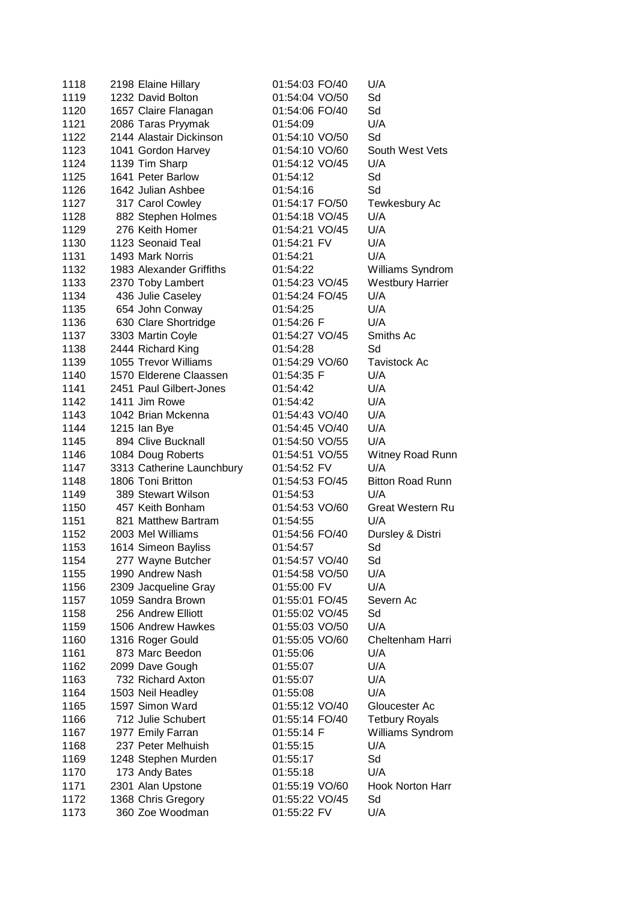| 1118 | 2198 Elaine Hillary       | 01:54:03 FO/40 | U/A                     |
|------|---------------------------|----------------|-------------------------|
| 1119 | 1232 David Bolton         | 01:54:04 VO/50 | Sd                      |
| 1120 | 1657 Claire Flanagan      | 01:54:06 FO/40 | Sd                      |
| 1121 | 2086 Taras Pryymak        | 01:54:09       | U/A                     |
| 1122 | 2144 Alastair Dickinson   | 01:54:10 VO/50 | Sd                      |
| 1123 | 1041 Gordon Harvey        | 01:54:10 VO/60 | South West Vets         |
| 1124 | 1139 Tim Sharp            | 01:54:12 VO/45 | U/A                     |
| 1125 | 1641 Peter Barlow         | 01:54:12       | Sd                      |
| 1126 | 1642 Julian Ashbee        | 01:54:16       | Sd                      |
| 1127 | 317 Carol Cowley          | 01:54:17 FO/50 | Tewkesbury Ac           |
| 1128 | 882 Stephen Holmes        | 01:54:18 VO/45 | U/A                     |
| 1129 | 276 Keith Homer           | 01:54:21 VO/45 | U/A                     |
| 1130 | 1123 Seonaid Teal         | 01:54:21 FV    | U/A                     |
| 1131 | 1493 Mark Norris          | 01:54:21       | U/A                     |
| 1132 | 1983 Alexander Griffiths  | 01:54:22       | Williams Syndrom        |
| 1133 | 2370 Toby Lambert         | 01:54:23 VO/45 | <b>Westbury Harrier</b> |
| 1134 | 436 Julie Caseley         | 01:54:24 FO/45 | U/A                     |
| 1135 | 654 John Conway           | 01:54:25       | U/A                     |
| 1136 | 630 Clare Shortridge      | 01:54:26 F     | U/A                     |
| 1137 | 3303 Martin Coyle         | 01:54:27 VO/45 | Smiths Ac               |
| 1138 | 2444 Richard King         | 01:54:28       | Sd                      |
| 1139 | 1055 Trevor Williams      | 01:54:29 VO/60 | <b>Tavistock Ac</b>     |
| 1140 | 1570 Elderene Claassen    | 01:54:35 F     | U/A                     |
| 1141 | 2451 Paul Gilbert-Jones   | 01:54:42       | U/A                     |
| 1142 | 1411 Jim Rowe             | 01:54:42       | U/A                     |
| 1143 | 1042 Brian Mckenna        | 01:54:43 VO/40 | U/A                     |
| 1144 | 1215 Ian Bye              | 01:54:45 VO/40 | U/A                     |
| 1145 | 894 Clive Bucknall        | 01:54:50 VO/55 | U/A                     |
| 1146 | 1084 Doug Roberts         | 01:54:51 VO/55 | <b>Witney Road Runn</b> |
| 1147 | 3313 Catherine Launchbury | 01:54:52 FV    | U/A                     |
| 1148 | 1806 Toni Britton         | 01:54:53 FO/45 | <b>Bitton Road Runn</b> |
| 1149 | 389 Stewart Wilson        | 01:54:53       | U/A                     |
| 1150 | 457 Keith Bonham          | 01:54:53 VO/60 | Great Western Ru        |
| 1151 | 821 Matthew Bartram       | 01:54:55       | U/A                     |
| 1152 | 2003 Mel Williams         | 01:54:56 FO/40 | Dursley & Distri        |
| 1153 | 1614 Simeon Bayliss       | 01:54:57       | Sd                      |
| 1154 | 277 Wayne Butcher         | 01:54:57 VO/40 | Sd                      |
| 1155 | 1990 Andrew Nash          | 01:54:58 VO/50 | U/A                     |
| 1156 | 2309 Jacqueline Gray      | 01:55:00 FV    | U/A                     |
| 1157 | 1059 Sandra Brown         | 01:55:01 FO/45 | Severn Ac               |
| 1158 | 256 Andrew Elliott        | 01:55:02 VO/45 | Sd                      |
| 1159 | 1506 Andrew Hawkes        | 01:55:03 VO/50 | U/A                     |
| 1160 | 1316 Roger Gould          | 01:55:05 VO/60 | Cheltenham Harri        |
| 1161 | 873 Marc Beedon           | 01:55:06       | U/A                     |
| 1162 | 2099 Dave Gough           | 01:55:07       | U/A                     |
| 1163 | 732 Richard Axton         | 01:55:07       | U/A                     |
| 1164 | 1503 Neil Headley         | 01:55:08       | U/A                     |
| 1165 | 1597 Simon Ward           | 01:55:12 VO/40 | Gloucester Ac           |
| 1166 | 712 Julie Schubert        | 01:55:14 FO/40 | <b>Tetbury Royals</b>   |
| 1167 | 1977 Emily Farran         | 01:55:14 F     | Williams Syndrom        |
| 1168 | 237 Peter Melhuish        | 01:55:15       | U/A                     |
| 1169 | 1248 Stephen Murden       | 01:55:17       | Sd                      |
| 1170 | 173 Andy Bates            | 01:55:18       | U/A                     |
| 1171 | 2301 Alan Upstone         | 01:55:19 VO/60 | Hook Norton Harr        |
| 1172 | 1368 Chris Gregory        | 01:55:22 VO/45 | Sd                      |
| 1173 | 360 Zoe Woodman           | 01:55:22 FV    | U/A                     |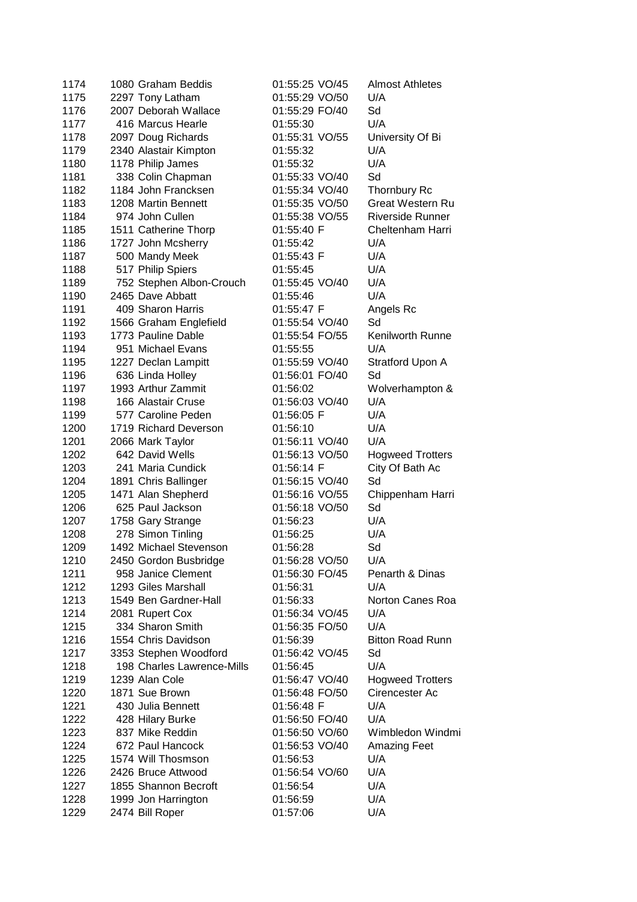| 1174 | 1080 Graham Beddis         | 01:55:25 VO/45 | <b>Almost Athletes</b>  |
|------|----------------------------|----------------|-------------------------|
| 1175 | 2297 Tony Latham           | 01:55:29 VO/50 | U/A                     |
| 1176 | 2007 Deborah Wallace       | 01:55:29 FO/40 | Sd                      |
| 1177 | 416 Marcus Hearle          | 01:55:30       | U/A                     |
| 1178 | 2097 Doug Richards         | 01:55:31 VO/55 | University Of Bi        |
| 1179 | 2340 Alastair Kimpton      | 01:55:32       | U/A                     |
| 1180 | 1178 Philip James          | 01:55:32       | U/A                     |
| 1181 | 338 Colin Chapman          | 01:55:33 VO/40 | Sd                      |
| 1182 | 1184 John Francksen        | 01:55:34 VO/40 | Thornbury Rc            |
| 1183 | 1208 Martin Bennett        | 01:55:35 VO/50 | <b>Great Western Ru</b> |
| 1184 | 974 John Cullen            | 01:55:38 VO/55 | <b>Riverside Runner</b> |
| 1185 | 1511 Catherine Thorp       | 01:55:40 F     | Cheltenham Harri        |
| 1186 | 1727 John Mcsherry         | 01:55:42       | U/A                     |
| 1187 | 500 Mandy Meek             | 01:55:43 F     | U/A                     |
| 1188 | 517 Philip Spiers          | 01:55:45       | U/A                     |
| 1189 | 752 Stephen Albon-Crouch   | 01:55:45 VO/40 | U/A                     |
| 1190 | 2465 Dave Abbatt           | 01:55:46       | U/A                     |
| 1191 | 409 Sharon Harris          | 01:55:47 F     | Angels Rc               |
| 1192 | 1566 Graham Englefield     | 01:55:54 VO/40 | Sd                      |
| 1193 | 1773 Pauline Dable         | 01:55:54 FO/55 | Kenilworth Runne        |
| 1194 | 951 Michael Evans          | 01:55:55       | U/A                     |
| 1195 | 1227 Declan Lampitt        | 01:55:59 VO/40 | Stratford Upon A        |
| 1196 | 636 Linda Holley           | 01:56:01 FO/40 | Sd                      |
| 1197 | 1993 Arthur Zammit         | 01:56:02       | Wolverhampton &         |
| 1198 | 166 Alastair Cruse         | 01:56:03 VO/40 | U/A                     |
| 1199 | 577 Caroline Peden         | 01:56:05 F     | U/A                     |
| 1200 | 1719 Richard Deverson      | 01:56:10       | U/A                     |
| 1201 | 2066 Mark Taylor           | 01:56:11 VO/40 | U/A                     |
| 1202 | 642 David Wells            | 01:56:13 VO/50 | <b>Hogweed Trotters</b> |
| 1203 | 241 Maria Cundick          | 01:56:14 F     | City Of Bath Ac         |
| 1204 | 1891 Chris Ballinger       | 01:56:15 VO/40 | Sd                      |
| 1205 | 1471 Alan Shepherd         | 01:56:16 VO/55 | Chippenham Harri        |
| 1206 | 625 Paul Jackson           | 01:56:18 VO/50 | Sd                      |
| 1207 | 1758 Gary Strange          | 01:56:23       | U/A                     |
| 1208 | 278 Simon Tinling          | 01:56:25       | U/A                     |
| 1209 | 1492 Michael Stevenson     | 01:56:28       | Sd                      |
| 1210 | 2450 Gordon Busbridge      | 01:56:28 VO/50 | U/A                     |
| 1211 | 958 Janice Clement         | 01:56:30 FO/45 | Penarth & Dinas         |
| 1212 | 1293 Giles Marshall        | 01:56:31       | U/A                     |
| 1213 | 1549 Ben Gardner-Hall      | 01:56:33       | Norton Canes Roa        |
| 1214 | 2081 Rupert Cox            | 01:56:34 VO/45 | U/A                     |
| 1215 | 334 Sharon Smith           | 01:56:35 FO/50 | U/A                     |
| 1216 | 1554 Chris Davidson        | 01:56:39       | <b>Bitton Road Runn</b> |
| 1217 | 3353 Stephen Woodford      | 01:56:42 VO/45 | Sd                      |
| 1218 | 198 Charles Lawrence-Mills | 01:56:45       | U/A                     |
| 1219 | 1239 Alan Cole             | 01:56:47 VO/40 | <b>Hogweed Trotters</b> |
| 1220 | 1871 Sue Brown             | 01:56:48 FO/50 | Cirencester Ac          |
| 1221 | 430 Julia Bennett          | 01:56:48 F     | U/A                     |
| 1222 | 428 Hilary Burke           | 01:56:50 FO/40 | U/A                     |
| 1223 | 837 Mike Reddin            | 01:56:50 VO/60 | Wimbledon Windmi        |
| 1224 | 672 Paul Hancock           | 01:56:53 VO/40 | <b>Amazing Feet</b>     |
| 1225 | 1574 Will Thosmson         | 01:56:53       | U/A                     |
| 1226 | 2426 Bruce Attwood         | 01:56:54 VO/60 | U/A                     |
| 1227 | 1855 Shannon Becroft       | 01:56:54       | U/A                     |
| 1228 | 1999 Jon Harrington        | 01:56:59       | U/A                     |
| 1229 | 2474 Bill Roper            | 01:57:06       | U/A                     |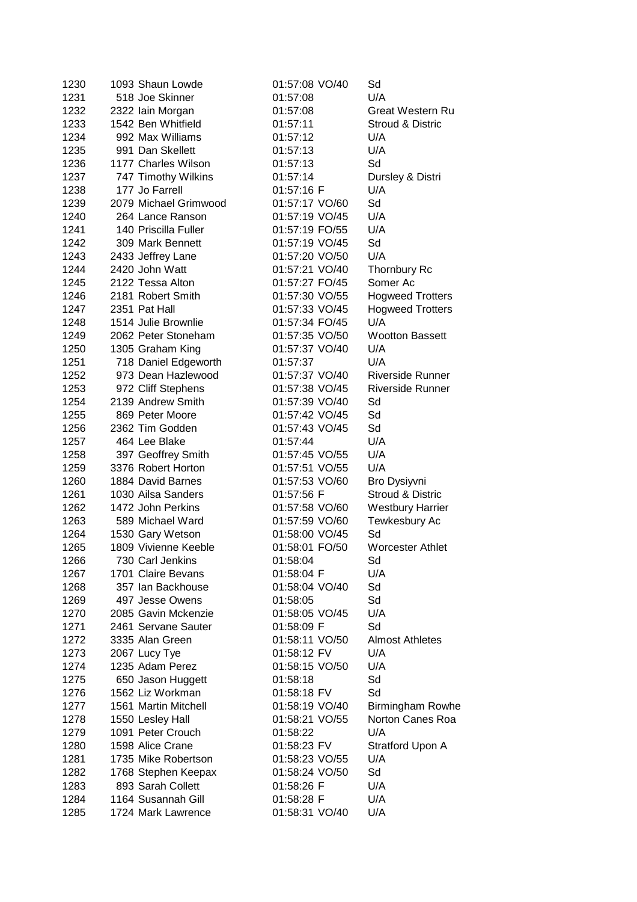| 1230 | 1093 Shaun Lowde      | 01:57:08 VO/40 | Sd                      |
|------|-----------------------|----------------|-------------------------|
| 1231 | 518 Joe Skinner       | 01:57:08       | U/A                     |
| 1232 | 2322 Iain Morgan      | 01:57:08       | <b>Great Western Ru</b> |
| 1233 | 1542 Ben Whitfield    | 01:57:11       | Stroud & Distric        |
| 1234 | 992 Max Williams      | 01:57:12       | U/A                     |
| 1235 | 991 Dan Skellett      | 01:57:13       | U/A                     |
| 1236 | 1177 Charles Wilson   | 01:57:13       | Sd                      |
| 1237 | 747 Timothy Wilkins   | 01:57:14       | Dursley & Distri        |
| 1238 | 177 Jo Farrell        | 01:57:16 F     | U/A                     |
| 1239 | 2079 Michael Grimwood | 01:57:17 VO/60 | Sd                      |
| 1240 | 264 Lance Ranson      | 01:57:19 VO/45 | U/A                     |
| 1241 | 140 Priscilla Fuller  | 01:57:19 FO/55 | U/A                     |
| 1242 | 309 Mark Bennett      | 01:57:19 VO/45 | Sd                      |
| 1243 | 2433 Jeffrey Lane     | 01:57:20 VO/50 | U/A                     |
| 1244 | 2420 John Watt        | 01:57:21 VO/40 | Thornbury Rc            |
| 1245 | 2122 Tessa Alton      | 01:57:27 FO/45 | Somer Ac                |
| 1246 | 2181 Robert Smith     | 01:57:30 VO/55 | <b>Hogweed Trotters</b> |
| 1247 | 2351 Pat Hall         | 01:57:33 VO/45 | <b>Hogweed Trotters</b> |
| 1248 | 1514 Julie Brownlie   | 01:57:34 FO/45 | U/A                     |
| 1249 | 2062 Peter Stoneham   | 01:57:35 VO/50 | <b>Wootton Bassett</b>  |
| 1250 | 1305 Graham King      | 01:57:37 VO/40 | U/A                     |
| 1251 | 718 Daniel Edgeworth  | 01:57:37       | U/A                     |
| 1252 | 973 Dean Hazlewood    | 01:57:37 VO/40 | <b>Riverside Runner</b> |
| 1253 | 972 Cliff Stephens    | 01:57:38 VO/45 | <b>Riverside Runner</b> |
| 1254 | 2139 Andrew Smith     | 01:57:39 VO/40 | Sd                      |
| 1255 | 869 Peter Moore       | 01:57:42 VO/45 | Sd                      |
| 1256 | 2362 Tim Godden       | 01:57:43 VO/45 | Sd                      |
| 1257 | 464 Lee Blake         | 01:57:44       | U/A                     |
| 1258 | 397 Geoffrey Smith    | 01:57:45 VO/55 | U/A                     |
| 1259 | 3376 Robert Horton    | 01:57:51 VO/55 | U/A                     |
| 1260 | 1884 David Barnes     | 01:57:53 VO/60 | Bro Dysiyvni            |
| 1261 | 1030 Ailsa Sanders    | 01:57:56 F     | Stroud & Distric        |
| 1262 | 1472 John Perkins     | 01:57:58 VO/60 | <b>Westbury Harrier</b> |
| 1263 | 589 Michael Ward      | 01:57:59 VO/60 | Tewkesbury Ac           |
| 1264 | 1530 Gary Wetson      | 01:58:00 VO/45 | Sd                      |
| 1265 | 1809 Vivienne Keeble  | 01:58:01 FO/50 | <b>Worcester Athlet</b> |
| 1266 | 730 Carl Jenkins      | 01:58:04       | Sd                      |
| 1267 | 1701 Claire Bevans    | 01:58:04 F     | U/A                     |
| 1268 | 357 Ian Backhouse     | 01:58:04 VO/40 | Sd                      |
| 1269 | 497 Jesse Owens       | 01:58:05       | Sd                      |
| 1270 | 2085 Gavin Mckenzie   | 01:58:05 VO/45 | U/A                     |
| 1271 | 2461 Servane Sauter   | 01:58:09 F     | Sd                      |
| 1272 | 3335 Alan Green       | 01:58:11 VO/50 | <b>Almost Athletes</b>  |
| 1273 | 2067 Lucy Tye         | 01:58:12 FV    | U/A                     |
| 1274 | 1235 Adam Perez       | 01:58:15 VO/50 | U/A                     |
| 1275 | 650 Jason Huggett     | 01:58:18       | Sd                      |
| 1276 | 1562 Liz Workman      | 01:58:18 FV    | Sd                      |
| 1277 | 1561 Martin Mitchell  | 01:58:19 VO/40 | <b>Birmingham Rowhe</b> |
| 1278 | 1550 Lesley Hall      | 01:58:21 VO/55 | Norton Canes Roa        |
| 1279 | 1091 Peter Crouch     | 01:58:22       | U/A                     |
| 1280 | 1598 Alice Crane      | 01:58:23 FV    | Stratford Upon A        |
| 1281 | 1735 Mike Robertson   | 01:58:23 VO/55 | U/A                     |
| 1282 | 1768 Stephen Keepax   | 01:58:24 VO/50 | Sd                      |
| 1283 | 893 Sarah Collett     | 01:58:26 F     | U/A                     |
| 1284 | 1164 Susannah Gill    | 01:58:28 F     | U/A                     |
|      |                       |                |                         |
| 1285 | 1724 Mark Lawrence    | 01:58:31 VO/40 | U/A                     |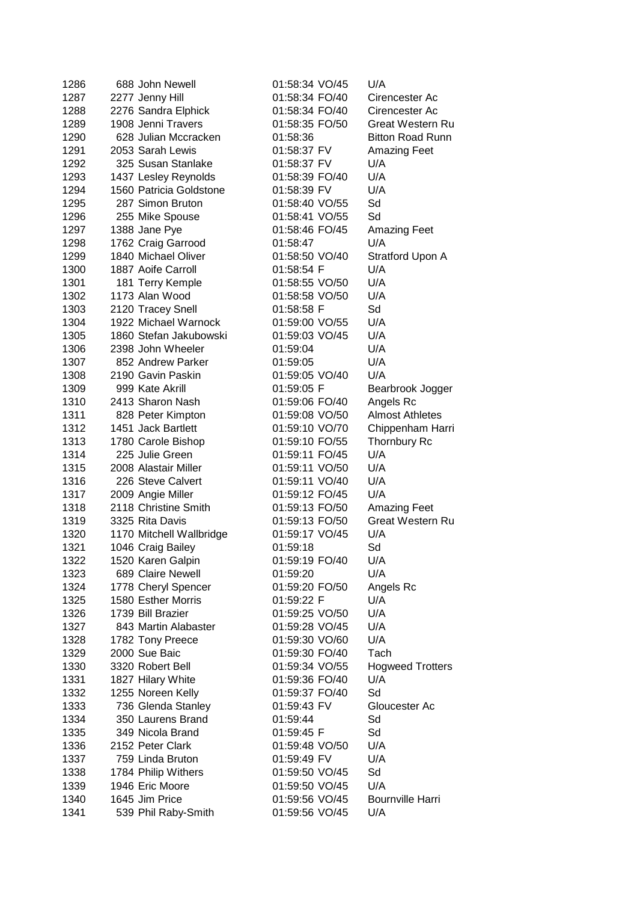| 1286 | 688 John Newell          | 01:58:34 VO/45 | U/A                     |
|------|--------------------------|----------------|-------------------------|
| 1287 | 2277 Jenny Hill          | 01:58:34 FO/40 | Cirencester Ac          |
| 1288 | 2276 Sandra Elphick      | 01:58:34 FO/40 | Cirencester Ac          |
| 1289 | 1908 Jenni Travers       | 01:58:35 FO/50 | Great Western Ru        |
| 1290 | 628 Julian Mccracken     | 01:58:36       | <b>Bitton Road Runn</b> |
| 1291 | 2053 Sarah Lewis         | 01:58:37 FV    | <b>Amazing Feet</b>     |
| 1292 | 325 Susan Stanlake       | 01:58:37 FV    | U/A                     |
| 1293 | 1437 Lesley Reynolds     | 01:58:39 FO/40 | U/A                     |
| 1294 | 1560 Patricia Goldstone  | 01:58:39 FV    | U/A                     |
| 1295 | 287 Simon Bruton         | 01:58:40 VO/55 | Sd                      |
| 1296 | 255 Mike Spouse          | 01:58:41 VO/55 | Sd                      |
| 1297 | 1388 Jane Pye            | 01:58:46 FO/45 | Amazing Feet            |
| 1298 | 1762 Craig Garrood       | 01:58:47       | U/A                     |
| 1299 | 1840 Michael Oliver      | 01:58:50 VO/40 | Stratford Upon A        |
| 1300 | 1887 Aoife Carroll       | 01:58:54 F     | U/A                     |
| 1301 | 181 Terry Kemple         | 01:58:55 VO/50 | U/A                     |
| 1302 | 1173 Alan Wood           | 01:58:58 VO/50 | U/A                     |
| 1303 | 2120 Tracey Snell        | 01:58:58 F     | Sd                      |
| 1304 | 1922 Michael Warnock     | 01:59:00 VO/55 | U/A                     |
| 1305 | 1860 Stefan Jakubowski   | 01:59:03 VO/45 | U/A                     |
| 1306 | 2398 John Wheeler        | 01:59:04       | U/A                     |
| 1307 | 852 Andrew Parker        | 01:59:05       | U/A                     |
| 1308 | 2190 Gavin Paskin        | 01:59:05 VO/40 | U/A                     |
| 1309 | 999 Kate Akrill          | 01:59:05 F     | Bearbrook Jogger        |
| 1310 | 2413 Sharon Nash         | 01:59:06 FO/40 | Angels Rc               |
| 1311 | 828 Peter Kimpton        | 01:59:08 VO/50 | <b>Almost Athletes</b>  |
| 1312 | 1451 Jack Bartlett       | 01:59:10 VO/70 | Chippenham Harri        |
| 1313 | 1780 Carole Bishop       | 01:59:10 FO/55 | <b>Thornbury Rc</b>     |
| 1314 | 225 Julie Green          | 01:59:11 FO/45 | U/A                     |
| 1315 | 2008 Alastair Miller     | 01:59:11 VO/50 | U/A                     |
| 1316 | 226 Steve Calvert        | 01:59:11 VO/40 | U/A                     |
| 1317 | 2009 Angie Miller        | 01:59:12 FO/45 | U/A                     |
| 1318 | 2118 Christine Smith     | 01:59:13 FO/50 | <b>Amazing Feet</b>     |
| 1319 | 3325 Rita Davis          | 01:59:13 FO/50 | <b>Great Western Ru</b> |
| 1320 | 1170 Mitchell Wallbridge | 01:59:17 VO/45 | U/A                     |
| 1321 | 1046 Craig Bailey        | 01:59:18       | Sd                      |
| 1322 | 1520 Karen Galpin        | 01:59:19 FO/40 | U/A                     |
| 1323 | 689 Claire Newell        | 01:59:20       | U/A                     |
| 1324 | 1778 Cheryl Spencer      | 01:59:20 FO/50 | Angels Rc               |
| 1325 | 1580 Esther Morris       | 01:59:22 F     | U/A                     |
| 1326 | 1739 Bill Brazier        | 01:59:25 VO/50 | U/A                     |
| 1327 | 843 Martin Alabaster     | 01:59:28 VO/45 | U/A                     |
| 1328 | 1782 Tony Preece         | 01:59:30 VO/60 | U/A                     |
| 1329 | 2000 Sue Baic            | 01:59:30 FO/40 | Tach                    |
| 1330 | 3320 Robert Bell         | 01:59:34 VO/55 | <b>Hogweed Trotters</b> |
| 1331 | 1827 Hilary White        | 01:59:36 FO/40 | U/A                     |
| 1332 | 1255 Noreen Kelly        | 01:59:37 FO/40 | Sd                      |
| 1333 | 736 Glenda Stanley       | 01:59:43 FV    | Gloucester Ac           |
| 1334 | 350 Laurens Brand        | 01:59:44       | Sd                      |
| 1335 | 349 Nicola Brand         | 01:59:45 F     | Sd                      |
| 1336 | 2152 Peter Clark         | 01:59:48 VO/50 | U/A                     |
| 1337 | 759 Linda Bruton         | 01:59:49 FV    | U/A                     |
| 1338 | 1784 Philip Withers      | 01:59:50 VO/45 | Sd                      |
| 1339 | 1946 Eric Moore          | 01:59:50 VO/45 | U/A                     |
| 1340 | 1645 Jim Price           | 01:59:56 VO/45 | <b>Bournville Harri</b> |
| 1341 | 539 Phil Raby-Smith      | 01:59:56 VO/45 | U/A                     |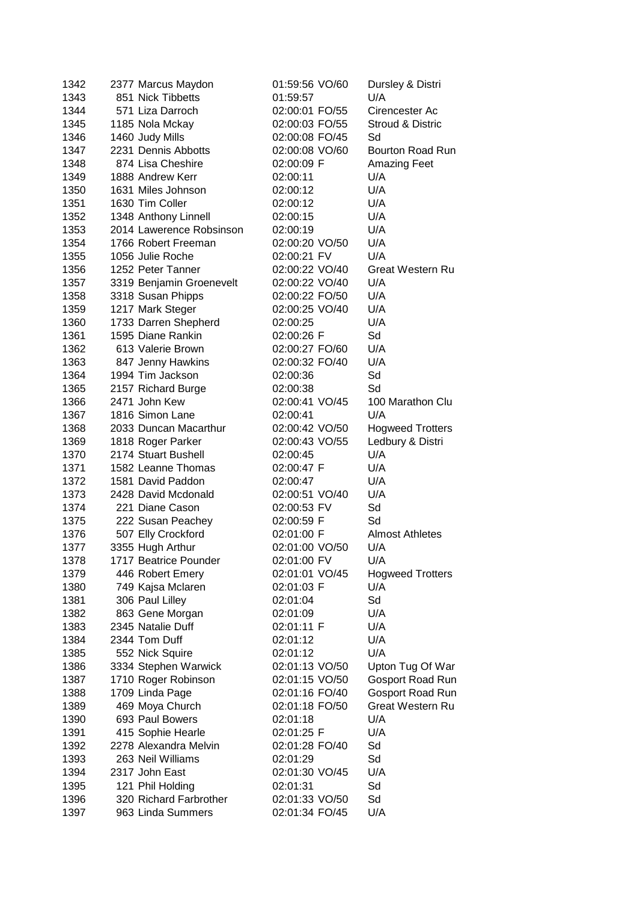| 1342 | 2377 Marcus Maydon       | 01:59:56 VO/60 | Dursley & Distri        |
|------|--------------------------|----------------|-------------------------|
| 1343 | 851 Nick Tibbetts        | 01:59:57       | U/A                     |
| 1344 | 571 Liza Darroch         | 02:00:01 FO/55 | Cirencester Ac          |
| 1345 | 1185 Nola Mckay          | 02:00:03 FO/55 | Stroud & Distric        |
| 1346 | 1460 Judy Mills          | 02:00:08 FO/45 | Sd                      |
| 1347 | 2231 Dennis Abbotts      | 02:00:08 VO/60 | Bourton Road Run        |
| 1348 | 874 Lisa Cheshire        | 02:00:09 F     | <b>Amazing Feet</b>     |
| 1349 | 1888 Andrew Kerr         | 02:00:11       | U/A                     |
| 1350 | 1631 Miles Johnson       | 02:00:12       | U/A                     |
| 1351 | 1630 Tim Coller          | 02:00:12       | U/A                     |
| 1352 | 1348 Anthony Linnell     | 02:00:15       | U/A                     |
| 1353 | 2014 Lawerence Robsinson | 02:00:19       | U/A                     |
| 1354 | 1766 Robert Freeman      | 02:00:20 VO/50 | U/A                     |
| 1355 | 1056 Julie Roche         | 02:00:21 FV    | U/A                     |
| 1356 | 1252 Peter Tanner        | 02:00:22 VO/40 | <b>Great Western Ru</b> |
| 1357 | 3319 Benjamin Groenevelt | 02:00:22 VO/40 | U/A                     |
| 1358 | 3318 Susan Phipps        | 02:00:22 FO/50 | U/A                     |
| 1359 | 1217 Mark Steger         | 02:00:25 VO/40 | U/A                     |
| 1360 | 1733 Darren Shepherd     | 02:00:25       | U/A                     |
| 1361 | 1595 Diane Rankin        | 02:00:26 F     | Sd                      |
| 1362 | 613 Valerie Brown        | 02:00:27 FO/60 | U/A                     |
| 1363 | 847 Jenny Hawkins        | 02:00:32 FO/40 | U/A                     |
| 1364 | 1994 Tim Jackson         | 02:00:36       | Sd                      |
| 1365 | 2157 Richard Burge       | 02:00:38       | Sd                      |
| 1366 | 2471 John Kew            | 02:00:41 VO/45 | 100 Marathon Clu        |
| 1367 | 1816 Simon Lane          | 02:00:41       | U/A                     |
| 1368 | 2033 Duncan Macarthur    | 02:00:42 VO/50 | <b>Hogweed Trotters</b> |
| 1369 | 1818 Roger Parker        | 02:00:43 VO/55 | Ledbury & Distri        |
| 1370 | 2174 Stuart Bushell      | 02:00:45       | U/A                     |
| 1371 | 1582 Leanne Thomas       | 02:00:47 F     | U/A                     |
| 1372 | 1581 David Paddon        | 02:00:47       | U/A                     |
| 1373 | 2428 David Mcdonald      | 02:00:51 VO/40 | U/A                     |
| 1374 | 221 Diane Cason          | 02:00:53 FV    | Sd                      |
| 1375 | 222 Susan Peachey        | 02:00:59 F     | Sd                      |
| 1376 | 507 Elly Crockford       | 02:01:00 F     | <b>Almost Athletes</b>  |
| 1377 | 3355 Hugh Arthur         | 02:01:00 VO/50 | U/A                     |
| 1378 | 1717 Beatrice Pounder    | 02:01:00 FV    | U/A                     |
| 1379 | 446 Robert Emery         | 02:01:01 VO/45 | <b>Hogweed Trotters</b> |
| 1380 | 749 Kajsa Mclaren        | 02:01:03 F     | U/A                     |
| 1381 | 306 Paul Lilley          | 02:01:04       | Sd                      |
| 1382 | 863 Gene Morgan          | 02:01:09       | U/A                     |
| 1383 | 2345 Natalie Duff        | 02:01:11 F     | U/A                     |
| 1384 | 2344 Tom Duff            | 02:01:12       | U/A                     |
| 1385 | 552 Nick Squire          | 02:01:12       | U/A                     |
| 1386 | 3334 Stephen Warwick     | 02:01:13 VO/50 | Upton Tug Of War        |
| 1387 | 1710 Roger Robinson      | 02:01:15 VO/50 | Gosport Road Run        |
| 1388 | 1709 Linda Page          | 02:01:16 FO/40 | Gosport Road Run        |
| 1389 | 469 Moya Church          | 02:01:18 FO/50 | <b>Great Western Ru</b> |
| 1390 | 693 Paul Bowers          | 02:01:18       | U/A                     |
| 1391 | 415 Sophie Hearle        | 02:01:25 F     | U/A                     |
| 1392 | 2278 Alexandra Melvin    | 02:01:28 FO/40 | Sd                      |
| 1393 | 263 Neil Williams        | 02:01:29       | Sd                      |
| 1394 | 2317 John East           | 02:01:30 VO/45 | U/A                     |
| 1395 | 121 Phil Holding         | 02:01:31       | Sd                      |
| 1396 | 320 Richard Farbrother   | 02:01:33 VO/50 | Sd                      |
| 1397 | 963 Linda Summers        | 02:01:34 FO/45 | U/A                     |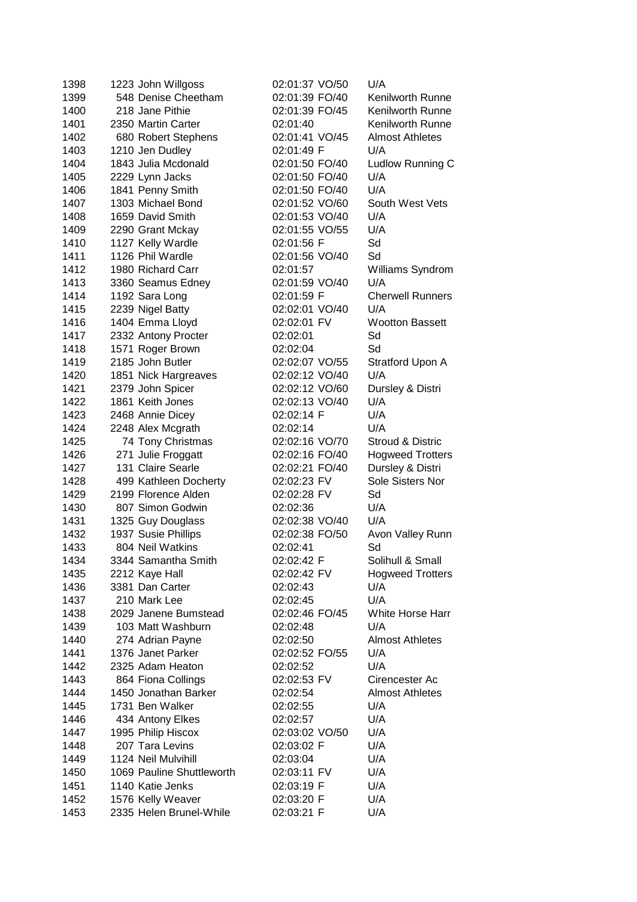| 1398 | 1223 John Willgoss        | 02:01:37 VO/50 | U/A                     |
|------|---------------------------|----------------|-------------------------|
| 1399 | 548 Denise Cheetham       | 02:01:39 FO/40 | Kenilworth Runne        |
| 1400 | 218 Jane Pithie           | 02:01:39 FO/45 | <b>Kenilworth Runne</b> |
| 1401 | 2350 Martin Carter        | 02:01:40       | <b>Kenilworth Runne</b> |
| 1402 | 680 Robert Stephens       | 02:01:41 VO/45 | <b>Almost Athletes</b>  |
| 1403 | 1210 Jen Dudley           | 02:01:49 F     | U/A                     |
| 1404 | 1843 Julia Mcdonald       | 02:01:50 FO/40 | Ludlow Running C        |
| 1405 | 2229 Lynn Jacks           | 02:01:50 FO/40 | U/A                     |
| 1406 | 1841 Penny Smith          | 02:01:50 FO/40 | U/A                     |
| 1407 | 1303 Michael Bond         | 02:01:52 VO/60 | South West Vets         |
| 1408 | 1659 David Smith          | 02:01:53 VO/40 | U/A                     |
| 1409 | 2290 Grant Mckay          | 02:01:55 VO/55 | U/A                     |
| 1410 | 1127 Kelly Wardle         | 02:01:56 F     | Sd                      |
| 1411 | 1126 Phil Wardle          | 02:01:56 VO/40 | Sd                      |
| 1412 | 1980 Richard Carr         | 02:01:57       | Williams Syndrom        |
| 1413 | 3360 Seamus Edney         | 02:01:59 VO/40 | U/A                     |
| 1414 | 1192 Sara Long            | 02:01:59 F     | <b>Cherwell Runners</b> |
| 1415 | 2239 Nigel Batty          | 02:02:01 VO/40 | U/A                     |
| 1416 | 1404 Emma Lloyd           | 02:02:01 FV    | <b>Wootton Bassett</b>  |
| 1417 | 2332 Antony Procter       | 02:02:01       | Sd                      |
| 1418 | 1571 Roger Brown          | 02:02:04       | Sd                      |
| 1419 | 2185 John Butler          | 02:02:07 VO/55 | Stratford Upon A        |
| 1420 | 1851 Nick Hargreaves      | 02:02:12 VO/40 | U/A                     |
| 1421 | 2379 John Spicer          | 02:02:12 VO/60 | Dursley & Distri        |
| 1422 | 1861 Keith Jones          | 02:02:13 VO/40 | U/A                     |
| 1423 | 2468 Annie Dicey          | 02:02:14 F     | U/A                     |
| 1424 | 2248 Alex Mcgrath         | 02:02:14       | U/A                     |
| 1425 | 74 Tony Christmas         | 02:02:16 VO/70 | Stroud & Distric        |
| 1426 | 271 Julie Froggatt        | 02:02:16 FO/40 | <b>Hogweed Trotters</b> |
| 1427 | 131 Claire Searle         | 02:02:21 FO/40 | Dursley & Distri        |
| 1428 | 499 Kathleen Docherty     | 02:02:23 FV    | Sole Sisters Nor        |
| 1429 | 2199 Florence Alden       | 02:02:28 FV    | Sd                      |
| 1430 | 807 Simon Godwin          | 02:02:36       | U/A                     |
| 1431 | 1325 Guy Douglass         | 02:02:38 VO/40 | U/A                     |
| 1432 | 1937 Susie Phillips       | 02:02:38 FO/50 | Avon Valley Runn        |
| 1433 | 804 Neil Watkins          | 02:02:41       | Sd                      |
| 1434 | 3344 Samantha Smith       | 02:02:42 F     | Solihull & Small        |
| 1435 | 2212 Kaye Hall            | 02:02:42 FV    | <b>Hogweed Trotters</b> |
| 1436 | 3381 Dan Carter           | 02:02:43       | U/A                     |
| 1437 | 210 Mark Lee              | 02:02:45       | U/A                     |
| 1438 | 2029 Janene Bumstead      | 02:02:46 FO/45 | White Horse Harr        |
| 1439 | 103 Matt Washburn         | 02:02:48       | U/A                     |
| 1440 | 274 Adrian Payne          | 02:02:50       | <b>Almost Athletes</b>  |
| 1441 | 1376 Janet Parker         | 02:02:52 FO/55 | U/A                     |
| 1442 | 2325 Adam Heaton          | 02:02:52       | U/A                     |
| 1443 | 864 Fiona Collings        | 02:02:53 FV    | Cirencester Ac          |
| 1444 | 1450 Jonathan Barker      | 02:02:54       | <b>Almost Athletes</b>  |
| 1445 | 1731 Ben Walker           | 02:02:55       | U/A                     |
| 1446 | 434 Antony Elkes          | 02:02:57       | U/A                     |
| 1447 | 1995 Philip Hiscox        | 02:03:02 VO/50 | U/A                     |
| 1448 | 207 Tara Levins           | 02:03:02 F     | U/A                     |
| 1449 | 1124 Neil Mulvihill       | 02:03:04       | U/A                     |
| 1450 | 1069 Pauline Shuttleworth | 02:03:11 FV    | U/A                     |
| 1451 | 1140 Katie Jenks          | 02:03:19 F     | U/A                     |
| 1452 | 1576 Kelly Weaver         | 02:03:20 F     | U/A                     |
| 1453 | 2335 Helen Brunel-While   | 02:03:21 F     | U/A                     |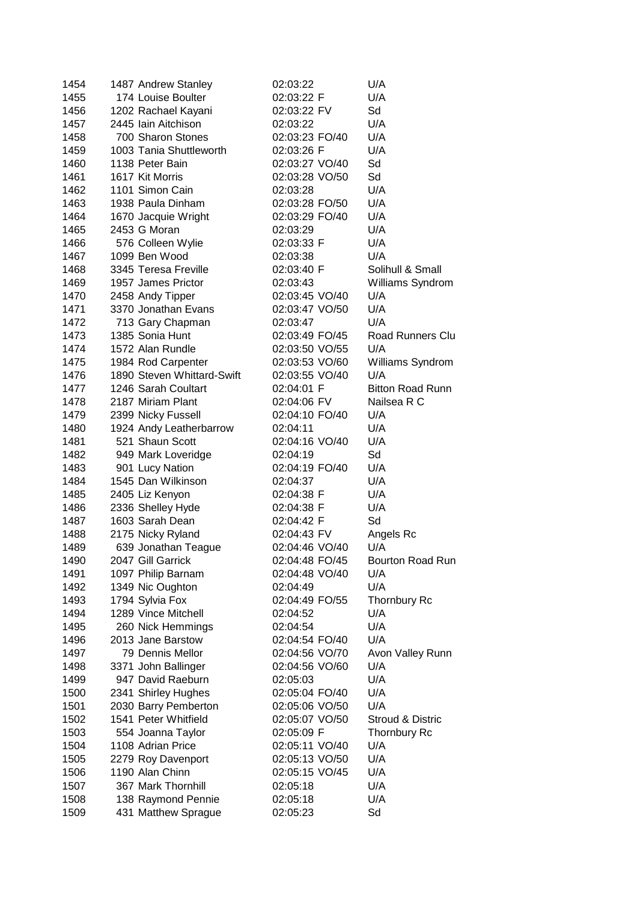| 1454 | 1487 Andrew Stanley        | 02:03:22       | U/A                     |
|------|----------------------------|----------------|-------------------------|
| 1455 | 174 Louise Boulter         | 02:03:22 F     | U/A                     |
| 1456 | 1202 Rachael Kayani        | 02:03:22 FV    | Sd                      |
| 1457 | 2445 Iain Aitchison        | 02:03:22       | U/A                     |
| 1458 | 700 Sharon Stones          | 02:03:23 FO/40 | U/A                     |
| 1459 | 1003 Tania Shuttleworth    | 02:03:26 F     | U/A                     |
| 1460 | 1138 Peter Bain            | 02:03:27 VO/40 | Sd                      |
| 1461 | 1617 Kit Morris            | 02:03:28 VO/50 | Sd                      |
| 1462 | 1101 Simon Cain            | 02:03:28       | U/A                     |
| 1463 | 1938 Paula Dinham          | 02:03:28 FO/50 | U/A                     |
| 1464 | 1670 Jacquie Wright        | 02:03:29 FO/40 | U/A                     |
| 1465 | 2453 G Moran               | 02:03:29       | U/A                     |
| 1466 | 576 Colleen Wylie          | 02:03:33 F     | U/A                     |
| 1467 | 1099 Ben Wood              | 02:03:38       | U/A                     |
| 1468 | 3345 Teresa Freville       | 02:03:40 F     | Solihull & Small        |
| 1469 | 1957 James Prictor         | 02:03:43       | Williams Syndrom        |
| 1470 | 2458 Andy Tipper           | 02:03:45 VO/40 | U/A                     |
| 1471 | 3370 Jonathan Evans        | 02:03:47 VO/50 | U/A                     |
| 1472 | 713 Gary Chapman           | 02:03:47       | U/A                     |
| 1473 | 1385 Sonia Hunt            | 02:03:49 FO/45 | <b>Road Runners Clu</b> |
| 1474 | 1572 Alan Rundle           | 02:03:50 VO/55 | U/A                     |
| 1475 | 1984 Rod Carpenter         | 02:03:53 VO/60 | Williams Syndrom        |
| 1476 | 1890 Steven Whittard-Swift | 02:03:55 VO/40 | U/A                     |
| 1477 | 1246 Sarah Coultart        | 02:04:01 F     | <b>Bitton Road Runn</b> |
| 1478 | 2187 Miriam Plant          | 02:04:06 FV    | Nailsea R C             |
| 1479 | 2399 Nicky Fussell         | 02:04:10 FO/40 | U/A                     |
| 1480 | 1924 Andy Leatherbarrow    | 02:04:11       | U/A                     |
| 1481 | 521 Shaun Scott            | 02:04:16 VO/40 | U/A                     |
| 1482 | 949 Mark Loveridge         | 02:04:19       | Sd                      |
| 1483 | 901 Lucy Nation            | 02:04:19 FO/40 | U/A                     |
| 1484 | 1545 Dan Wilkinson         | 02:04:37       | U/A                     |
| 1485 | 2405 Liz Kenyon            | 02:04:38 F     | U/A                     |
| 1486 | 2336 Shelley Hyde          | 02:04:38 F     | U/A                     |
| 1487 | 1603 Sarah Dean            | 02:04:42 F     | Sd                      |
| 1488 | 2175 Nicky Ryland          | 02:04:43 FV    | Angels Rc               |
| 1489 | 639 Jonathan Teague        | 02:04:46 VO/40 | U/A                     |
| 1490 | 2047 Gill Garrick          | 02:04:48 FO/45 | Bourton Road Run        |
| 1491 | 1097 Philip Barnam         | 02:04:48 VO/40 | U/A                     |
| 1492 | 1349 Nic Oughton           | 02:04:49       | U/A                     |
| 1493 | 1794 Sylvia Fox            | 02:04:49 FO/55 | <b>Thornbury Rc</b>     |
| 1494 | 1289 Vince Mitchell        | 02:04:52       | U/A                     |
| 1495 | 260 Nick Hemmings          | 02:04:54       | U/A                     |
| 1496 | 2013 Jane Barstow          | 02:04:54 FO/40 | U/A                     |
| 1497 | 79 Dennis Mellor           | 02:04:56 VO/70 | Avon Valley Runn        |
| 1498 | 3371 John Ballinger        | 02:04:56 VO/60 | U/A                     |
| 1499 | 947 David Raeburn          | 02:05:03       | U/A                     |
| 1500 | 2341 Shirley Hughes        | 02:05:04 FO/40 | U/A                     |
| 1501 | 2030 Barry Pemberton       | 02:05:06 VO/50 | U/A                     |
| 1502 | 1541 Peter Whitfield       | 02:05:07 VO/50 | Stroud & Distric        |
| 1503 | 554 Joanna Taylor          | 02:05:09 F     | <b>Thornbury Rc</b>     |
| 1504 | 1108 Adrian Price          | 02:05:11 VO/40 | U/A                     |
| 1505 | 2279 Roy Davenport         | 02:05:13 VO/50 | U/A                     |
| 1506 | 1190 Alan Chinn            | 02:05:15 VO/45 | U/A                     |
| 1507 | 367 Mark Thornhill         | 02:05:18       | U/A                     |
| 1508 | 138 Raymond Pennie         | 02:05:18       | U/A                     |
| 1509 | 431 Matthew Sprague        | 02:05:23       | Sd                      |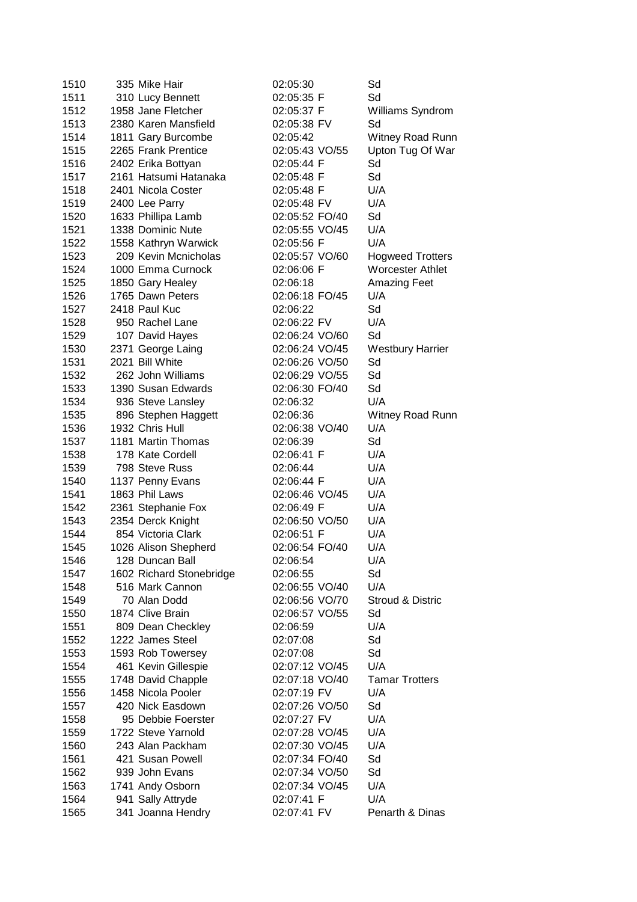| 1510 | 335 Mike Hair            | 02:05:30       | Sd                      |
|------|--------------------------|----------------|-------------------------|
| 1511 | 310 Lucy Bennett         | 02:05:35 F     | Sd                      |
| 1512 | 1958 Jane Fletcher       | 02:05:37 F     | Williams Syndrom        |
| 1513 | 2380 Karen Mansfield     | 02:05:38 FV    | Sd                      |
| 1514 | 1811 Gary Burcombe       | 02:05:42       | Witney Road Runn        |
| 1515 | 2265 Frank Prentice      | 02:05:43 VO/55 | Upton Tug Of War        |
| 1516 | 2402 Erika Bottyan       | 02:05:44 F     | Sd                      |
| 1517 | 2161 Hatsumi Hatanaka    | 02:05:48 F     | Sd                      |
| 1518 | 2401 Nicola Coster       | 02:05:48 F     | U/A                     |
| 1519 | 2400 Lee Parry           | 02:05:48 FV    | U/A                     |
| 1520 | 1633 Phillipa Lamb       | 02:05:52 FO/40 | Sd                      |
| 1521 | 1338 Dominic Nute        | 02:05:55 VO/45 | U/A                     |
| 1522 | 1558 Kathryn Warwick     | 02:05:56 F     | U/A                     |
| 1523 | 209 Kevin Mcnicholas     | 02:05:57 VO/60 | <b>Hogweed Trotters</b> |
| 1524 | 1000 Emma Curnock        | 02:06:06 F     | <b>Worcester Athlet</b> |
| 1525 | 1850 Gary Healey         | 02:06:18       | <b>Amazing Feet</b>     |
| 1526 | 1765 Dawn Peters         | 02:06:18 FO/45 | U/A                     |
| 1527 | 2418 Paul Kuc            | 02:06:22       | Sd                      |
| 1528 | 950 Rachel Lane          | 02:06:22 FV    | U/A                     |
| 1529 | 107 David Hayes          | 02:06:24 VO/60 | Sd                      |
| 1530 | 2371 George Laing        | 02:06:24 VO/45 | <b>Westbury Harrier</b> |
| 1531 | 2021 Bill White          | 02:06:26 VO/50 | Sd                      |
| 1532 | 262 John Williams        | 02:06:29 VO/55 | Sd                      |
| 1533 | 1390 Susan Edwards       | 02:06:30 FO/40 | Sd                      |
| 1534 | 936 Steve Lansley        | 02:06:32       | U/A                     |
| 1535 | 896 Stephen Haggett      | 02:06:36       | Witney Road Runn        |
| 1536 | 1932 Chris Hull          | 02:06:38 VO/40 | U/A                     |
| 1537 | 1181 Martin Thomas       | 02:06:39       | Sd                      |
| 1538 | 178 Kate Cordell         | 02:06:41 F     | U/A                     |
| 1539 | 798 Steve Russ           | 02:06:44       | U/A                     |
| 1540 | 1137 Penny Evans         | 02:06:44 F     | U/A                     |
| 1541 | 1863 Phil Laws           | 02:06:46 VO/45 | U/A                     |
| 1542 | 2361 Stephanie Fox       | 02:06:49 F     | U/A                     |
| 1543 | 2354 Derck Knight        | 02:06:50 VO/50 | U/A                     |
| 1544 | 854 Victoria Clark       | 02:06:51 F     | U/A                     |
| 1545 | 1026 Alison Shepherd     | 02:06:54 FO/40 | U/A                     |
| 1546 | 128 Duncan Ball          | 02:06:54       | U/A                     |
| 1547 | 1602 Richard Stonebridge | 02:06:55       | Sd                      |
| 1548 | 516 Mark Cannon          | 02:06:55 VO/40 | U/A                     |
| 1549 | 70 Alan Dodd             | 02:06:56 VO/70 | Stroud & Distric        |
| 1550 | 1874 Clive Brain         | 02:06:57 VO/55 | Sd                      |
| 1551 | 809 Dean Checkley        | 02:06:59       | U/A                     |
| 1552 | 1222 James Steel         | 02:07:08       | Sd                      |
| 1553 | 1593 Rob Towersey        | 02:07:08       | Sd                      |
| 1554 | 461 Kevin Gillespie      | 02:07:12 VO/45 | U/A                     |
| 1555 | 1748 David Chapple       | 02:07:18 VO/40 | <b>Tamar Trotters</b>   |
| 1556 | 1458 Nicola Pooler       | 02:07:19 FV    | U/A                     |
| 1557 | 420 Nick Easdown         | 02:07:26 VO/50 | Sd                      |
| 1558 | 95 Debbie Foerster       | 02:07:27 FV    | U/A                     |
| 1559 | 1722 Steve Yarnold       | 02:07:28 VO/45 | U/A                     |
| 1560 | 243 Alan Packham         | 02:07:30 VO/45 | U/A                     |
| 1561 | 421 Susan Powell         | 02:07:34 FO/40 | Sd                      |
| 1562 | 939 John Evans           | 02:07:34 VO/50 | Sd                      |
| 1563 | 1741 Andy Osborn         | 02:07:34 VO/45 | U/A                     |
| 1564 | 941 Sally Attryde        | 02:07:41 F     | U/A                     |
| 1565 | 341 Joanna Hendry        | 02:07:41 FV    | Penarth & Dinas         |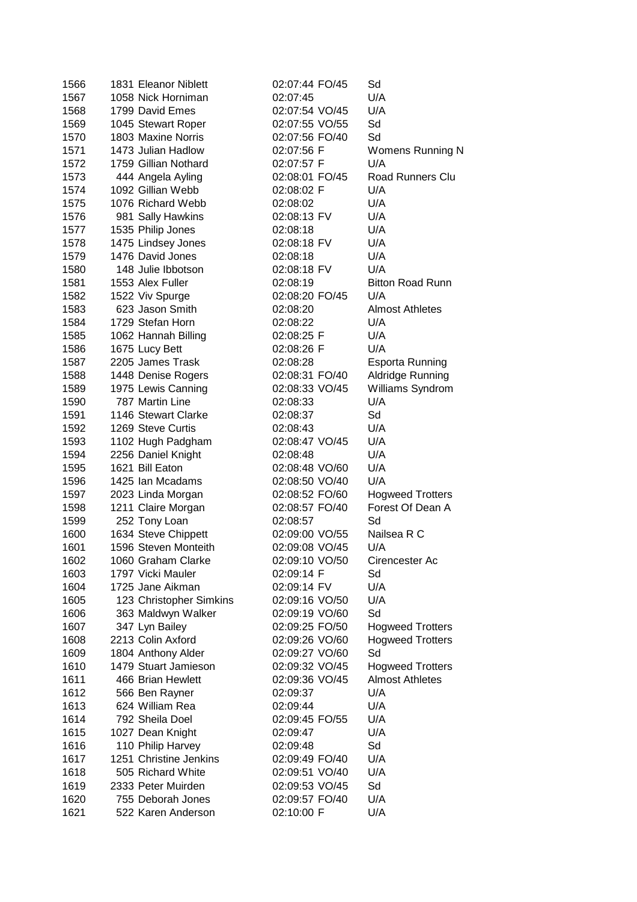| 1566 | 1831 Eleanor Niblett    | 02:07:44 FO/45 | Sd                      |
|------|-------------------------|----------------|-------------------------|
| 1567 | 1058 Nick Horniman      | 02:07:45       | U/A                     |
| 1568 | 1799 David Emes         | 02:07:54 VO/45 | U/A                     |
| 1569 | 1045 Stewart Roper      | 02:07:55 VO/55 | Sd                      |
| 1570 | 1803 Maxine Norris      | 02:07:56 FO/40 | Sd                      |
| 1571 | 1473 Julian Hadlow      | 02:07:56 F     | Womens Running N        |
| 1572 | 1759 Gillian Nothard    | 02:07:57 F     | U/A                     |
| 1573 | 444 Angela Ayling       | 02:08:01 FO/45 | Road Runners Clu        |
| 1574 | 1092 Gillian Webb       | 02:08:02 F     | U/A                     |
| 1575 | 1076 Richard Webb       | 02:08:02       | U/A                     |
| 1576 | 981 Sally Hawkins       | 02:08:13 FV    | U/A                     |
| 1577 | 1535 Philip Jones       | 02:08:18       | U/A                     |
| 1578 | 1475 Lindsey Jones      | 02:08:18 FV    | U/A                     |
| 1579 | 1476 David Jones        | 02:08:18       | U/A                     |
| 1580 | 148 Julie Ibbotson      | 02:08:18 FV    | U/A                     |
| 1581 | 1553 Alex Fuller        | 02:08:19       | <b>Bitton Road Runn</b> |
| 1582 | 1522 Viv Spurge         | 02:08:20 FO/45 | U/A                     |
| 1583 | 623 Jason Smith         | 02:08:20       | <b>Almost Athletes</b>  |
| 1584 | 1729 Stefan Horn        | 02:08:22       | U/A                     |
| 1585 | 1062 Hannah Billing     | 02:08:25 F     | U/A                     |
| 1586 | 1675 Lucy Bett          | 02:08:26 F     | U/A                     |
| 1587 | 2205 James Trask        | 02:08:28       | <b>Esporta Running</b>  |
| 1588 | 1448 Denise Rogers      | 02:08:31 FO/40 | Aldridge Running        |
| 1589 | 1975 Lewis Canning      | 02:08:33 VO/45 | Williams Syndrom        |
| 1590 | 787 Martin Line         | 02:08:33       | U/A                     |
| 1591 | 1146 Stewart Clarke     | 02:08:37       | Sd                      |
| 1592 | 1269 Steve Curtis       | 02:08:43       | U/A                     |
| 1593 | 1102 Hugh Padgham       | 02:08:47 VO/45 | U/A                     |
| 1594 | 2256 Daniel Knight      | 02:08:48       | U/A                     |
| 1595 | 1621 Bill Eaton         | 02:08:48 VO/60 | U/A                     |
| 1596 | 1425 Ian Mcadams        | 02:08:50 VO/40 | U/A                     |
| 1597 | 2023 Linda Morgan       | 02:08:52 FO/60 | <b>Hogweed Trotters</b> |
| 1598 | 1211 Claire Morgan      | 02:08:57 FO/40 | Forest Of Dean A        |
| 1599 | 252 Tony Loan           | 02:08:57       | Sd                      |
| 1600 | 1634 Steve Chippett     | 02:09:00 VO/55 | Nailsea R C             |
| 1601 | 1596 Steven Monteith    | 02:09:08 VO/45 | U/A                     |
| 1602 | 1060 Graham Clarke      | 02:09:10 VO/50 | Cirencester Ac          |
| 1603 | 1797 Vicki Mauler       | 02:09:14 F     | Sd                      |
| 1604 | 1725 Jane Aikman        | 02:09:14 FV    | U/A                     |
| 1605 | 123 Christopher Simkins | 02:09:16 VO/50 | U/A                     |
| 1606 | 363 Maldwyn Walker      | 02:09:19 VO/60 | Sd                      |
| 1607 | 347 Lyn Bailey          | 02:09:25 FO/50 | <b>Hogweed Trotters</b> |
| 1608 | 2213 Colin Axford       | 02:09:26 VO/60 | <b>Hogweed Trotters</b> |
| 1609 | 1804 Anthony Alder      | 02:09:27 VO/60 | Sd                      |
| 1610 | 1479 Stuart Jamieson    | 02:09:32 VO/45 | <b>Hogweed Trotters</b> |
| 1611 | 466 Brian Hewlett       | 02:09:36 VO/45 | <b>Almost Athletes</b>  |
| 1612 | 566 Ben Rayner          | 02:09:37       | U/A                     |
| 1613 | 624 William Rea         | 02:09:44       | U/A                     |
| 1614 | 792 Sheila Doel         | 02:09:45 FO/55 | U/A                     |
| 1615 | 1027 Dean Knight        | 02:09:47       | U/A                     |
| 1616 | 110 Philip Harvey       | 02:09:48       | Sd                      |
| 1617 | 1251 Christine Jenkins  | 02:09:49 FO/40 | U/A                     |
| 1618 | 505 Richard White       | 02:09:51 VO/40 | U/A                     |
| 1619 | 2333 Peter Muirden      | 02:09:53 VO/45 | Sd                      |
| 1620 | 755 Deborah Jones       | 02:09:57 FO/40 | U/A                     |
| 1621 | 522 Karen Anderson      | 02:10:00 F     | U/A                     |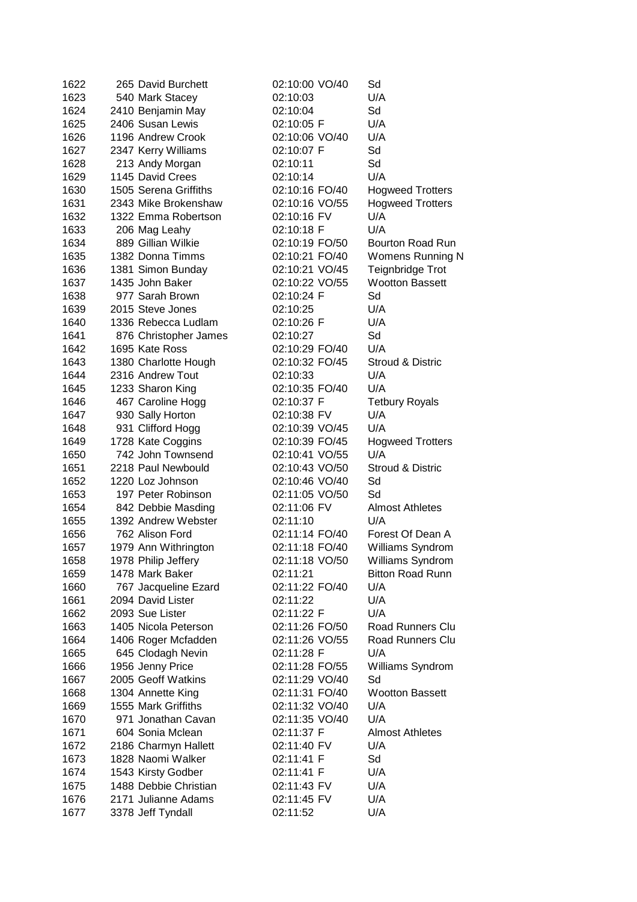| 1622 | 265 David Burchett    | 02:10:00 VO/40 | Sd                      |
|------|-----------------------|----------------|-------------------------|
| 1623 | 540 Mark Stacey       | 02:10:03       | U/A                     |
| 1624 | 2410 Benjamin May     | 02:10:04       | Sd                      |
| 1625 | 2406 Susan Lewis      | 02:10:05 F     | U/A                     |
| 1626 | 1196 Andrew Crook     | 02:10:06 VO/40 | U/A                     |
| 1627 | 2347 Kerry Williams   | 02:10:07 F     | Sd                      |
| 1628 | 213 Andy Morgan       | 02:10:11       | Sd                      |
| 1629 | 1145 David Crees      | 02:10:14       | U/A                     |
| 1630 | 1505 Serena Griffiths | 02:10:16 FO/40 | <b>Hogweed Trotters</b> |
| 1631 | 2343 Mike Brokenshaw  | 02:10:16 VO/55 | <b>Hogweed Trotters</b> |
| 1632 | 1322 Emma Robertson   | 02:10:16 FV    | U/A                     |
| 1633 | 206 Mag Leahy         | 02:10:18 F     | U/A                     |
| 1634 | 889 Gillian Wilkie    | 02:10:19 FO/50 | Bourton Road Run        |
| 1635 | 1382 Donna Timms      | 02:10:21 FO/40 | Womens Running N        |
| 1636 | 1381 Simon Bunday     | 02:10:21 VO/45 | Teignbridge Trot        |
| 1637 | 1435 John Baker       | 02:10:22 VO/55 | <b>Wootton Bassett</b>  |
| 1638 | 977 Sarah Brown       | 02:10:24 F     | Sd                      |
| 1639 | 2015 Steve Jones      | 02:10:25       | U/A                     |
| 1640 | 1336 Rebecca Ludlam   | 02:10:26 F     | U/A                     |
| 1641 | 876 Christopher James | 02:10:27       | Sd                      |
| 1642 | 1695 Kate Ross        | 02:10:29 FO/40 | U/A                     |
| 1643 | 1380 Charlotte Hough  | 02:10:32 FO/45 | Stroud & Distric        |
| 1644 | 2316 Andrew Tout      | 02:10:33       | U/A                     |
| 1645 | 1233 Sharon King      | 02:10:35 FO/40 | U/A                     |
| 1646 | 467 Caroline Hogg     | 02:10:37 F     | <b>Tetbury Royals</b>   |
| 1647 | 930 Sally Horton      | 02:10:38 FV    | U/A                     |
| 1648 | 931 Clifford Hogg     | 02:10:39 VO/45 | U/A                     |
| 1649 | 1728 Kate Coggins     | 02:10:39 FO/45 | <b>Hogweed Trotters</b> |
| 1650 | 742 John Townsend     | 02:10:41 VO/55 | U/A                     |
| 1651 | 2218 Paul Newbould    | 02:10:43 VO/50 | Stroud & Distric        |
| 1652 | 1220 Loz Johnson      | 02:10:46 VO/40 | Sd                      |
| 1653 | 197 Peter Robinson    | 02:11:05 VO/50 | Sd                      |
| 1654 | 842 Debbie Masding    | 02:11:06 FV    | <b>Almost Athletes</b>  |
| 1655 | 1392 Andrew Webster   | 02:11:10       | U/A                     |
| 1656 | 762 Alison Ford       | 02:11:14 FO/40 | Forest Of Dean A        |
| 1657 | 1979 Ann Withrington  | 02:11:18 FO/40 | Williams Syndrom        |
| 1658 | 1978 Philip Jeffery   | 02:11:18 VO/50 | Williams Syndrom        |
| 1659 | 1478 Mark Baker       | 02:11:21       | <b>Bitton Road Runn</b> |
| 1660 | 767 Jacqueline Ezard  | 02:11:22 FO/40 | U/A                     |
| 1661 | 2094 David Lister     | 02:11:22       | U/A                     |
| 1662 | 2093 Sue Lister       | 02:11:22 F     | U/A                     |
| 1663 | 1405 Nicola Peterson  | 02:11:26 FO/50 | Road Runners Clu        |
| 1664 | 1406 Roger Mcfadden   | 02:11:26 VO/55 | <b>Road Runners Clu</b> |
| 1665 | 645 Clodagh Nevin     | 02:11:28 F     | U/A                     |
| 1666 | 1956 Jenny Price      | 02:11:28 FO/55 | Williams Syndrom        |
| 1667 | 2005 Geoff Watkins    | 02:11:29 VO/40 | Sd                      |
| 1668 | 1304 Annette King     | 02:11:31 FO/40 | <b>Wootton Bassett</b>  |
| 1669 | 1555 Mark Griffiths   | 02:11:32 VO/40 | U/A                     |
| 1670 | 971 Jonathan Cavan    | 02:11:35 VO/40 | U/A                     |
| 1671 | 604 Sonia Mclean      | 02:11:37 F     | <b>Almost Athletes</b>  |
| 1672 | 2186 Charmyn Hallett  | 02:11:40 FV    | U/A                     |
| 1673 | 1828 Naomi Walker     | 02:11:41 F     | Sd                      |
| 1674 | 1543 Kirsty Godber    | 02:11:41 F     | U/A                     |
| 1675 | 1488 Debbie Christian | 02:11:43 FV    | U/A                     |
| 1676 | 2171 Julianne Adams   | 02:11:45 FV    | U/A                     |
| 1677 | 3378 Jeff Tyndall     | 02:11:52       | U/A                     |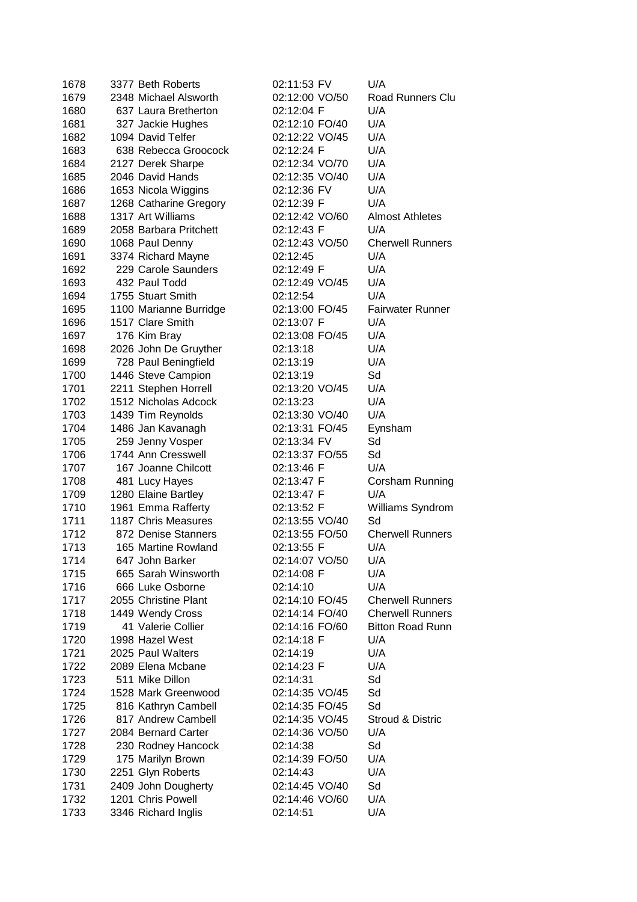| 1678 | 3377 Beth Roberts      | 02:11:53 FV    | U/A                     |
|------|------------------------|----------------|-------------------------|
| 1679 | 2348 Michael Alsworth  | 02:12:00 VO/50 | Road Runners Clu        |
| 1680 | 637 Laura Bretherton   | 02:12:04 F     | U/A                     |
| 1681 | 327 Jackie Hughes      | 02:12:10 FO/40 | U/A                     |
| 1682 | 1094 David Telfer      | 02:12:22 VO/45 | U/A                     |
| 1683 | 638 Rebecca Groocock   | 02:12:24 F     | U/A                     |
| 1684 | 2127 Derek Sharpe      | 02:12:34 VO/70 | U/A                     |
| 1685 | 2046 David Hands       | 02:12:35 VO/40 | U/A                     |
| 1686 | 1653 Nicola Wiggins    | 02:12:36 FV    | U/A                     |
| 1687 | 1268 Catharine Gregory | 02:12:39 F     | U/A                     |
| 1688 | 1317 Art Williams      | 02:12:42 VO/60 | <b>Almost Athletes</b>  |
| 1689 | 2058 Barbara Pritchett | 02:12:43 F     | U/A                     |
| 1690 | 1068 Paul Denny        | 02:12:43 VO/50 | <b>Cherwell Runners</b> |
| 1691 | 3374 Richard Mayne     | 02:12:45       | U/A                     |
| 1692 | 229 Carole Saunders    | 02:12:49 F     | U/A                     |
| 1693 | 432 Paul Todd          | 02:12:49 VO/45 | U/A                     |
| 1694 | 1755 Stuart Smith      | 02:12:54       | U/A                     |
| 1695 | 1100 Marianne Burridge | 02:13:00 FO/45 | <b>Fairwater Runner</b> |
| 1696 | 1517 Clare Smith       | 02:13:07 F     | U/A                     |
| 1697 | 176 Kim Bray           | 02:13:08 FO/45 | U/A                     |
| 1698 | 2026 John De Gruyther  | 02:13:18       | U/A                     |
| 1699 | 728 Paul Beningfield   | 02:13:19       | U/A                     |
| 1700 | 1446 Steve Campion     | 02:13:19       | Sd                      |
| 1701 | 2211 Stephen Horrell   | 02:13:20 VO/45 | U/A                     |
| 1702 | 1512 Nicholas Adcock   | 02:13:23       | U/A                     |
| 1703 | 1439 Tim Reynolds      | 02:13:30 VO/40 | U/A                     |
| 1704 | 1486 Jan Kavanagh      | 02:13:31 FO/45 | Eynsham                 |
| 1705 | 259 Jenny Vosper       | 02:13:34 FV    | Sd                      |
| 1706 | 1744 Ann Cresswell     | 02:13:37 FO/55 | Sd                      |
| 1707 | 167 Joanne Chilcott    | 02:13:46 F     | U/A                     |
| 1708 | 481 Lucy Hayes         | 02:13:47 F     | Corsham Running         |
| 1709 | 1280 Elaine Bartley    | 02:13:47 F     | U/A                     |
| 1710 | 1961 Emma Rafferty     | 02:13:52 F     | Williams Syndrom        |
| 1711 | 1187 Chris Measures    | 02:13:55 VO/40 | Sd                      |
| 1712 | 872 Denise Stanners    | 02:13:55 FO/50 | <b>Cherwell Runners</b> |
| 1713 | 165 Martine Rowland    | 02:13:55 F     | U/A                     |
| 1714 | 647 John Barker        | 02:14:07 VO/50 | U/A                     |
| 1715 | 665 Sarah Winsworth    | 02:14:08 F     | U/A                     |
| 1716 | 666 Luke Osborne       | 02:14:10       | U/A                     |
| 1717 | 2055 Christine Plant   | 02:14:10 FO/45 | <b>Cherwell Runners</b> |
| 1718 | 1449 Wendy Cross       | 02:14:14 FO/40 | <b>Cherwell Runners</b> |
| 1719 | 41 Valerie Collier     | 02:14:16 FO/60 | <b>Bitton Road Runn</b> |
| 1720 | 1998 Hazel West        | 02:14:18 F     | U/A                     |
| 1721 | 2025 Paul Walters      | 02:14:19       | U/A                     |
| 1722 | 2089 Elena Mcbane      | 02:14:23 F     | U/A                     |
| 1723 | 511 Mike Dillon        | 02:14:31       | Sd                      |
| 1724 | 1528 Mark Greenwood    | 02:14:35 VO/45 | Sd                      |
| 1725 | 816 Kathryn Cambell    | 02:14:35 FO/45 | Sd                      |
| 1726 | 817 Andrew Cambell     | 02:14:35 VO/45 | Stroud & Distric        |
| 1727 | 2084 Bernard Carter    | 02:14:36 VO/50 | U/A                     |
| 1728 | 230 Rodney Hancock     | 02:14:38       | Sd                      |
| 1729 | 175 Marilyn Brown      | 02:14:39 FO/50 | U/A                     |
| 1730 | 2251 Glyn Roberts      | 02:14:43       | U/A                     |
| 1731 | 2409 John Dougherty    | 02:14:45 VO/40 | Sd                      |
| 1732 | 1201 Chris Powell      | 02:14:46 VO/60 | U/A                     |
| 1733 | 3346 Richard Inglis    | 02:14:51       | U/A                     |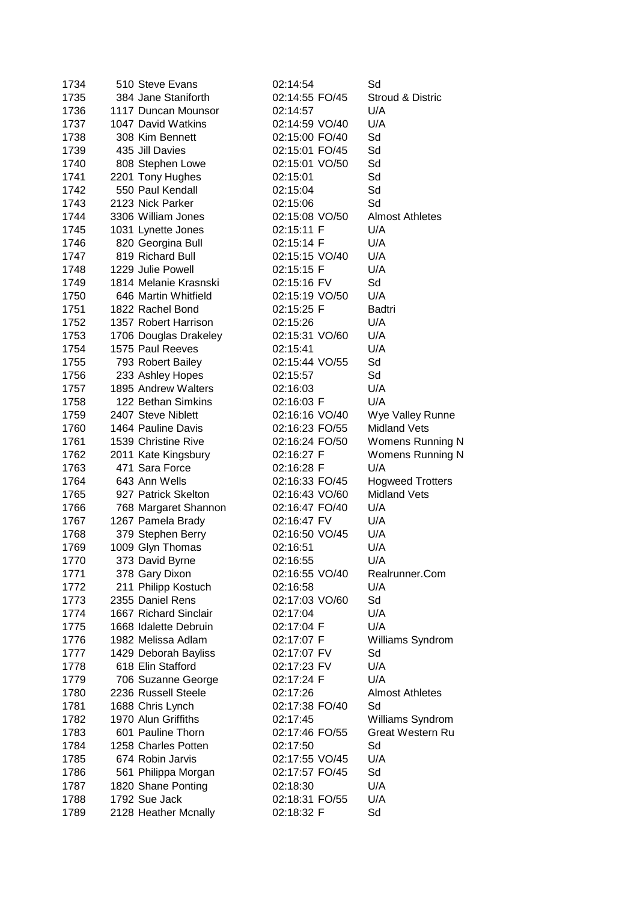| 1734 | 510 Steve Evans       | 02:14:54       | Sd                      |
|------|-----------------------|----------------|-------------------------|
| 1735 | 384 Jane Staniforth   | 02:14:55 FO/45 | Stroud & Distric        |
| 1736 | 1117 Duncan Mounsor   | 02:14:57       | U/A                     |
| 1737 | 1047 David Watkins    | 02:14:59 VO/40 | U/A                     |
| 1738 | 308 Kim Bennett       | 02:15:00 FO/40 | Sd                      |
| 1739 | 435 Jill Davies       | 02:15:01 FO/45 | Sd                      |
| 1740 | 808 Stephen Lowe      | 02:15:01 VO/50 | Sd                      |
| 1741 | 2201 Tony Hughes      | 02:15:01       | Sd                      |
| 1742 | 550 Paul Kendall      | 02:15:04       | Sd                      |
| 1743 | 2123 Nick Parker      | 02:15:06       | Sd                      |
| 1744 | 3306 William Jones    | 02:15:08 VO/50 | <b>Almost Athletes</b>  |
| 1745 | 1031 Lynette Jones    | 02:15:11 F     | U/A                     |
| 1746 | 820 Georgina Bull     | 02:15:14 F     | U/A                     |
| 1747 | 819 Richard Bull      | 02:15:15 VO/40 | U/A                     |
| 1748 | 1229 Julie Powell     | 02:15:15 F     | U/A                     |
| 1749 | 1814 Melanie Krasnski | 02:15:16 FV    | Sd                      |
| 1750 | 646 Martin Whitfield  | 02:15:19 VO/50 | U/A                     |
| 1751 | 1822 Rachel Bond      | 02:15:25 F     | Badtri                  |
| 1752 | 1357 Robert Harrison  | 02:15:26       | U/A                     |
| 1753 | 1706 Douglas Drakeley | 02:15:31 VO/60 | U/A                     |
| 1754 | 1575 Paul Reeves      | 02:15:41       | U/A                     |
| 1755 | 793 Robert Bailey     | 02:15:44 VO/55 | Sd                      |
| 1756 | 233 Ashley Hopes      | 02:15:57       | Sd                      |
| 1757 | 1895 Andrew Walters   | 02:16:03       | U/A                     |
| 1758 | 122 Bethan Simkins    | 02:16:03 F     | U/A                     |
| 1759 | 2407 Steve Niblett    | 02:16:16 VO/40 | Wye Valley Runne        |
| 1760 | 1464 Pauline Davis    | 02:16:23 FO/55 | <b>Midland Vets</b>     |
| 1761 | 1539 Christine Rive   | 02:16:24 FO/50 | Womens Running N        |
| 1762 | 2011 Kate Kingsbury   | 02:16:27 F     | Womens Running N        |
| 1763 | 471 Sara Force        | 02:16:28 F     | U/A                     |
| 1764 | 643 Ann Wells         | 02:16:33 FO/45 | <b>Hogweed Trotters</b> |
| 1765 | 927 Patrick Skelton   | 02:16:43 VO/60 | <b>Midland Vets</b>     |
| 1766 | 768 Margaret Shannon  | 02:16:47 FO/40 | U/A                     |
| 1767 | 1267 Pamela Brady     | 02:16:47 FV    | U/A                     |
| 1768 | 379 Stephen Berry     | 02:16:50 VO/45 | U/A                     |
| 1769 | 1009 Glyn Thomas      | 02:16:51       | U/A                     |
| 1770 | 373 David Byrne       | 02:16:55       | U/A                     |
| 1771 | 378 Gary Dixon        | 02:16:55 VO/40 | Realrunner.Com          |
| 1772 | 211 Philipp Kostuch   | 02:16:58       | U/A                     |
| 1773 | 2355 Daniel Rens      | 02:17:03 VO/60 | Sd                      |
| 1774 | 1667 Richard Sinclair | 02:17:04       | U/A                     |
| 1775 | 1668 Idalette Debruin | 02:17:04 F     | U/A                     |
| 1776 | 1982 Melissa Adlam    | 02:17:07 F     | Williams Syndrom        |
| 1777 | 1429 Deborah Bayliss  | 02:17:07 FV    | Sd                      |
| 1778 | 618 Elin Stafford     | 02:17:23 FV    | U/A                     |
| 1779 | 706 Suzanne George    | 02:17:24 F     | U/A                     |
| 1780 | 2236 Russell Steele   | 02:17:26       | <b>Almost Athletes</b>  |
| 1781 | 1688 Chris Lynch      | 02:17:38 FO/40 | Sd                      |
| 1782 | 1970 Alun Griffiths   | 02:17:45       | Williams Syndrom        |
| 1783 | 601 Pauline Thorn     | 02:17:46 FO/55 | Great Western Ru        |
| 1784 | 1258 Charles Potten   | 02:17:50       | Sd                      |
| 1785 | 674 Robin Jarvis      | 02:17:55 VO/45 | U/A                     |
| 1786 | 561 Philippa Morgan   | 02:17:57 FO/45 | Sd                      |
| 1787 | 1820 Shane Ponting    | 02:18:30       | U/A                     |
| 1788 | 1792 Sue Jack         | 02:18:31 FO/55 | U/A                     |
| 1789 | 2128 Heather Mcnally  | 02:18:32 F     | Sd                      |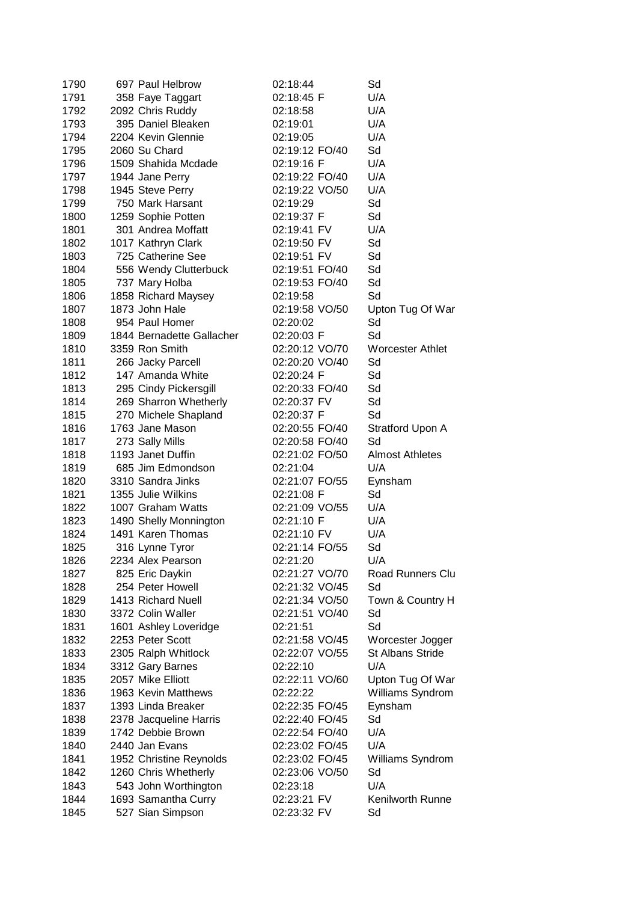| 1790 | 697 Paul Helbrow          | 02:18:44       | Sd                      |
|------|---------------------------|----------------|-------------------------|
| 1791 | 358 Faye Taggart          | 02:18:45 F     | U/A                     |
| 1792 | 2092 Chris Ruddy          | 02:18:58       | U/A                     |
| 1793 | 395 Daniel Bleaken        | 02:19:01       | U/A                     |
| 1794 | 2204 Kevin Glennie        | 02:19:05       | U/A                     |
| 1795 | 2060 Su Chard             | 02:19:12 FO/40 | Sd                      |
| 1796 | 1509 Shahida Mcdade       | 02:19:16 F     | U/A                     |
| 1797 | 1944 Jane Perry           | 02:19:22 FO/40 | U/A                     |
| 1798 | 1945 Steve Perry          | 02:19:22 VO/50 | U/A                     |
| 1799 | 750 Mark Harsant          | 02:19:29       | Sd                      |
| 1800 | 1259 Sophie Potten        | 02:19:37 F     | Sd                      |
| 1801 | 301 Andrea Moffatt        | 02:19:41 FV    | U/A                     |
| 1802 | 1017 Kathryn Clark        | 02:19:50 FV    | Sd                      |
| 1803 | 725 Catherine See         | 02:19:51 FV    | Sd                      |
| 1804 | 556 Wendy Clutterbuck     | 02:19:51 FO/40 | Sd                      |
| 1805 | 737 Mary Holba            | 02:19:53 FO/40 | Sd                      |
| 1806 | 1858 Richard Maysey       | 02:19:58       | Sd                      |
| 1807 | 1873 John Hale            | 02:19:58 VO/50 | Upton Tug Of War        |
| 1808 | 954 Paul Homer            | 02:20:02       | Sd                      |
| 1809 | 1844 Bernadette Gallacher | 02:20:03 F     | Sd                      |
| 1810 | 3359 Ron Smith            | 02:20:12 VO/70 | <b>Worcester Athlet</b> |
| 1811 | 266 Jacky Parcell         | 02:20:20 VO/40 | Sd                      |
| 1812 | 147 Amanda White          | 02:20:24 F     | Sd                      |
| 1813 | 295 Cindy Pickersgill     | 02:20:33 FO/40 | Sd                      |
| 1814 | 269 Sharron Whetherly     | 02:20:37 FV    | Sd                      |
| 1815 | 270 Michele Shapland      | 02:20:37 F     | Sd                      |
| 1816 | 1763 Jane Mason           | 02:20:55 FO/40 | Stratford Upon A        |
| 1817 | 273 Sally Mills           | 02:20:58 FO/40 | Sd                      |
| 1818 | 1193 Janet Duffin         | 02:21:02 FO/50 | <b>Almost Athletes</b>  |
| 1819 | 685 Jim Edmondson         | 02:21:04       | U/A                     |
| 1820 | 3310 Sandra Jinks         | 02:21:07 FO/55 | Eynsham                 |
| 1821 | 1355 Julie Wilkins        | 02:21:08 F     | Sd                      |
| 1822 | 1007 Graham Watts         | 02:21:09 VO/55 | U/A                     |
| 1823 | 1490 Shelly Monnington    | 02:21:10 F     | U/A                     |
| 1824 | 1491 Karen Thomas         | 02:21:10 FV    | U/A                     |
| 1825 | 316 Lynne Tyror           | 02:21:14 FO/55 | Sd                      |
| 1826 | 2234 Alex Pearson         | 02:21:20       | U/A                     |
| 1827 | 825 Eric Daykin           | 02:21:27 VO/70 | Road Runners Clu        |
| 1828 | 254 Peter Howell          | 02:21:32 VO/45 | Sd                      |
| 1829 | 1413 Richard Nuell        | 02:21:34 VO/50 | Town & Country H        |
| 1830 | 3372 Colin Waller         | 02:21:51 VO/40 | Sd                      |
| 1831 | 1601 Ashley Loveridge     | 02:21:51       | Sd                      |
| 1832 | 2253 Peter Scott          | 02:21:58 VO/45 | Worcester Jogger        |
| 1833 | 2305 Ralph Whitlock       | 02:22:07 VO/55 | <b>St Albans Stride</b> |
| 1834 | 3312 Gary Barnes          | 02:22:10       | U/A                     |
| 1835 | 2057 Mike Elliott         | 02:22:11 VO/60 | Upton Tug Of War        |
| 1836 | 1963 Kevin Matthews       | 02:22:22       | Williams Syndrom        |
| 1837 | 1393 Linda Breaker        | 02:22:35 FO/45 | Eynsham                 |
| 1838 | 2378 Jacqueline Harris    | 02:22:40 FO/45 | Sd                      |
| 1839 | 1742 Debbie Brown         | 02:22:54 FO/40 | U/A                     |
| 1840 | 2440 Jan Evans            | 02:23:02 FO/45 | U/A                     |
| 1841 | 1952 Christine Reynolds   | 02:23:02 FO/45 | Williams Syndrom        |
| 1842 | 1260 Chris Whetherly      | 02:23:06 VO/50 | Sd                      |
| 1843 | 543 John Worthington      | 02:23:18       | U/A                     |
| 1844 |                           | 02:23:21 FV    | Kenilworth Runne        |
|      | 1693 Samantha Curry       |                |                         |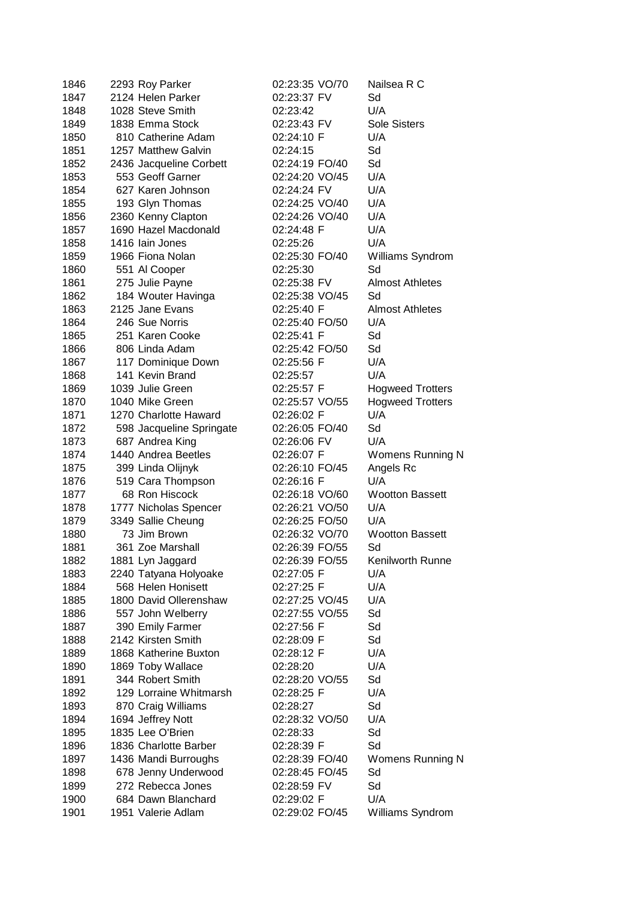| 1846 | 2293 Roy Parker                         | 02:23:35 VO/70 | Nailsea R C             |
|------|-----------------------------------------|----------------|-------------------------|
| 1847 | 2124 Helen Parker                       | 02:23:37 FV    | Sd                      |
| 1848 | 1028 Steve Smith                        | 02:23:42       | U/A                     |
| 1849 | 1838 Emma Stock                         | 02:23:43 FV    | <b>Sole Sisters</b>     |
| 1850 | 810 Catherine Adam                      | 02:24:10 F     | U/A                     |
| 1851 | 1257 Matthew Galvin                     | 02:24:15       | Sd                      |
| 1852 | 2436 Jacqueline Corbett                 | 02:24:19 FO/40 | Sd                      |
| 1853 | 553 Geoff Garner                        | 02:24:20 VO/45 | U/A                     |
| 1854 | 627 Karen Johnson                       | 02:24:24 FV    | U/A                     |
| 1855 | 193 Glyn Thomas                         | 02:24:25 VO/40 | U/A                     |
| 1856 | 2360 Kenny Clapton                      | 02:24:26 VO/40 | U/A                     |
| 1857 | 1690 Hazel Macdonald                    | 02:24:48 F     | U/A                     |
| 1858 | 1416 Iain Jones                         | 02:25:26       | U/A                     |
| 1859 | 1966 Fiona Nolan                        | 02:25:30 FO/40 | Williams Syndrom        |
|      |                                         |                | Sd                      |
| 1860 | 551 Al Cooper                           | 02:25:30       |                         |
| 1861 | 275 Julie Payne                         | 02:25:38 FV    | <b>Almost Athletes</b>  |
| 1862 | 184 Wouter Havinga                      | 02:25:38 VO/45 | Sd                      |
| 1863 | 2125 Jane Evans                         | 02:25:40 F     | <b>Almost Athletes</b>  |
| 1864 | 246 Sue Norris                          | 02:25:40 FO/50 | U/A                     |
| 1865 | 251 Karen Cooke                         | 02:25:41 F     | Sd                      |
| 1866 | 806 Linda Adam                          | 02:25:42 FO/50 | Sd                      |
| 1867 | 117 Dominique Down                      | 02:25:56 F     | U/A                     |
| 1868 | 141 Kevin Brand                         | 02:25:57       | U/A                     |
| 1869 | 1039 Julie Green                        | 02:25:57 F     | <b>Hogweed Trotters</b> |
| 1870 | 1040 Mike Green                         | 02:25:57 VO/55 | <b>Hogweed Trotters</b> |
| 1871 | 1270 Charlotte Haward                   | 02:26:02 F     | U/A                     |
| 1872 | 598 Jacqueline Springate                | 02:26:05 FO/40 | Sd                      |
| 1873 | 687 Andrea King                         | 02:26:06 FV    | U/A                     |
| 1874 | 1440 Andrea Beetles                     | 02:26:07 F     | <b>Womens Running N</b> |
| 1875 | 399 Linda Olijnyk                       | 02:26:10 FO/45 | Angels Rc               |
| 1876 | 519 Cara Thompson                       | 02:26:16 F     | U/A                     |
| 1877 | 68 Ron Hiscock                          | 02:26:18 VO/60 | <b>Wootton Bassett</b>  |
| 1878 | 1777 Nicholas Spencer                   | 02:26:21 VO/50 | U/A                     |
| 1879 | 3349 Sallie Cheung                      | 02:26:25 FO/50 | U/A                     |
| 1880 | 73 Jim Brown                            | 02:26:32 VO/70 | <b>Wootton Bassett</b>  |
| 1881 | 361 Zoe Marshall                        | 02:26:39 FO/55 | Sd                      |
| 1882 | 1881 Lyn Jaggard                        | 02:26:39 FO/55 | Kenilworth Runne        |
| 1883 | 2240 Tatyana Holyoake                   | 02:27:05 F     | U/A                     |
| 1884 | 568 Helen Honisett                      | 02:27:25 F     | U/A                     |
| 1885 | 1800 David Ollerenshaw                  | 02:27:25 VO/45 | U/A                     |
| 1886 | 557 John Welberry                       | 02:27:55 VO/55 | Sd                      |
| 1887 | 390 Emily Farmer                        | 02:27:56 F     | Sd                      |
| 1888 | 2142 Kirsten Smith                      | 02:28:09 F     | Sd                      |
| 1889 | 1868 Katherine Buxton                   | 02:28:12 F     | U/A                     |
| 1890 | 1869 Toby Wallace                       | 02:28:20       | U/A                     |
| 1891 | 344 Robert Smith                        | 02:28:20 VO/55 | Sd                      |
| 1892 | 129 Lorraine Whitmarsh                  | 02:28:25 F     | U/A                     |
| 1893 | 870 Craig Williams                      | 02:28:27       | Sd                      |
| 1894 | 1694 Jeffrey Nott                       | 02:28:32 VO/50 | U/A                     |
| 1895 | 1835 Lee O'Brien                        | 02:28:33       | Sd                      |
| 1896 | 1836 Charlotte Barber                   | 02:28:39 F     | Sd                      |
| 1897 | 1436 Mandi Burroughs                    | 02:28:39 FO/40 | Womens Running N        |
| 1898 |                                         | 02:28:45 FO/45 | Sd                      |
|      | 678 Jenny Underwood                     |                | Sd                      |
| 1899 | 272 Rebecca Jones<br>684 Dawn Blanchard | 02:28:59 FV    | U/A                     |
| 1900 |                                         | 02:29:02 F     |                         |
| 1901 | 1951 Valerie Adlam                      | 02:29:02 FO/45 | Williams Syndrom        |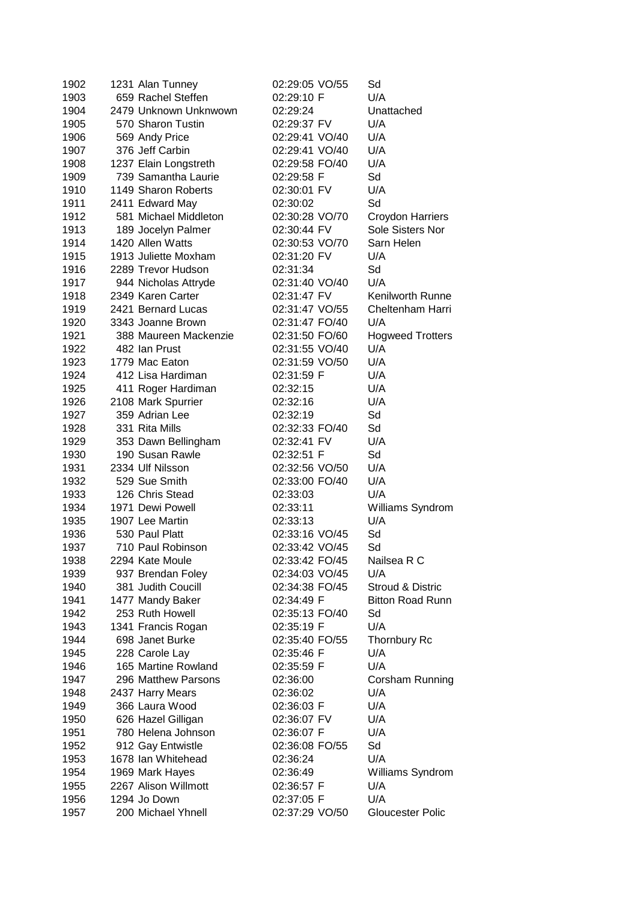| 1902 | 1231 Alan Tunney      | 02:29:05 VO/55 | Sd                      |
|------|-----------------------|----------------|-------------------------|
| 1903 | 659 Rachel Steffen    | 02:29:10 F     | U/A                     |
| 1904 | 2479 Unknown Unknwown | 02:29:24       | Unattached              |
| 1905 | 570 Sharon Tustin     | 02:29:37 FV    | U/A                     |
| 1906 | 569 Andy Price        | 02:29:41 VO/40 | U/A                     |
| 1907 | 376 Jeff Carbin       | 02:29:41 VO/40 | U/A                     |
| 1908 | 1237 Elain Longstreth | 02:29:58 FO/40 | U/A                     |
| 1909 | 739 Samantha Laurie   | 02:29:58 F     | Sd                      |
| 1910 | 1149 Sharon Roberts   | 02:30:01 FV    | U/A                     |
| 1911 | 2411 Edward May       | 02:30:02       | Sd                      |
| 1912 | 581 Michael Middleton | 02:30:28 VO/70 | Croydon Harriers        |
| 1913 | 189 Jocelyn Palmer    | 02:30:44 FV    | Sole Sisters Nor        |
| 1914 | 1420 Allen Watts      | 02:30:53 VO/70 | Sarn Helen              |
| 1915 | 1913 Juliette Moxham  | 02:31:20 FV    | U/A                     |
| 1916 | 2289 Trevor Hudson    | 02:31:34       | Sd                      |
| 1917 | 944 Nicholas Attryde  | 02:31:40 VO/40 | U/A                     |
| 1918 | 2349 Karen Carter     | 02:31:47 FV    | Kenilworth Runne        |
| 1919 | 2421 Bernard Lucas    | 02:31:47 VO/55 | Cheltenham Harri        |
| 1920 | 3343 Joanne Brown     | 02:31:47 FO/40 | U/A                     |
| 1921 | 388 Maureen Mackenzie | 02:31:50 FO/60 | <b>Hogweed Trotters</b> |
| 1922 | 482 Ian Prust         | 02:31:55 VO/40 | U/A                     |
| 1923 | 1779 Mac Eaton        | 02:31:59 VO/50 | U/A                     |
| 1924 | 412 Lisa Hardiman     | 02:31:59 F     | U/A                     |
| 1925 | 411 Roger Hardiman    | 02:32:15       | U/A                     |
| 1926 | 2108 Mark Spurrier    | 02:32:16       | U/A                     |
| 1927 | 359 Adrian Lee        | 02:32:19       | Sd                      |
| 1928 | 331 Rita Mills        | 02:32:33 FO/40 | Sd                      |
| 1929 | 353 Dawn Bellingham   | 02:32:41 FV    | U/A                     |
| 1930 | 190 Susan Rawle       | 02:32:51 F     | Sd                      |
| 1931 | 2334 Ulf Nilsson      | 02:32:56 VO/50 | U/A                     |
| 1932 | 529 Sue Smith         | 02:33:00 FO/40 | U/A                     |
| 1933 | 126 Chris Stead       | 02:33:03       | U/A                     |
| 1934 | 1971 Dewi Powell      | 02:33:11       | Williams Syndrom        |
| 1935 | 1907 Lee Martin       | 02:33:13       | U/A                     |
| 1936 | 530 Paul Platt        | 02:33:16 VO/45 | Sd                      |
| 1937 | 710 Paul Robinson     | 02:33:42 VO/45 | Sd                      |
| 1938 | 2294 Kate Moule       | 02:33:42 FO/45 | Nailsea R C             |
| 1939 | 937 Brendan Foley     | 02:34:03 VO/45 | U/A                     |
| 1940 | 381 Judith Coucill    | 02:34:38 FO/45 | Stroud & Distric        |
| 1941 | 1477 Mandy Baker      | 02:34:49 F     | <b>Bitton Road Runn</b> |
| 1942 | 253 Ruth Howell       | 02:35:13 FO/40 | Sd                      |
| 1943 | 1341 Francis Rogan    | 02:35:19 F     | U/A                     |
| 1944 | 698 Janet Burke       | 02:35:40 FO/55 | Thornbury Rc            |
| 1945 | 228 Carole Lay        | 02:35:46 F     | U/A                     |
| 1946 | 165 Martine Rowland   | 02:35:59 F     | U/A                     |
| 1947 | 296 Matthew Parsons   | 02:36:00       | Corsham Running         |
| 1948 | 2437 Harry Mears      | 02:36:02       | U/A                     |
| 1949 | 366 Laura Wood        | 02:36:03 F     | U/A                     |
| 1950 | 626 Hazel Gilligan    | 02:36:07 FV    | U/A                     |
| 1951 | 780 Helena Johnson    | 02:36:07 F     | U/A                     |
| 1952 | 912 Gay Entwistle     | 02:36:08 FO/55 | Sd                      |
| 1953 | 1678 Ian Whitehead    | 02:36:24       | U/A                     |
| 1954 | 1969 Mark Hayes       | 02:36:49       | Williams Syndrom        |
| 1955 | 2267 Alison Willmott  | 02:36:57 F     | U/A                     |
| 1956 | 1294 Jo Down          | 02:37:05 F     | U/A                     |
| 1957 | 200 Michael Yhnell    | 02:37:29 VO/50 | Gloucester Polic        |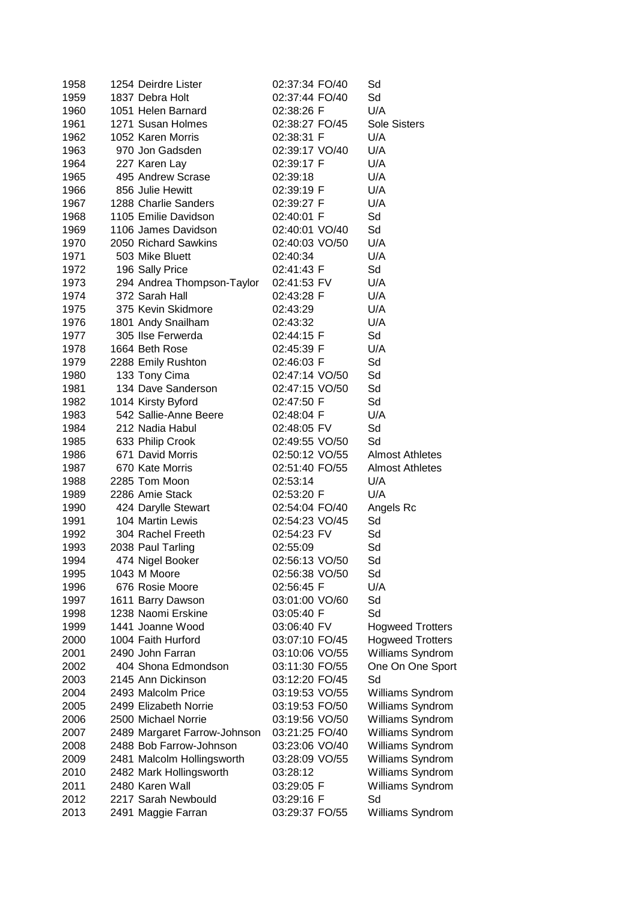| 1958 | 1254 Deirdre Lister          | 02:37:34 FO/40 | Sd                      |
|------|------------------------------|----------------|-------------------------|
| 1959 | 1837 Debra Holt              | 02:37:44 FO/40 | Sd                      |
| 1960 | 1051 Helen Barnard           | 02:38:26 F     | U/A                     |
| 1961 | 1271 Susan Holmes            | 02:38:27 FO/45 | Sole Sisters            |
| 1962 | 1052 Karen Morris            | 02:38:31 F     | U/A                     |
| 1963 | 970 Jon Gadsden              | 02:39:17 VO/40 | U/A                     |
| 1964 | 227 Karen Lay                | 02:39:17 F     | U/A                     |
| 1965 | 495 Andrew Scrase            | 02:39:18       | U/A                     |
| 1966 | 856 Julie Hewitt             | 02:39:19 F     | U/A                     |
| 1967 | 1288 Charlie Sanders         | 02:39:27 F     | U/A                     |
| 1968 | 1105 Emilie Davidson         | 02:40:01 F     | Sd                      |
| 1969 | 1106 James Davidson          | 02:40:01 VO/40 | Sd                      |
| 1970 | 2050 Richard Sawkins         | 02:40:03 VO/50 | U/A                     |
| 1971 | 503 Mike Bluett              | 02:40:34       | U/A                     |
| 1972 | 196 Sally Price              | 02:41:43 F     | Sd                      |
| 1973 | 294 Andrea Thompson-Taylor   | 02:41:53 FV    | U/A                     |
| 1974 | 372 Sarah Hall               | 02:43:28 F     | U/A                     |
| 1975 | 375 Kevin Skidmore           | 02:43:29       | U/A                     |
| 1976 | 1801 Andy Snailham           | 02:43:32       | U/A                     |
| 1977 | 305 Ilse Ferwerda            | 02:44:15 F     | Sd                      |
| 1978 | 1664 Beth Rose               | 02:45:39 F     | U/A                     |
| 1979 | 2288 Emily Rushton           | 02:46:03 F     | Sd                      |
| 1980 | 133 Tony Cima                | 02:47:14 VO/50 | Sd                      |
| 1981 | 134 Dave Sanderson           | 02:47:15 VO/50 | Sd                      |
| 1982 | 1014 Kirsty Byford           | 02:47:50 F     | Sd                      |
| 1983 | 542 Sallie-Anne Beere        | 02:48:04 F     | U/A                     |
| 1984 | 212 Nadia Habul              | 02:48:05 FV    | Sd                      |
| 1985 | 633 Philip Crook             | 02:49:55 VO/50 | Sd                      |
| 1986 | 671 David Morris             | 02:50:12 VO/55 | <b>Almost Athletes</b>  |
| 1987 | 670 Kate Morris              | 02:51:40 FO/55 | <b>Almost Athletes</b>  |
| 1988 | 2285 Tom Moon                | 02:53:14       | U/A                     |
| 1989 | 2286 Amie Stack              | 02:53:20 F     | U/A                     |
| 1990 | 424 Darylle Stewart          | 02:54:04 FO/40 | Angels Rc               |
| 1991 | 104 Martin Lewis             | 02:54:23 VO/45 | Sd                      |
| 1992 | 304 Rachel Freeth            | 02:54:23 FV    | Sd                      |
| 1993 | 2038 Paul Tarling            | 02:55:09       | Sd                      |
| 1994 | 474 Nigel Booker             | 02:56:13 VO/50 | Sd                      |
| 1995 | 1043 M Moore                 | 02:56:38 VO/50 | Sd                      |
| 1996 | 676 Rosie Moore              | 02:56:45 F     | U/A                     |
| 1997 | 1611 Barry Dawson            | 03:01:00 VO/60 | Sd                      |
| 1998 | 1238 Naomi Erskine           | 03:05:40 F     | Sd                      |
| 1999 | 1441 Joanne Wood             | 03:06:40 FV    | <b>Hogweed Trotters</b> |
| 2000 | 1004 Faith Hurford           | 03:07:10 FO/45 | <b>Hogweed Trotters</b> |
| 2001 | 2490 John Farran             | 03:10:06 VO/55 | Williams Syndrom        |
| 2002 | 404 Shona Edmondson          | 03:11:30 FO/55 | One On One Sport        |
| 2003 | 2145 Ann Dickinson           | 03:12:20 FO/45 | Sd                      |
| 2004 | 2493 Malcolm Price           | 03:19:53 VO/55 | Williams Syndrom        |
| 2005 | 2499 Elizabeth Norrie        | 03:19:53 FO/50 | Williams Syndrom        |
| 2006 | 2500 Michael Norrie          | 03:19:56 VO/50 | Williams Syndrom        |
| 2007 | 2489 Margaret Farrow-Johnson | 03:21:25 FO/40 | Williams Syndrom        |
| 2008 | 2488 Bob Farrow-Johnson      | 03:23:06 VO/40 | Williams Syndrom        |
| 2009 | 2481 Malcolm Hollingsworth   | 03:28:09 VO/55 | Williams Syndrom        |
| 2010 | 2482 Mark Hollingsworth      | 03:28:12       | Williams Syndrom        |
| 2011 | 2480 Karen Wall              | 03:29:05 F     | Williams Syndrom        |
| 2012 | 2217 Sarah Newbould          | 03:29:16 F     | Sd                      |
| 2013 | 2491 Maggie Farran           | 03:29:37 FO/55 | Williams Syndrom        |